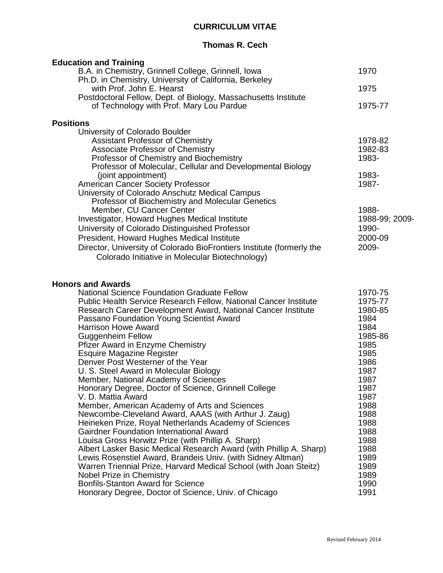# **CURRICULUM VITAE**

## **Thomas R. Cech**

| <b>Education and Training</b>                                                                                                                                                                                                                                                                                                                                                                                                                                                                                                                                                                                                                                                                                                                                                                                                                                                                                                                                                                                                                                                                                                                                                                                                           |                                                                                                                                                                                                          |
|-----------------------------------------------------------------------------------------------------------------------------------------------------------------------------------------------------------------------------------------------------------------------------------------------------------------------------------------------------------------------------------------------------------------------------------------------------------------------------------------------------------------------------------------------------------------------------------------------------------------------------------------------------------------------------------------------------------------------------------------------------------------------------------------------------------------------------------------------------------------------------------------------------------------------------------------------------------------------------------------------------------------------------------------------------------------------------------------------------------------------------------------------------------------------------------------------------------------------------------------|----------------------------------------------------------------------------------------------------------------------------------------------------------------------------------------------------------|
| B.A. in Chemistry, Grinnell College, Grinnell, Iowa                                                                                                                                                                                                                                                                                                                                                                                                                                                                                                                                                                                                                                                                                                                                                                                                                                                                                                                                                                                                                                                                                                                                                                                     | 1970                                                                                                                                                                                                     |
| Ph.D. in Chemistry, University of California, Berkeley<br>with Prof. John E. Hearst<br>Postdoctoral Fellow, Dept. of Biology, Massachusetts Institute                                                                                                                                                                                                                                                                                                                                                                                                                                                                                                                                                                                                                                                                                                                                                                                                                                                                                                                                                                                                                                                                                   | 1975                                                                                                                                                                                                     |
| of Technology with Prof. Mary Lou Pardue                                                                                                                                                                                                                                                                                                                                                                                                                                                                                                                                                                                                                                                                                                                                                                                                                                                                                                                                                                                                                                                                                                                                                                                                | 1975-77                                                                                                                                                                                                  |
| <b>Positions</b>                                                                                                                                                                                                                                                                                                                                                                                                                                                                                                                                                                                                                                                                                                                                                                                                                                                                                                                                                                                                                                                                                                                                                                                                                        |                                                                                                                                                                                                          |
| University of Colorado Boulder<br><b>Assistant Professor of Chemistry</b><br><b>Associate Professor of Chemistry</b><br>Professor of Chemistry and Biochemistry<br>Professor of Molecular, Cellular and Developmental Biology<br>(joint appointment)<br><b>American Cancer Society Professor</b><br>University of Colorado Anschutz Medical Campus<br>Professor of Biochemistry and Molecular Genetics<br>Member, CU Cancer Center<br>Investigator, Howard Hughes Medical Institute<br>University of Colorado Distinguished Professor<br>President, Howard Hughes Medical Institute<br>Director, University of Colorado BioFrontiers Institute (formerly the<br>Colorado Initiative in Molecular Biotechnology)                                                                                                                                                                                                                                                                                                                                                                                                                                                                                                                         | 1978-82<br>1982-83<br>1983-<br>1983-<br>1987-<br>1988-<br>1988-99; 2009-<br>1990-<br>2000-09<br>2009-                                                                                                    |
| <b>Honors and Awards</b><br><b>National Science Foundation Graduate Fellow</b><br>Public Health Service Research Fellow, National Cancer Institute<br>Research Career Development Award, National Cancer Institute<br>Passano Foundation Young Scientist Award<br><b>Harrison Howe Award</b><br><b>Guggenheim Fellow</b><br><b>Pfizer Award in Enzyme Chemistry</b><br><b>Esquire Magazine Register</b><br>Denver Post Westerner of the Year<br>U. S. Steel Award in Molecular Biology<br>Member, National Academy of Sciences<br>Honorary Degree, Doctor of Science, Grinnell College<br>V. D. Mattia Award<br>Member, American Academy of Arts and Sciences<br>Newcombe-Cleveland Award, AAAS (with Arthur J. Zaug)<br>Heineken Prize, Royal Netherlands Academy of Sciences<br><b>Gairdner Foundation International Award</b><br>Louisa Gross Horwitz Prize (with Phillip A. Sharp)<br>Albert Lasker Basic Medical Research Award (with Phillip A. Sharp)<br>Lewis Rosenstiel Award, Brandeis Univ. (with Sidney Altman)<br>Warren Triennial Prize, Harvard Medical School (with Joan Steitz)<br><b>Nobel Prize in Chemistry</b><br><b>Bonfils-Stanton Award for Science</b><br>Honorary Degree, Doctor of Science, Univ. of Chicago | 1970-75<br>1975-77<br>1980-85<br>1984<br>1984<br>1985-86<br>1985<br>1985<br>1986<br>1987<br>1987<br>1987<br>1987<br>1988<br>1988<br>1988<br>1988<br>1988<br>1988<br>1989<br>1989<br>1989<br>1990<br>1991 |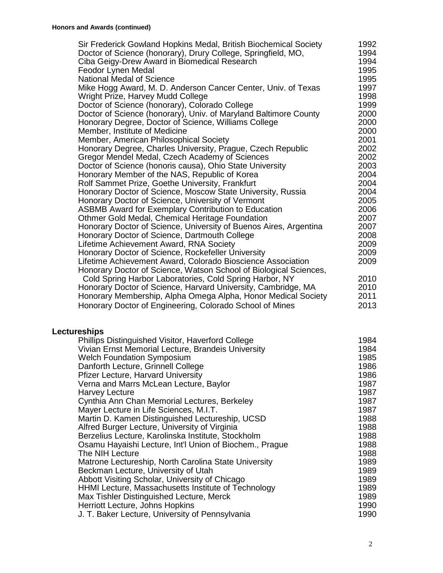| Sir Frederick Gowland Hopkins Medal, British Biochemical Society  | 1992 |
|-------------------------------------------------------------------|------|
| Doctor of Science (honorary), Drury College, Springfield, MO,     | 1994 |
| Ciba Geigy-Drew Award in Biomedical Research                      | 1994 |
| Feodor Lynen Medal                                                | 1995 |
| <b>National Medal of Science</b>                                  | 1995 |
| Mike Hogg Award, M. D. Anderson Cancer Center, Univ. of Texas     | 1997 |
| Wright Prize, Harvey Mudd College                                 | 1998 |
| Doctor of Science (honorary), Colorado College                    | 1999 |
| Doctor of Science (honorary), Univ. of Maryland Baltimore County  | 2000 |
| Honorary Degree, Doctor of Science, Williams College              | 2000 |
| Member, Institute of Medicine                                     | 2000 |
| Member, American Philosophical Society                            | 2001 |
| Honorary Degree, Charles University, Prague, Czech Republic       | 2002 |
| Gregor Mendel Medal, Czech Academy of Sciences                    | 2002 |
| Doctor of Science (honoris causa), Ohio State University          | 2003 |
| Honorary Member of the NAS, Republic of Korea                     | 2004 |
| Rolf Sammet Prize, Goethe University, Frankfurt                   | 2004 |
| Honorary Doctor of Science, Moscow State University, Russia       | 2004 |
| Honorary Doctor of Science, University of Vermont                 | 2005 |
| <b>ASBMB Award for Exemplary Contribution to Education</b>        | 2006 |
| Othmer Gold Medal, Chemical Heritage Foundation                   | 2007 |
| Honorary Doctor of Science, University of Buenos Aires, Argentina | 2007 |
| Honorary Doctor of Science, Dartmouth College                     | 2008 |
| Lifetime Achievement Award, RNA Society                           | 2009 |
| Honorary Doctor of Science, Rockefeller University                | 2009 |
| Lifetime Achievement Award, Colorado Bioscience Association       | 2009 |
| Honorary Doctor of Science, Watson School of Biological Sciences, |      |
| Cold Spring Harbor Laboratories, Cold Spring Harbor, NY           | 2010 |
| Honorary Doctor of Science, Harvard University, Cambridge, MA     | 2010 |
| Honorary Membership, Alpha Omega Alpha, Honor Medical Society     | 2011 |
| Honorary Doctor of Engineering, Colorado School of Mines          | 2013 |
|                                                                   |      |

# **Lectureships**

| Phillips Distinguished Visitor, Haverford College       | 1984 |
|---------------------------------------------------------|------|
| Vivian Ernst Memorial Lecture, Brandeis University      | 1984 |
| <b>Welch Foundation Symposium</b>                       | 1985 |
| Danforth Lecture, Grinnell College                      | 1986 |
| <b>Pfizer Lecture, Harvard University</b>               | 1986 |
| Verna and Marrs McLean Lecture, Baylor                  | 1987 |
| <b>Harvey Lecture</b>                                   | 1987 |
| Cynthia Ann Chan Memorial Lectures, Berkeley            | 1987 |
| Mayer Lecture in Life Sciences, M.I.T.                  | 1987 |
| Martin D. Kamen Distinguished Lectureship, UCSD         | 1988 |
| Alfred Burger Lecture, University of Virginia           | 1988 |
| Berzelius Lecture, Karolinska Institute, Stockholm      | 1988 |
| Osamu Hayaishi Lecture, Int'l Union of Biochem., Prague | 1988 |
| The NIH Lecture                                         | 1988 |
| Matrone Lectureship, North Carolina State University    | 1989 |
| Beckman Lecture, University of Utah                     | 1989 |
| Abbott Visiting Scholar, University of Chicago          | 1989 |
| HHMI Lecture, Massachusetts Institute of Technology     | 1989 |
| Max Tishler Distinguished Lecture, Merck                | 1989 |
| Herriott Lecture, Johns Hopkins                         | 1990 |
| J. T. Baker Lecture, University of Pennsylvania         | 1990 |
|                                                         |      |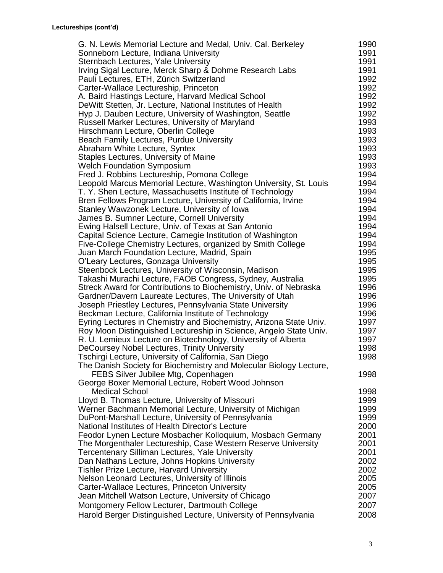| G. N. Lewis Memorial Lecture and Medal, Univ. Cal. Berkeley        | 1990 |
|--------------------------------------------------------------------|------|
| Sonneborn Lecture, Indiana University                              | 1991 |
| Sternbach Lectures, Yale University                                | 1991 |
| Irving Sigal Lecture, Merck Sharp & Dohme Research Labs            | 1991 |
| Pauli Lectures, ETH, Zürich Switzerland                            | 1992 |
| Carter-Wallace Lectureship, Princeton                              | 1992 |
| A. Baird Hastings Lecture, Harvard Medical School                  | 1992 |
| DeWitt Stetten, Jr. Lecture, National Institutes of Health         | 1992 |
| Hyp J. Dauben Lecture, University of Washington, Seattle           | 1992 |
| Russell Marker Lectures, University of Maryland                    | 1993 |
| Hirschmann Lecture, Oberlin College                                | 1993 |
| Beach Family Lectures, Purdue University                           | 1993 |
| Abraham White Lecture, Syntex                                      | 1993 |
| Staples Lectures, University of Maine                              | 1993 |
| <b>Welch Foundation Symposium</b>                                  | 1993 |
| Fred J. Robbins Lectureship, Pomona College                        | 1994 |
| Leopold Marcus Memorial Lecture, Washington University, St. Louis  | 1994 |
| T. Y. Shen Lecture, Massachusetts Institute of Technology          | 1994 |
| Bren Fellows Program Lecture, University of California, Irvine     | 1994 |
| Stanley Wawzonek Lecture, University of Iowa                       | 1994 |
| James B. Sumner Lecture, Cornell University                        | 1994 |
| Ewing Halsell Lecture, Univ. of Texas at San Antonio               | 1994 |
| Capital Science Lecture, Carnegie Institution of Washington        | 1994 |
| Five-College Chemistry Lectures, organized by Smith College        | 1994 |
| Juan March Foundation Lecture, Madrid, Spain                       | 1995 |
| O'Leary Lectures, Gonzaga University                               | 1995 |
| Steenbock Lectures, University of Wisconsin, Madison               | 1995 |
| Takashi Murachi Lecture, FAOB Congress, Sydney, Australia          | 1995 |
| Streck Award for Contributions to Biochemistry, Univ. of Nebraska  | 1996 |
| Gardner/Davern Laureate Lectures, The University of Utah           | 1996 |
| Joseph Priestley Lectures, Pennsylvania State University           | 1996 |
| Beckman Lecture, California Institute of Technology                | 1996 |
| Eyring Lectures in Chemistry and Biochemistry, Arizona State Univ. | 1997 |
| Roy Moon Distinguished Lectureship in Science, Angelo State Univ.  | 1997 |
| R. U. Lemieux Lecture on Biotechnology, University of Alberta      | 1997 |
| DeCoursey Nobel Lectures, Trinity University                       | 1998 |
| Tschirgi Lecture, University of California, San Diego              | 1998 |
| The Danish Society for Biochemistry and Molecular Biology Lecture, |      |
| FEBS Silver Jubilee Mtg, Copenhagen                                | 1998 |
| George Boxer Memorial Lecture, Robert Wood Johnson                 |      |
| <b>Medical School</b>                                              | 1998 |
| Lloyd B. Thomas Lecture, University of Missouri                    | 1999 |
| Werner Bachmann Memorial Lecture, University of Michigan           | 1999 |
| DuPont-Marshall Lecture, University of Pennsylvania                | 1999 |
| National Institutes of Health Director's Lecture                   | 2000 |
| Feodor Lynen Lecture Mosbacher Kolloquium, Mosbach Germany         | 2001 |
| The Morgenthaler Lectureship, Case Western Reserve University      | 2001 |
| <b>Tercentenary Silliman Lectures, Yale University</b>             | 2001 |
| Dan Nathans Lecture, Johns Hopkins University                      | 2002 |
| <b>Tishler Prize Lecture, Harvard University</b>                   | 2002 |
| Nelson Leonard Lectures, University of Illinois                    | 2005 |
| Carter-Wallace Lectures, Princeton University                      | 2005 |
| Jean Mitchell Watson Lecture, University of Chicago                | 2007 |
| Montgomery Fellow Lecturer, Dartmouth College                      | 2007 |
|                                                                    | 2008 |
| Harold Berger Distinguished Lecture, University of Pennsylvania    |      |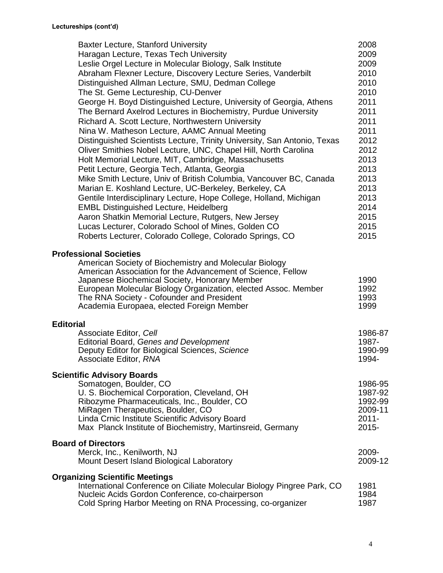| <b>Baxter Lecture, Stanford University</b>                                                                                                                                                                                                                                                                             | 2008                 |
|------------------------------------------------------------------------------------------------------------------------------------------------------------------------------------------------------------------------------------------------------------------------------------------------------------------------|----------------------|
| Haragan Lecture, Texas Tech University                                                                                                                                                                                                                                                                                 | 2009                 |
| Leslie Orgel Lecture in Molecular Biology, Salk Institute                                                                                                                                                                                                                                                              | 2009                 |
| Abraham Flexner Lecture, Discovery Lecture Series, Vanderbilt                                                                                                                                                                                                                                                          | 2010                 |
| Distinguished Allman Lecture, SMU, Dedman College                                                                                                                                                                                                                                                                      | 2010                 |
| The St. Geme Lectureship, CU-Denver                                                                                                                                                                                                                                                                                    | 2010                 |
| George H. Boyd Distinguished Lecture, University of Georgia, Athens                                                                                                                                                                                                                                                    | 2011                 |
| The Bernard Axelrod Lectures in Biochemistry, Purdue University                                                                                                                                                                                                                                                        | 2011                 |
| Richard A. Scott Lecture, Northwestern University                                                                                                                                                                                                                                                                      | 2011                 |
| Nina W. Matheson Lecture, AAMC Annual Meeting                                                                                                                                                                                                                                                                          | 2011                 |
| Distinguished Scientists Lecture, Trinity University, San Antonio, Texas                                                                                                                                                                                                                                               | 2012                 |
| Oliver Smithies Nobel Lecture, UNC, Chapel Hill, North Carolina                                                                                                                                                                                                                                                        | 2012                 |
| Holt Memorial Lecture, MIT, Cambridge, Massachusetts                                                                                                                                                                                                                                                                   | 2013                 |
| Petit Lecture, Georgia Tech, Atlanta, Georgia                                                                                                                                                                                                                                                                          | 2013                 |
| Mike Smith Lecture, Univ of British Columbia, Vancouver BC, Canada                                                                                                                                                                                                                                                     | 2013                 |
| Marian E. Koshland Lecture, UC-Berkeley, Berkeley, CA                                                                                                                                                                                                                                                                  | 2013                 |
| Gentile Interdisciplinary Lecture, Hope College, Holland, Michigan                                                                                                                                                                                                                                                     | 2013                 |
| <b>EMBL Distinguished Lecture, Heidelberg</b>                                                                                                                                                                                                                                                                          | 2014                 |
| Aaron Shatkin Memorial Lecture, Rutgers, New Jersey                                                                                                                                                                                                                                                                    | 2015                 |
| Lucas Lecturer, Colorado School of Mines, Golden CO                                                                                                                                                                                                                                                                    | 2015                 |
| Roberts Lecturer, Colorado College, Colorado Springs, CO                                                                                                                                                                                                                                                               | 2015                 |
|                                                                                                                                                                                                                                                                                                                        |                      |
| <b>Professional Societies</b><br>American Society of Biochemistry and Molecular Biology<br>American Association for the Advancement of Science, Fellow<br>Japanese Biochemical Society, Honorary Member<br>European Molecular Biology Organization, elected Assoc. Member<br>The RNA Society - Cofounder and President | 1990<br>1992<br>1993 |
| Academia Europaea, elected Foreign Member<br><b>Editorial</b>                                                                                                                                                                                                                                                          | 1999                 |
| Associate Editor, Cell                                                                                                                                                                                                                                                                                                 | 1986-87              |
| Editorial Board, Genes and Development                                                                                                                                                                                                                                                                                 | 1987-                |
| Deputy Editor for Biological Sciences, Science                                                                                                                                                                                                                                                                         | 1990-99              |
| Associate Editor, RNA                                                                                                                                                                                                                                                                                                  | 1994-                |
| <b>Scientific Advisory Boards</b>                                                                                                                                                                                                                                                                                      |                      |
| Somatogen, Boulder, CO                                                                                                                                                                                                                                                                                                 | 1986-95              |
| U. S. Biochemical Corporation, Cleveland, OH                                                                                                                                                                                                                                                                           | 1987-92              |
| Ribozyme Pharmaceuticals, Inc., Boulder, CO                                                                                                                                                                                                                                                                            | 1992-99              |
| MiRagen Therapeutics, Boulder, CO                                                                                                                                                                                                                                                                                      | 2009-11              |
| Linda Crnic Institute Scientific Advisory Board                                                                                                                                                                                                                                                                        | $2011 -$             |
| Max Planck Institute of Biochemistry, Martinsreid, Germany                                                                                                                                                                                                                                                             | $2015 -$             |
| <b>Board of Directors</b>                                                                                                                                                                                                                                                                                              |                      |
| Merck, Inc., Kenilworth, NJ                                                                                                                                                                                                                                                                                            | 2009-                |
| Mount Desert Island Biological Laboratory                                                                                                                                                                                                                                                                              | 2009-12              |
|                                                                                                                                                                                                                                                                                                                        |                      |
| <b>Organizing Scientific Meetings</b>                                                                                                                                                                                                                                                                                  |                      |
| International Conference on Ciliate Molecular Biology Pingree Park, CO<br>Nucleic Acids Gordon Conference, co-chairperson                                                                                                                                                                                              | 1981<br>1984         |
| Cold Spring Harbor Meeting on RNA Processing, co-organizer                                                                                                                                                                                                                                                             | 1987                 |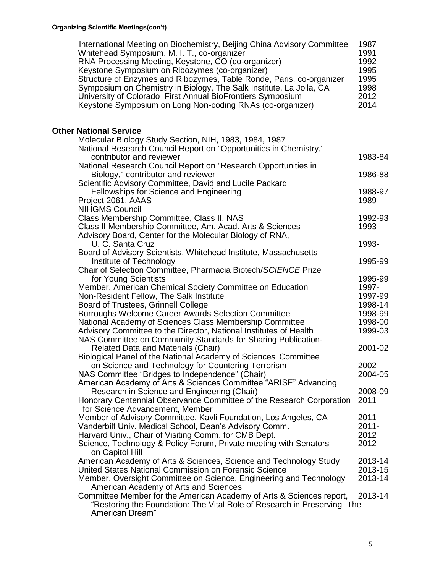| International Meeting on Biochemistry, Beijing China Advisory Committee<br>Whitehead Symposium, M. I. T., co-organizer<br>RNA Processing Meeting, Keystone, CO (co-organizer)<br>Keystone Symposium on Ribozymes (co-organizer)<br>Structure of Enzymes and Ribozymes, Table Ronde, Paris, co-organizer<br>Symposium on Chemistry in Biology, The Salk Institute, La Jolla, CA<br>University of Colorado First Annual BioFrontiers Symposium<br>Keystone Symposium on Long Non-coding RNAs (co-organizer) | 1987<br>1991<br>1992<br>1995<br>1995<br>1998<br>2012<br>2014 |
|-----------------------------------------------------------------------------------------------------------------------------------------------------------------------------------------------------------------------------------------------------------------------------------------------------------------------------------------------------------------------------------------------------------------------------------------------------------------------------------------------------------|--------------------------------------------------------------|
| <b>Other National Service</b>                                                                                                                                                                                                                                                                                                                                                                                                                                                                             |                                                              |
| Molecular Biology Study Section, NIH, 1983, 1984, 1987                                                                                                                                                                                                                                                                                                                                                                                                                                                    |                                                              |
| National Research Council Report on "Opportunities in Chemistry,"                                                                                                                                                                                                                                                                                                                                                                                                                                         |                                                              |
| contributor and reviewer                                                                                                                                                                                                                                                                                                                                                                                                                                                                                  | 1983-84                                                      |
| National Research Council Report on "Research Opportunities in                                                                                                                                                                                                                                                                                                                                                                                                                                            |                                                              |
| Biology," contributor and reviewer                                                                                                                                                                                                                                                                                                                                                                                                                                                                        | 1986-88                                                      |
| Scientific Advisory Committee, David and Lucile Packard<br>Fellowships for Science and Engineering                                                                                                                                                                                                                                                                                                                                                                                                        | 1988-97                                                      |
| Project 2061, AAAS                                                                                                                                                                                                                                                                                                                                                                                                                                                                                        | 1989                                                         |
| <b>NIHGMS Council</b>                                                                                                                                                                                                                                                                                                                                                                                                                                                                                     |                                                              |
| Class Membership Committee, Class II, NAS                                                                                                                                                                                                                                                                                                                                                                                                                                                                 | 1992-93                                                      |
| Class II Membership Committee, Am. Acad. Arts & Sciences                                                                                                                                                                                                                                                                                                                                                                                                                                                  | 1993                                                         |
| Advisory Board, Center for the Molecular Biology of RNA,                                                                                                                                                                                                                                                                                                                                                                                                                                                  |                                                              |
| U. C. Santa Cruz                                                                                                                                                                                                                                                                                                                                                                                                                                                                                          | 1993-                                                        |
| Board of Advisory Scientists, Whitehead Institute, Massachusetts                                                                                                                                                                                                                                                                                                                                                                                                                                          |                                                              |
| Institute of Technology                                                                                                                                                                                                                                                                                                                                                                                                                                                                                   | 1995-99                                                      |
| Chair of Selection Committee, Pharmacia Biotech/SCIENCE Prize<br>for Young Scientists                                                                                                                                                                                                                                                                                                                                                                                                                     | 1995-99                                                      |
| Member, American Chemical Society Committee on Education                                                                                                                                                                                                                                                                                                                                                                                                                                                  | 1997-                                                        |
| Non-Resident Fellow, The Salk Institute                                                                                                                                                                                                                                                                                                                                                                                                                                                                   | 1997-99                                                      |
| Board of Trustees, Grinnell College                                                                                                                                                                                                                                                                                                                                                                                                                                                                       | 1998-14                                                      |
| <b>Burroughs Welcome Career Awards Selection Committee</b>                                                                                                                                                                                                                                                                                                                                                                                                                                                | 1998-99                                                      |
| National Academy of Sciences Class Membership Committee                                                                                                                                                                                                                                                                                                                                                                                                                                                   | 1998-00                                                      |
| Advisory Committee to the Director, National Institutes of Health                                                                                                                                                                                                                                                                                                                                                                                                                                         | 1999-03                                                      |
| NAS Committee on Community Standards for Sharing Publication-                                                                                                                                                                                                                                                                                                                                                                                                                                             |                                                              |
| Related Data and Materials (Chair)                                                                                                                                                                                                                                                                                                                                                                                                                                                                        | 2001-02                                                      |
| Biological Panel of the National Academy of Sciences' Committee                                                                                                                                                                                                                                                                                                                                                                                                                                           |                                                              |
| on Science and Technology for Countering Terrorism<br>NAS Committee "Bridges to Independence" (Chair)                                                                                                                                                                                                                                                                                                                                                                                                     | 2002<br>2004-05                                              |
| American Academy of Arts & Sciences Committee "ARISE" Advancing                                                                                                                                                                                                                                                                                                                                                                                                                                           |                                                              |
| Research in Science and Engineering (Chair)                                                                                                                                                                                                                                                                                                                                                                                                                                                               | 2008-09                                                      |
| Honorary Centennial Observance Committee of the Research Corporation                                                                                                                                                                                                                                                                                                                                                                                                                                      | 2011                                                         |
| for Science Advancement, Member                                                                                                                                                                                                                                                                                                                                                                                                                                                                           |                                                              |
| Member of Advisory Committee, Kavli Foundation, Los Angeles, CA                                                                                                                                                                                                                                                                                                                                                                                                                                           | 2011                                                         |
| Vanderbilt Univ. Medical School, Dean's Advisory Comm.                                                                                                                                                                                                                                                                                                                                                                                                                                                    | $2011 -$                                                     |
| Harvard Univ., Chair of Visiting Comm. for CMB Dept.                                                                                                                                                                                                                                                                                                                                                                                                                                                      | 2012                                                         |
| Science, Technology & Policy Forum, Private meeting with Senators<br>on Capitol Hill                                                                                                                                                                                                                                                                                                                                                                                                                      | 2012                                                         |
| American Academy of Arts & Sciences, Science and Technology Study                                                                                                                                                                                                                                                                                                                                                                                                                                         | 2013-14                                                      |
| United States National Commission on Forensic Science                                                                                                                                                                                                                                                                                                                                                                                                                                                     | 2013-15                                                      |
| Member, Oversight Committee on Science, Engineering and Technology                                                                                                                                                                                                                                                                                                                                                                                                                                        | 2013-14                                                      |
| American Academy of Arts and Sciences                                                                                                                                                                                                                                                                                                                                                                                                                                                                     |                                                              |
| Committee Member for the American Academy of Arts & Sciences report,<br>"Restoring the Foundation: The Vital Role of Research in Preserving The                                                                                                                                                                                                                                                                                                                                                           | 2013-14                                                      |
| American Dream"                                                                                                                                                                                                                                                                                                                                                                                                                                                                                           |                                                              |
|                                                                                                                                                                                                                                                                                                                                                                                                                                                                                                           |                                                              |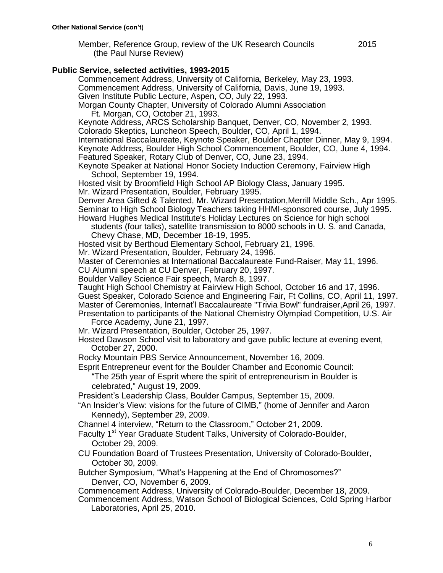Member, Reference Group, review of the UK Research Councils 2015 (the Paul Nurse Review)

#### **Public Service, selected activities, 1993-2015**

Commencement Address, University of California, Berkeley, May 23, 1993. Commencement Address, University of California, Davis, June 19, 1993. Given Institute Public Lecture, Aspen, CO, July 22, 1993. Morgan County Chapter, University of Colorado Alumni Association

Ft. Morgan, CO, October 21, 1993.

Keynote Address, ARCS Scholarship Banquet, Denver, CO, November 2, 1993. Colorado Skeptics, Luncheon Speech, Boulder, CO, April 1, 1994.

International Baccalaureate, Keynote Speaker, Boulder Chapter Dinner, May 9, 1994. Keynote Address, Boulder High School Commencement, Boulder, CO, June 4, 1994. Featured Speaker, Rotary Club of Denver, CO, June 23, 1994.

Keynote Speaker at National Honor Society Induction Ceremony, Fairview High School, September 19, 1994.

Hosted visit by Broomfield High School AP Biology Class, January 1995.

Mr. Wizard Presentation, Boulder, February 1995.

Denver Area Gifted & Talented, Mr. Wizard Presentation,Merrill Middle Sch., Apr 1995. Seminar to High School Biology Teachers taking HHMI-sponsored course, July 1995. Howard Hughes Medical Institute's Holiday Lectures on Science for high school

students (four talks), satellite transmission to 8000 schools in U. S. and Canada, Chevy Chase, MD, December 18-19, 1995.

Hosted visit by Berthoud Elementary School, February 21, 1996.

Mr. Wizard Presentation, Boulder, February 24, 1996.

Master of Ceremonies at International Baccalaureate Fund-Raiser, May 11, 1996.

CU Alumni speech at CU Denver, February 20, 1997.

Boulder Valley Science Fair speech, March 8, 1997.

Taught High School Chemistry at Fairview High School, October 16 and 17, 1996. Guest Speaker, Colorado Science and Engineering Fair, Ft Collins, CO, April 11, 1997. Master of Ceremonies, Internat'l Baccalaureate "Trivia Bowl" fundraiser,April 26, 1997. Presentation to participants of the National Chemistry Olympiad Competition, U.S. Air

Force Academy, June 21, 1997.

Mr. Wizard Presentation, Boulder, October 25, 1997.

Hosted Dawson School visit to laboratory and gave public lecture at evening event, October 27, 2000.

Rocky Mountain PBS Service Announcement, November 16, 2009.

Esprit Entrepreneur event for the Boulder Chamber and Economic Council:

"The 25th year of Esprit where the spirit of entrepreneurism in Boulder is celebrated," August 19, 2009.

President's Leadership Class, Boulder Campus, September 15, 2009.

"An Insider's View: visions for the future of CIMB," (home of Jennifer and Aaron Kennedy), September 29, 2009.

Channel 4 interview, "Return to the Classroom," October 21, 2009.

Faculty 1<sup>st</sup> Year Graduate Student Talks, University of Colorado-Boulder, October 29, 2009.

CU Foundation Board of Trustees Presentation, University of Colorado-Boulder, October 30, 2009.

Butcher Symposium, "What's Happening at the End of Chromosomes?" Denver, CO, November 6, 2009.

Commencement Address, University of Colorado-Boulder, December 18, 2009.

Commencement Address, Watson School of Biological Sciences, Cold Spring Harbor Laboratories, April 25, 2010.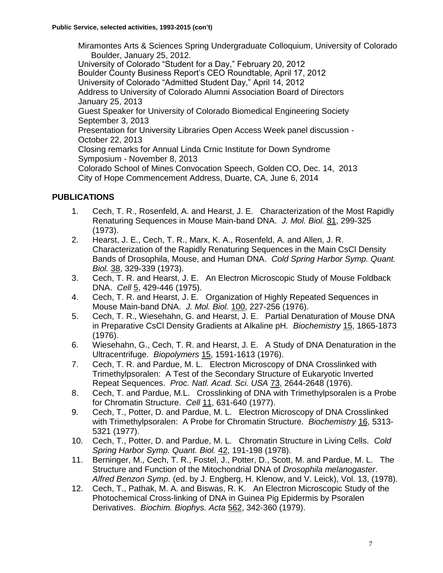Miramontes Arts & Sciences Spring Undergraduate Colloquium, University of Colorado Boulder, January 25, 2012. University of Colorado "Student for a Day," February 20, 2012 Boulder County Business Report's CEO Roundtable, April 17, 2012 University of Colorado "Admitted Student Day," April 14, 2012 Address to University of Colorado Alumni Association Board of Directors January 25, 2013 Guest Speaker for University of Colorado Biomedical Engineering Society September 3, 2013 Presentation for University Libraries Open Access Week panel discussion - October 22, 2013 Closing remarks for Annual Linda Crnic Institute for Down Syndrome Symposium - November 8, 2013 Colorado School of Mines Convocation Speech, Golden CO, Dec. 14, 2013 City of Hope Commencement Address, Duarte, CA, June 6, 2014

## **PUBLICATIONS**

- 1. Cech, T. R., Rosenfeld, A. and Hearst, J. E. Characterization of the Most Rapidly Renaturing Sequences in Mouse Main-band DNA. *J. Mol. Biol.* 81, 299-325 (1973).
- 2. Hearst, J. E., Cech, T. R., Marx, K. A., Rosenfeld, A. and Allen, J. R. Characterization of the Rapidly Renaturing Sequences in the Main CsCl Density Bands of Drosophila, Mouse, and Human DNA. *Cold Spring Harbor Symp. Quant. Biol.* 38, 329-339 (1973).
- 3. Cech, T. R. and Hearst, J. E. An Electron Microscopic Study of Mouse Foldback DNA. *Cell* 5, 429-446 (1975).
- 4. Cech, T. R. and Hearst, J. E. Organization of Highly Repeated Sequences in Mouse Main-band DNA. *J. Mol. Biol.* 100, 227-256 (1976).
- 5. Cech, T. R., Wiesehahn, G. and Hearst, J. E. Partial Denaturation of Mouse DNA in Preparative CsCl Density Gradients at Alkaline pH. *Biochemistry* 15, 1865-1873 (1976).
- 6. Wiesehahn, G., Cech, T. R. and Hearst, J. E. A Study of DNA Denaturation in the Ultracentrifuge. *Biopolymers* 15, 1591-1613 (1976).
- 7. Cech, T. R. and Pardue, M. L. Electron Microscopy of DNA Crosslinked with Trimethylpsoralen: A Test of the Secondary Structure of Eukaryotic Inverted Repeat Sequences. *Proc. Natl. Acad. Sci. USA* 73, 2644-2648 (1976).
- 8. Cech, T. and Pardue, M.L. Crosslinking of DNA with Trimethylpsoralen is a Probe for Chromatin Structure. *Cell* 11, 631-640 (1977).
- 9. Cech, T., Potter, D. and Pardue, M. L. Electron Microscopy of DNA Crosslinked with Trimethylpsoralen: A Probe for Chromatin Structure. *Biochemistry* 16, 5313- 5321 (1977).
- 10. Cech, T., Potter, D. and Pardue, M. L. Chromatin Structure in Living Cells. *Cold Spring Harbor Symp. Quant. Biol.* 42, 191-198 (1978).
- 11. Berninger, M., Cech, T. R., Fostel, J., Potter, D., Scott, M. and Pardue, M. L. The Structure and Function of the Mitochondrial DNA of *Drosophila melanogaster*. *Alfred Benzon Symp.* (ed. by J. Engberg, H. Klenow, and V. Leick), Vol. 13, (1978).
- 12. Cech, T., Pathak, M. A. and Biswas, R. K. An Electron Microscopic Study of the Photochemical Cross-linking of DNA in Guinea Pig Epidermis by Psoralen Derivatives. *Biochim. Biophys. Acta* 562, 342-360 (1979).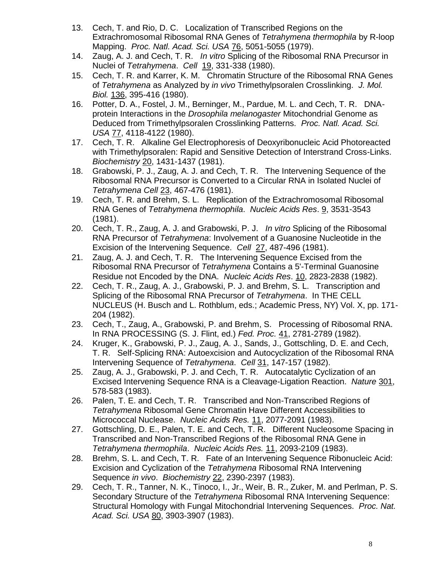- 13. Cech, T. and Rio, D. C. Localization of Transcribed Regions on the Extrachromosomal Ribosomal RNA Genes of *Tetrahymena thermophila* by R-loop Mapping. *Proc. Natl. Acad. Sci. USA* 76, 5051-5055 (1979).
- 14. Zaug, A. J. and Cech, T. R. *In vitro* Splicing of the Ribosomal RNA Precursor in Nuclei of *Tetrahymena*. *Cell* 19, 331-338 (1980).
- 15. Cech, T. R. and Karrer, K. M. Chromatin Structure of the Ribosomal RNA Genes of *Tetrahymena* as Analyzed by *in vivo* Trimethylpsoralen Crosslinking. *J. Mol. Biol.* 136, 395-416 (1980).
- 16. Potter, D. A., Fostel, J. M., Berninger, M., Pardue, M. L. and Cech, T. R. DNAprotein Interactions in the *Drosophila melanogaster* Mitochondrial Genome as Deduced from Trimethylpsoralen Crosslinking Patterns. *Proc. Natl. Acad. Sci. USA* 77, 4118-4122 (1980).
- 17. Cech, T. R. Alkaline Gel Electrophoresis of Deoxyribonucleic Acid Photoreacted with Trimethylpsoralen: Rapid and Sensitive Detection of Interstrand Cross-Links. *Biochemistry* 20, 1431-1437 (1981).
- 18. Grabowski, P. J., Zaug, A. J. and Cech, T. R. The Intervening Sequence of the Ribosomal RNA Precursor is Converted to a Circular RNA in Isolated Nuclei of *Tetrahymena Cell* 23, 467-476 (1981).
- 19. Cech, T. R. and Brehm, S. L. Replication of the Extrachromosomal Ribosomal RNA Genes of *Tetrahymena thermophila*. *Nucleic Acids Res*. 9, 3531-3543 (1981).
- 20. Cech, T. R., Zaug, A. J. and Grabowski, P. J. *In vitro* Splicing of the Ribosomal RNA Precursor of *Tetrahymena*: Involvement of a Guanosine Nucleotide in the Excision of the Intervening Sequence. *Cell* 27, 487-496 (1981).
- 21. Zaug, A. J. and Cech, T. R. The Intervening Sequence Excised from the Ribosomal RNA Precursor of *Tetrahymena* Contains a 5'-Terminal Guanosine Residue not Encoded by the DNA. *Nucleic Acids Res*. 10, 2823-2838 (1982).
- 22. Cech, T. R., Zaug, A. J., Grabowski, P. J. and Brehm, S. L. Transcription and Splicing of the Ribosomal RNA Precursor of *Tetrahymena*. In THE CELL NUCLEUS (H. Busch and L. Rothblum, eds.; Academic Press, NY) Vol. X, pp. 171- 204 (1982).
- 23. Cech, T., Zaug, A., Grabowski, P. and Brehm, S. Processing of Ribosomal RNA. In RNA PROCESSING (S. J. Flint, ed.) *Fed. Proc.* 41, 2781-2789 (1982).
- 24. Kruger, K., Grabowski, P. J., Zaug, A. J., Sands, J., Gottschling, D. E. and Cech, T. R. Self-Splicing RNA: Autoexcision and Autocyclization of the Ribosomal RNA Intervening Sequence of *Tetrahymena*. *Cell* 31, 147-157 (1982).
- 25. Zaug, A. J., Grabowski, P. J. and Cech, T. R. Autocatalytic Cyclization of an Excised Intervening Sequence RNA is a Cleavage-Ligation Reaction. *Nature* 301, 578-583 (1983).
- 26. Palen, T. E. and Cech, T. R. Transcribed and Non-Transcribed Regions of *Tetrahymena* Ribosomal Gene Chromatin Have Different Accessibilities to Micrococcal Nuclease. *Nucleic Acids Res.* 11, 2077-2091 (1983).
- 27. Gottschling, D. E., Palen, T. E. and Cech, T. R. Different Nucleosome Spacing in Transcribed and Non-Transcribed Regions of the Ribosomal RNA Gene in *Tetrahymena thermophila*. *Nucleic Acids Res.* 11, 2093-2109 (1983).
- 28. Brehm, S. L. and Cech, T. R. Fate of an Intervening Sequence Ribonucleic Acid: Excision and Cyclization of the *Tetrahymena* Ribosomal RNA Intervening Sequence *in vivo*. *Biochemistry* 22, 2390-2397 (1983).
- 29. Cech, T. R., Tanner, N. K., Tinoco, I., Jr., Weir, B. R., Zuker, M. and Perlman, P. S. Secondary Structure of the *Tetrahymena* Ribosomal RNA Intervening Sequence: Structural Homology with Fungal Mitochondrial Intervening Sequences. *Proc. Nat. Acad. Sci. USA* 80, 3903-3907 (1983).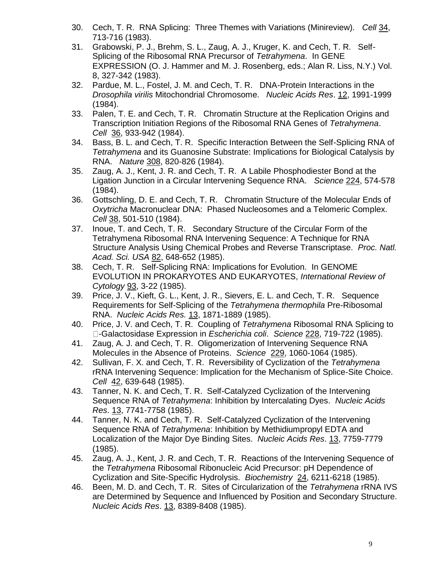- 30. Cech, T. R. RNA Splicing: Three Themes with Variations (Minireview). *Cell* 34, 713-716 (1983).
- 31. Grabowski, P. J., Brehm, S. L., Zaug, A. J., Kruger, K. and Cech, T. R. Self-Splicing of the Ribosomal RNA Precursor of *Tetrahymena*. In GENE EXPRESSION (O. J. Hammer and M. J. Rosenberg, eds.; Alan R. Liss, N.Y.) Vol. 8, 327-342 (1983).
- 32. Pardue, M. L., Fostel, J. M. and Cech, T. R. DNA-Protein Interactions in the *Drosophila virilis* Mitochondrial Chromosome. *Nucleic Acids Res*. 12, 1991-1999 (1984).
- 33. Palen, T. E. and Cech, T. R. Chromatin Structure at the Replication Origins and Transcription Initiation Regions of the Ribosomal RNA Genes of *Tetrahymena*. *Cell* 36, 933-942 (1984).
- 34. Bass, B. L. and Cech, T. R. Specific Interaction Between the Self-Splicing RNA of *Tetrahymena* and its Guanosine Substrate: Implications for Biological Catalysis by RNA. *Nature* 308, 820-826 (1984).
- 35. Zaug, A. J., Kent, J. R. and Cech, T. R. A Labile Phosphodiester Bond at the Ligation Junction in a Circular Intervening Sequence RNA. *Science* 224, 574-578 (1984).
- 36. Gottschling, D. E. and Cech, T. R. Chromatin Structure of the Molecular Ends of *Oxytricha* Macronuclear DNA: Phased Nucleosomes and a Telomeric Complex. *Cell* 38, 501-510 (1984).
- 37. Inoue, T. and Cech, T. R. Secondary Structure of the Circular Form of the Tetrahymena Ribosomal RNA Intervening Sequence: A Technique for RNA Structure Analysis Using Chemical Probes and Reverse Transcriptase. *Proc. Natl. Acad. Sci. USA* 82, 648-652 (1985).
- 38. Cech, T. R. Self-Splicing RNA: Implications for Evolution. In GENOME EVOLUTION IN PROKARYOTES AND EUKARYOTES, *International Review of Cytology* 93, 3-22 (1985).
- 39. Price, J. V., Kieft, G. L., Kent, J. R., Sievers, E. L. and Cech, T. R. Sequence Requirements for Self-Splicing of the *Tetrahymena thermophila* Pre-Ribosomal RNA. *Nucleic Acids Res.* 13, 1871-1889 (1985).
- 40. Price, J. V. and Cech, T. R. Coupling of *Tetrahymena* Ribosomal RNA Splicing to -Galactosidase Expression in *Escherichia coli*. *Science* 228, 719-722 (1985).
- 41. Zaug, A. J. and Cech, T. R. Oligomerization of Intervening Sequence RNA Molecules in the Absence of Proteins. *Science* 229, 1060-1064 (1985).
- 42. Sullivan, F. X. and Cech, T. R. Reversibility of Cyclization of the *Tetrahymena* rRNA Intervening Sequence: Implication for the Mechanism of Splice-Site Choice. *Cell* 42, 639-648 (1985).
- 43. Tanner, N. K. and Cech, T. R. Self-Catalyzed Cyclization of the Intervening Sequence RNA of *Tetrahymena*: Inhibition by Intercalating Dyes. *Nucleic Acids Res*. 13, 7741-7758 (1985).
- 44. Tanner, N. K. and Cech, T. R. Self-Catalyzed Cyclization of the Intervening Sequence RNA of *Tetrahymena*: Inhibition by Methidiumpropyl EDTA and Localization of the Major Dye Binding Sites. *Nucleic Acids Res*. 13, 7759-7779 (1985).
- 45. Zaug, A. J., Kent, J. R. and Cech, T. R. Reactions of the Intervening Sequence of the *Tetrahymena* Ribosomal Ribonucleic Acid Precursor: pH Dependence of Cyclization and Site-Specific Hydrolysis. *Biochemistry* 24, 6211-6218 (1985).
- 46. Been, M. D. and Cech, T. R. Sites of Circularization of the *Tetrahymena* rRNA IVS are Determined by Sequence and Influenced by Position and Secondary Structure. *Nucleic Acids Res*. 13, 8389-8408 (1985).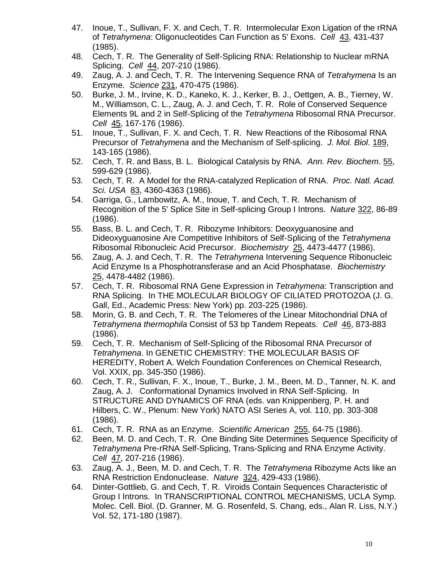- 47. Inoue, T., Sullivan, F. X. and Cech, T. R. Intermolecular Exon Ligation of the rRNA of *Tetrahymena*: Oligonucleotides Can Function as 5' Exons. *Cell* 43, 431-437 (1985).
- 48. Cech, T. R. The Generality of Self-Splicing RNA: Relationship to Nuclear mRNA Splicing. *Cell* 44, 207-210 (1986).
- 49. Zaug, A. J. and Cech, T. R. The Intervening Sequence RNA of *Tetrahymena* Is an Enzyme. *Science* 231, 470-475 (1986).
- 50. Burke, J. M., Irvine, K. D., Kaneko, K. J., Kerker, B. J., Oettgen, A. B., Tierney, W. M., Williamson, C. L., Zaug, A. J. and Cech, T. R. Role of Conserved Sequence Elements 9L and 2 in Self-Splicing of the *Tetrahymena* Ribosomal RNA Precursor. *Cell* 45, 167-176 (1986).
- 51. Inoue, T., Sullivan, F. X. and Cech, T. R. New Reactions of the Ribosomal RNA Precursor of *Tetrahymena* and the Mechanism of Self-splicing. *J. Mol. Biol*. 189, 143-165 (1986).
- 52. Cech, T. R. and Bass, B. L. Biological Catalysis by RNA. *Ann. Rev. Biochem*. 55, 599-629 (1986).
- 53. Cech, T. R. A Model for the RNA-catalyzed Replication of RNA. *Proc. Natl. Acad. Sci. USA 83, 4360-4363 (1986).*
- 54. Garriga, G., Lambowitz, A. M., Inoue, T. and Cech, T. R. Mechanism of Recognition of the 5' Splice Site in Self-splicing Group I Introns. *Nature* 322, 86-89 (1986).
- 55. Bass, B. L. and Cech, T. R. Ribozyme Inhibitors: Deoxyguanosine and Dideoxyguanosine Are Competitive Inhibitors of Self-Splicing of the *Tetrahymena* Ribosomal Ribonucleic Acid Precursor. *Biochemistry* 25, 4473-4477 (1986).
- 56. Zaug, A. J. and Cech, T. R. The *Tetrahymena* Intervening Sequence Ribonucleic Acid Enzyme Is a Phosphotransferase and an Acid Phosphatase. *Biochemistry* 25, 4478-4482 (1986).
- 57. Cech, T. R. Ribosomal RNA Gene Expression in *Tetrahymena*: Transcription and RNA Splicing. In THE MOLECULAR BIOLOGY OF CILIATED PROTOZOA (J. G. Gall, Ed., Academic Press: New York) pp. 203-225 (1986).
- 58. Morin, G. B. and Cech, T. R. The Telomeres of the Linear Mitochondrial DNA of *Tetrahymena thermophila* Consist of 53 bp Tandem Repeats. *Cell* 46, 873-883 (1986).
- 59. Cech, T. R. Mechanism of Self-Splicing of the Ribosomal RNA Precursor of *Tetrahymena*. In GENETIC CHEMISTRY: THE MOLECULAR BASIS OF HEREDITY, Robert A. Welch Foundation Conferences on Chemical Research, Vol. XXIX, pp. 345-350 (1986).
- 60. Cech, T. R., Sullivan, F. X., Inoue, T., Burke, J. M., Been, M. D., Tanner, N. K. and Zaug, A. J. Conformational Dynamics Involved in RNA Self-Splicing. In STRUCTURE AND DYNAMICS OF RNA (eds. van Knippenberg, P. H. and Hilbers, C. W., Plenum: New York) NATO ASI Series A, vol. 110, pp. 303-308 (1986).
- 61. Cech, T. R. RNA as an Enzyme. *Scientific American* 255, 64-75 (1986).
- 62. Been, M. D. and Cech, T. R. One Binding Site Determines Sequence Specificity of *Tetrahymena* Pre-rRNA Self-Splicing, Trans-Splicing and RNA Enzyme Activity. *Cell* 47, 207-216 (1986).
- 63. Zaug, A. J., Been, M. D. and Cech, T. R. The *Tetrahymena* Ribozyme Acts like an RNA Restriction Endonuclease. *Nature* 324, 429-433 (1986).
- 64. Dinter-Gottlieb, G. and Cech, T. R. Viroids Contain Sequences Characteristic of Group I Introns. In TRANSCRIPTIONAL CONTROL MECHANISMS, UCLA Symp. Molec. Cell. Biol. (D. Granner, M. G. Rosenfeld, S. Chang, eds., Alan R. Liss, N.Y.) Vol. 52, 171-180 (1987).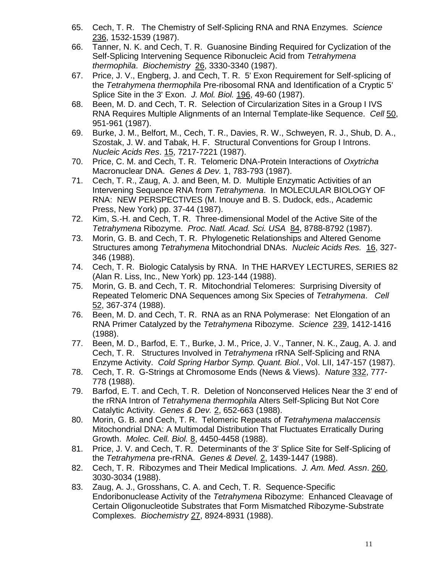- 65. Cech, T. R. The Chemistry of Self-Splicing RNA and RNA Enzymes. *Science* 236, 1532-1539 (1987).
- 66. Tanner, N. K. and Cech, T. R. Guanosine Binding Required for Cyclization of the Self-Splicing Intervening Sequence Ribonucleic Acid from *Tetrahymena thermophila*. *Biochemistry* 26, 3330-3340 (1987).
- 67. Price, J. V., Engberg, J. and Cech, T. R. 5' Exon Requirement for Self-splicing of the *Tetrahymena thermophila* Pre-ribosomal RNA and Identification of a Cryptic 5' Splice Site in the 3' Exon. *J. Mol. Biol.* 196, 49-60 (1987).
- 68. Been, M. D. and Cech, T. R. Selection of Circularization Sites in a Group I IVS RNA Requires Multiple Alignments of an Internal Template-like Sequence. *Cell* 50, 951-961 (1987).
- 69. Burke, J. M., Belfort, M., Cech, T. R., Davies, R. W., Schweyen, R. J., Shub, D. A., Szostak, J. W. and Tabak, H. F. Structural Conventions for Group I Introns. *Nucleic Acids Res*. 15, 7217-7221 (1987).
- 70. Price, C. M. and Cech, T. R. Telomeric DNA-Protein Interactions of *Oxytricha* Macronuclear DNA. *Genes & Dev.* 1, 783-793 (1987).
- 71. Cech, T. R., Zaug, A. J. and Been, M. D. Multiple Enzymatic Activities of an Intervening Sequence RNA from *Tetrahymena*. In MOLECULAR BIOLOGY OF RNA: NEW PERSPECTIVES (M. Inouye and B. S. Dudock, eds., Academic Press, New York) pp. 37-44 (1987).
- 72. Kim, S.-H. and Cech, T. R. Three-dimensional Model of the Active Site of the *Tetrahymena* Ribozyme. *Proc. Natl. Acad. Sci. USA* 84, 8788-8792 (1987).
- 73. Morin, G. B. and Cech, T. R. Phylogenetic Relationships and Altered Genome Structures among *Tetrahymena* Mitochondrial DNAs. *Nucleic Acids Res.* 16, 327- 346 (1988).
- 74. Cech, T. R. Biologic Catalysis by RNA. In THE HARVEY LECTURES, SERIES 82 (Alan R. Liss, Inc., New York) pp. 123-144 (1988).
- 75. Morin, G. B. and Cech, T. R. Mitochondrial Telomeres: Surprising Diversity of Repeated Telomeric DNA Sequences among Six Species of *Tetrahymena*. *Cell* 52, 367-374 (1988).
- 76. Been, M. D. and Cech, T. R. RNA as an RNA Polymerase: Net Elongation of an RNA Primer Catalyzed by the *Tetrahymena* Ribozyme. *Science* 239, 1412-1416 (1988).
- 77. Been, M. D., Barfod, E. T., Burke, J. M., Price, J. V., Tanner, N. K., Zaug, A. J. and Cech, T. R. Structures Involved in *Tetrahymena* rRNA Self-Splicing and RNA Enzyme Activity. *Cold Spring Harbor Symp. Quant. Biol.*, Vol. LII, 147-157 (1987).
- 78. Cech, T. R. G-Strings at Chromosome Ends (News & Views). *Nature* 332, 777- 778 (1988).
- 79. Barfod, E. T. and Cech, T. R. Deletion of Nonconserved Helices Near the 3' end of the rRNA Intron of *Tetrahymena thermophila* Alters Self-Splicing But Not Core Catalytic Activity. *Genes & Dev.* 2, 652-663 (1988).
- 80. Morin, G. B. and Cech, T. R. Telomeric Repeats of *Tetrahymena malaccensis* Mitochondrial DNA: A Multimodal Distribution That Fluctuates Erratically During Growth. *Molec. Cell. Biol.* 8, 4450-4458 (1988).
- 81. Price, J. V. and Cech, T. R. Determinants of the 3' Splice Site for Self-Splicing of the *Tetrahymena* pre-rRNA. *Genes & Devel.* 2, 1439-1447 (1988).
- 82. Cech, T. R. Ribozymes and Their Medical Implications. *J. Am. Med. Assn*. 260, 3030-3034 (1988).
- 83. Zaug, A. J., Grosshans, C. A. and Cech, T. R. Sequence-Specific Endoribonuclease Activity of the *Tetrahymena* Ribozyme: Enhanced Cleavage of Certain Oligonucleotide Substrates that Form Mismatched Ribozyme-Substrate Complexes. *Biochemistry* 27, 8924-8931 (1988).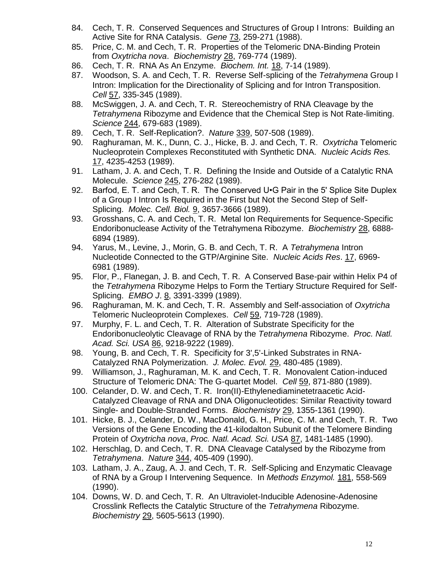- 84. Cech, T. R. Conserved Sequences and Structures of Group I Introns: Building an Active Site for RNA Catalysis. *Gene* 73, 259-271 (1988).
- 85. Price, C. M. and Cech, T. R. Properties of the Telomeric DNA-Binding Protein from *Oxytricha nova*. *Biochemistry* 28, 769-774 (1989).
- 86. Cech, T. R. RNA As An Enzyme. *Biochem. Int.* 18, 7-14 (1989).
- 87. Woodson, S. A. and Cech, T. R. Reverse Self-splicing of the *Tetrahymena* Group I Intron: Implication for the Directionality of Splicing and for Intron Transposition. *Cell* 57, 335-345 (1989).
- 88. McSwiggen, J. A. and Cech, T. R. Stereochemistry of RNA Cleavage by the *Tetrahymena* Ribozyme and Evidence that the Chemical Step is Not Rate-limiting. *Science* 244, 679-683 (1989).
- 89. Cech, T. R. Self-Replication?. *Nature* 339, 507-508 (1989).
- 90. Raghuraman, M. K., Dunn, C. J., Hicke, B. J. and Cech, T. R. *Oxytricha* Telomeric Nucleoprotein Complexes Reconstituted with Synthetic DNA. *Nucleic Acids Res.* 17, 4235-4253 (1989).
- 91. Latham, J. A. and Cech, T. R. Defining the Inside and Outside of a Catalytic RNA Molecule. *Science* 245, 276-282 (1989).
- 92. Barfod, E. T. and Cech, T. R. The Conserved U.G Pair in the 5' Splice Site Duplex of a Group I Intron Is Required in the First but Not the Second Step of Self-Splicing. *Molec. Cell. Biol.* 9, 3657-3666 (1989).
- 93. Grosshans, C. A. and Cech, T. R. Metal Ion Requirements for Sequence-Specific Endoribonuclease Activity of the Tetrahymena Ribozyme. *Biochemistry* 28, 6888- 6894 (1989).
- 94. Yarus, M., Levine, J., Morin, G. B. and Cech, T. R. A *Tetrahymena* Intron Nucleotide Connected to the GTP/Arginine Site. *Nucleic Acids Res*. 17, 6969- 6981 (1989).
- 95. Flor, P., Flanegan, J. B. and Cech, T. R. A Conserved Base-pair within Helix P4 of the *Tetrahymena* Ribozyme Helps to Form the Tertiary Structure Required for Self-Splicing. *EMBO J*. 8, 3391-3399 (1989).
- 96. Raghuraman, M. K. and Cech, T. R. Assembly and Self-association of *Oxytricha* Telomeric Nucleoprotein Complexes. *Cell* 59, 719-728 (1989).
- 97. Murphy, F. L. and Cech, T. R. Alteration of Substrate Specificity for the Endoribonucleolytic Cleavage of RNA by the *Tetrahymena* Ribozyme. *Proc. Natl. Acad. Sci. USA* 86, 9218-9222 (1989).
- 98. Young, B. and Cech, T. R. Specificity for 3',5'-Linked Substrates in RNA-Catalyzed RNA Polymerization. *J. Molec. Evol.* 29, 480-485 (1989).
- 99. Williamson, J., Raghuraman, M. K. and Cech, T. R. Monovalent Cation-induced Structure of Telomeric DNA: The G-quartet Model. *Cell* 59, 871-880 (1989).
- 100. Celander, D. W. and Cech, T. R. Iron(II)-Ethylenediaminetetraacetic Acid-Catalyzed Cleavage of RNA and DNA Oligonucleotides: Similar Reactivity toward Single- and Double-Stranded Forms. *Biochemistry* 29, 1355-1361 (1990).
- 101. Hicke, B. J., Celander, D. W., MacDonald, G. H., Price, C. M. and Cech, T. R. Two Versions of the Gene Encoding the 41-kilodalton Subunit of the Telomere Binding Protein of *Oxytricha nova*, *Proc. Natl. Acad. Sci. USA* 87, 1481-1485 (1990).
- 102. Herschlag, D. and Cech, T. R. DNA Cleavage Catalysed by the Ribozyme from *Tetrahymena*. *Nature* 344, 405-409 (1990).
- 103. Latham, J. A., Zaug, A. J. and Cech, T. R. Self-Splicing and Enzymatic Cleavage of RNA by a Group I Intervening Sequence. In *Methods Enzymol.* 181, 558-569 (1990).
- 104. Downs, W. D. and Cech, T. R. An Ultraviolet-Inducible Adenosine-Adenosine Crosslink Reflects the Catalytic Structure of the *Tetrahymena* Ribozyme. *Biochemistry* 29, 5605-5613 (1990).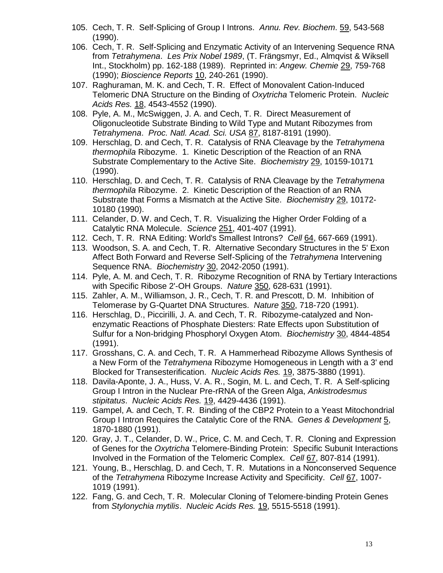- 105. Cech, T. R. Self-Splicing of Group I Introns. *Annu. Rev. Biochem*. 59, 543-568 (1990).
- 106. Cech, T. R. Self-Splicing and Enzymatic Activity of an Intervening Sequence RNA from *Tetrahymena*. *Les Prix Nobel 1989*, (T. Frängsmyr, Ed., Almqvist & Wiksell Int., Stockholm) pp. 162-188 (1989). Reprinted in: *Angew. Chemie* 29, 759-768 (1990); *Bioscience Reports* 10, 240-261 (1990).
- 107. Raghuraman, M. K. and Cech, T. R. Effect of Monovalent Cation-Induced Telomeric DNA Structure on the Binding of *Oxytricha* Telomeric Protein. *Nucleic Acids Res.* 18, 4543-4552 (1990).
- 108. Pyle, A. M., McSwiggen, J. A. and Cech, T. R. Direct Measurement of Oligonucleotide Substrate Binding to Wild Type and Mutant Ribozymes from *Tetrahymena*. *Proc. Natl. Acad. Sci. USA* 87, 8187-8191 (1990).
- 109. Herschlag, D. and Cech, T. R. Catalysis of RNA Cleavage by the *Tetrahymena thermophila* Ribozyme. 1. Kinetic Description of the Reaction of an RNA Substrate Complementary to the Active Site. *Biochemistry* 29, 10159-10171 (1990).
- 110. Herschlag, D. and Cech, T. R. Catalysis of RNA Cleavage by the *Tetrahymena thermophila* Ribozyme. 2. Kinetic Description of the Reaction of an RNA Substrate that Forms a Mismatch at the Active Site. *Biochemistry* 29, 10172- 10180 (1990).
- 111. Celander, D. W. and Cech, T. R. Visualizing the Higher Order Folding of a Catalytic RNA Molecule. *Science* 251, 401-407 (1991).
- 112. Cech, T. R. RNA Editing: World's Smallest Introns? *Cell* 64, 667-669 (1991).
- 113. Woodson, S. A. and Cech, T. R. Alternative Secondary Structures in the 5' Exon Affect Both Forward and Reverse Self-Splicing of the *Tetrahymena* Intervening Sequence RNA. *Biochemistry* 30, 2042-2050 (1991).
- 114. Pyle, A. M. and Cech, T. R. Ribozyme Recognition of RNA by Tertiary Interactions with Specific Ribose 2'-OH Groups. *Nature* 350, 628-631 (1991).
- 115. Zahler, A. M., Williamson, J. R., Cech, T. R. and Prescott, D. M. Inhibition of Telomerase by G-Quartet DNA Structures. *Nature* 350, 718-720 (1991).
- 116. Herschlag, D., Piccirilli, J. A. and Cech, T. R. Ribozyme-catalyzed and Nonenzymatic Reactions of Phosphate Diesters: Rate Effects upon Substitution of Sulfur for a Non-bridging Phosphoryl Oxygen Atom. *Biochemistry* 30, 4844-4854 (1991).
- 117. Grosshans, C. A. and Cech, T. R. A Hammerhead Ribozyme Allows Synthesis of a New Form of the *Tetrahymena* Ribozyme Homogeneous in Length with a 3' end Blocked for Transesterification. *Nucleic Acids Res.* 19, 3875-3880 (1991).
- 118. Davila-Aponte, J. A., Huss, V. A. R., Sogin, M. L. and Cech, T. R. A Self-splicing Group I Intron in the Nuclear Pre-rRNA of the Green Alga, *Ankistrodesmus stipitatus*. *Nucleic Acids Res.* 19, 4429-4436 (1991).
- 119. Gampel, A. and Cech, T. R. Binding of the CBP2 Protein to a Yeast Mitochondrial Group I Intron Requires the Catalytic Core of the RNA. *Genes & Development* 5, 1870-1880 (1991).
- 120. Gray, J. T., Celander, D. W., Price, C. M. and Cech, T. R. Cloning and Expression of Genes for the *Oxytricha* Telomere-Binding Protein: Specific Subunit Interactions Involved in the Formation of the Telomeric Complex. *Cell* 67, 807-814 (1991).
- 121. Young, B., Herschlag, D. and Cech, T. R. Mutations in a Nonconserved Sequence of the *Tetrahymena* Ribozyme Increase Activity and Specificity. *Cell* 67, 1007- 1019 (1991).
- 122. Fang, G. and Cech, T. R. Molecular Cloning of Telomere-binding Protein Genes from *Stylonychia mytilis*. *Nucleic Acids Res.* 19, 5515-5518 (1991).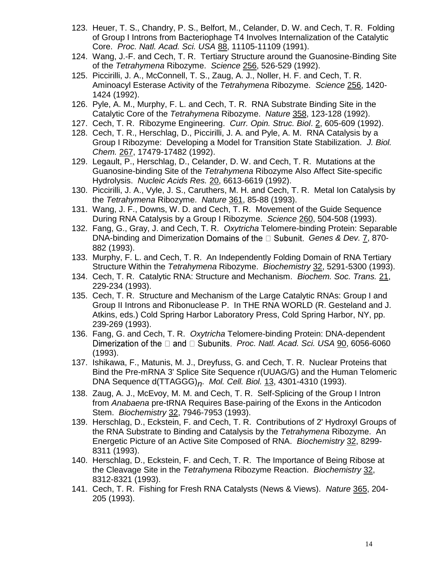- 123. Heuer, T. S., Chandry, P. S., Belfort, M., Celander, D. W. and Cech, T. R. Folding of Group I Introns from Bacteriophage T4 Involves Internalization of the Catalytic Core. *Proc. Natl. Acad. Sci. USA* 88, 11105-11109 (1991).
- 124. Wang, J.-F. and Cech, T. R. Tertiary Structure around the Guanosine-Binding Site of the *Tetrahymena* Ribozyme. *Science* 256, 526-529 (1992).
- 125. Piccirilli, J. A., McConnell, T. S., Zaug, A. J., Noller, H. F. and Cech, T. R. Aminoacyl Esterase Activity of the *Tetrahymena* Ribozyme. *Science* 256, 1420- 1424 (1992).
- 126. Pyle, A. M., Murphy, F. L. and Cech, T. R. RNA Substrate Binding Site in the Catalytic Core of the *Tetrahymena* Ribozyme. *Nature* 358, 123-128 (1992).
- 127. Cech, T. R. Ribozyme Engineering. *Curr. Opin. Struc. Biol*. 2, 605-609 (1992).
- 128. Cech, T. R., Herschlag, D., Piccirilli, J. A. and Pyle, A. M. RNA Catalysis by a Group I Ribozyme: Developing a Model for Transition State Stabilization. *J. Biol. Chem.* 267, 17479-17482 (1992).
- 129. Legault, P., Herschlag, D., Celander, D. W. and Cech, T. R. Mutations at the Guanosine-binding Site of the *Tetrahymena* Ribozyme Also Affect Site-specific Hydrolysis. *Nucleic Acids Res.* 20, 6613-6619 (1992).
- 130. Piccirilli, J. A., Vyle, J. S., Caruthers, M. H. and Cech, T. R. Metal Ion Catalysis by the *Tetrahymena* Ribozyme. *Nature* 361, 85-88 (1993).
- 131. Wang, J. F., Downs, W. D. and Cech, T. R. Movement of the Guide Sequence During RNA Catalysis by a Group I Ribozyme. *Science* 260, 504-508 (1993).
- 132. Fang, G., Gray, J. and Cech, T. R. *Oxytricha* Telomere-binding Protein: Separable DNA-binding and Dimerization Domains of the □ Subunit. Genes & Dev. 7, 870-882 (1993).
- 133. Murphy, F. L. and Cech, T. R. An Independently Folding Domain of RNA Tertiary Structure Within the *Tetrahymena* Ribozyme. *Biochemistry* 32, 5291-5300 (1993).
- 134. Cech, T. R. Catalytic RNA: Structure and Mechanism. *Biochem. Soc. Trans.* 21, 229-234 (1993).
- 135. Cech, T. R. Structure and Mechanism of the Large Catalytic RNAs: Group I and Group II Introns and Ribonuclease P. In THE RNA WORLD (R. Gesteland and J. Atkins, eds.) Cold Spring Harbor Laboratory Press, Cold Spring Harbor, NY, pp. 239-269 (1993).
- 136. Fang, G. and Cech, T. R. *Oxytricha* Telomere-binding Protein: DNA-dependent Dimerization of the □ and □ Subunits. *Proc. Natl. Acad. Sci. USA* 90, 6056-6060 (1993).
- 137. Ishikawa, F., Matunis, M. J., Dreyfuss, G. and Cech, T. R. Nuclear Proteins that Bind the Pre-mRNA 3' Splice Site Sequence r(UUAG/G) and the Human Telomeric DNA Sequence d(TTAGGG)*n*. *Mol. Cell. Biol.* 13, 4301-4310 (1993).
- 138. Zaug, A. J., McEvoy, M. M. and Cech, T. R. Self-Splicing of the Group I Intron from *Anabaena* pre-tRNA Requires Base-pairing of the Exons in the Anticodon Stem. *Biochemistry* 32, 7946-7953 (1993).
- 139. Herschlag, D., Eckstein, F. and Cech, T. R. Contributions of 2' Hydroxyl Groups of the RNA Substrate to Binding and Catalysis by the *Tetrahymena* Ribozyme. An Energetic Picture of an Active Site Composed of RNA. *Biochemistry* 32, 8299- 8311 (1993).
- 140. Herschlag, D., Eckstein, F. and Cech, T. R. The Importance of Being Ribose at the Cleavage Site in the *Tetrahymena* Ribozyme Reaction. *Biochemistry* 32, 8312-8321 (1993).
- 141. Cech, T. R. Fishing for Fresh RNA Catalysts (News & Views). *Nature* 365, 204- 205 (1993).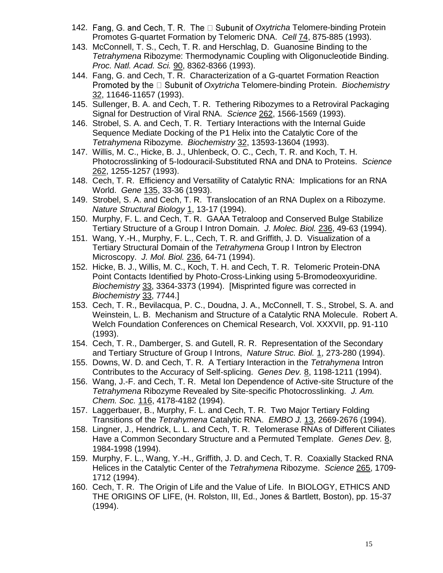- 142. Fang, G. and Cech, T. R. The D Subunit of Oxytricha Telomere-binding Protein Promotes G-quartet Formation by Telomeric DNA. *Cell* 74, 875-885 (1993).
- 143. McConnell, T. S., Cech, T. R. and Herschlag, D. Guanosine Binding to the *Tetrahymena* Ribozyme: Thermodynamic Coupling with Oligonucleotide Binding. *Proc. Natl. Acad. Sci.* 90, 8362-8366 (1993).
- 144. Fang, G. and Cech, T. R. Characterization of a G-quartet Formation Reaction *Promoted by the*  $\Box$  Subunit of *Oxytricha* Telomere-binding Protein. *Biochemistry* 32, 11646-11657 (1993).
- 145. Sullenger, B. A. and Cech, T. R. Tethering Ribozymes to a Retroviral Packaging Signal for Destruction of Viral RNA. *Science* 262, 1566-1569 (1993).
- 146. Strobel, S. A. and Cech, T. R. Tertiary Interactions with the Internal Guide Sequence Mediate Docking of the P1 Helix into the Catalytic Core of the *Tetrahymena* Ribozyme. *Biochemistry* 32, 13593-13604 (1993).
- 147. Willis, M. C., Hicke, B. J., Uhlenbeck, O. C., Cech, T. R. and Koch, T. H. Photocrosslinking of 5-Iodouracil-Substituted RNA and DNA to Proteins. *Science*  262, 1255-1257 (1993).
- 148. Cech, T. R. Efficiency and Versatility of Catalytic RNA: Implications for an RNA World. *Gene* 135, 33-36 (1993).
- 149. Strobel, S. A. and Cech, T. R. Translocation of an RNA Duplex on a Ribozyme. *Nature Structural Biology* 1, 13-17 (1994).
- 150. Murphy, F. L. and Cech, T. R. GAAA Tetraloop and Conserved Bulge Stabilize Tertiary Structure of a Group I Intron Domain. *J. Molec. Biol.* 236, 49-63 (1994).
- 151. Wang, Y.-H., Murphy, F. L., Cech, T. R. and Griffith, J. D. Visualization of a Tertiary Structural Domain of the *Tetrahymena* Group I Intron by Electron Microscopy. *J. Mol. Biol.* 236, 64-71 (1994).
- 152. Hicke, B. J., Willis, M. C., Koch, T. H. and Cech, T. R. Telomeric Protein-DNA Point Contacts Identified by Photo-Cross-Linking using 5-Bromodeoxyuridine. *Biochemistry* 33, 3364-3373 (1994). [Misprinted figure was corrected in *Biochemistry* 33, 7744.]
- 153. Cech, T. R., Bevilacqua, P. C., Doudna, J. A., McConnell, T. S., Strobel, S. A. and Weinstein, L. B. Mechanism and Structure of a Catalytic RNA Molecule. Robert A. Welch Foundation Conferences on Chemical Research, Vol. XXXVII, pp. 91-110 (1993).
- 154. Cech, T. R., Damberger, S. and Gutell, R. R. Representation of the Secondary and Tertiary Structure of Group I Introns, *Nature Struc. Biol.* 1, 273-280 (1994).
- 155. Downs, W. D. and Cech, T. R. A Tertiary Interaction in the *Tetrahymena* Intron Contributes to the Accuracy of Self-splicing. *Genes Dev.* 8, 1198-1211 (1994).
- 156. Wang, J.-F. and Cech, T. R. Metal Ion Dependence of Active-site Structure of the *Tetrahymena* Ribozyme Revealed by Site-specific Photocrosslinking. *J. Am. Chem. Soc.* 116, 4178-4182 (1994).
- 157. Laggerbauer, B., Murphy, F. L. and Cech, T. R. Two Major Tertiary Folding Transitions of the *Tetrahymena* Catalytic RNA. *EMBO J.* 13, 2669-2676 (1994).
- 158. Lingner, J., Hendrick, L. L. and Cech, T. R. Telomerase RNAs of Different Ciliates Have a Common Secondary Structure and a Permuted Template. *Genes Dev.* 8, 1984-1998 (1994).
- 159. Murphy, F. L., Wang, Y.-H., Griffith, J. D. and Cech, T. R. Coaxially Stacked RNA Helices in the Catalytic Center of the *Tetrahymena* Ribozyme. *Science* 265, 1709- 1712 (1994).
- 160. Cech, T. R. The Origin of Life and the Value of Life. In BIOLOGY, ETHICS AND THE ORIGINS OF LIFE, (H. Rolston, III, Ed., Jones & Bartlett, Boston), pp. 15-37 (1994).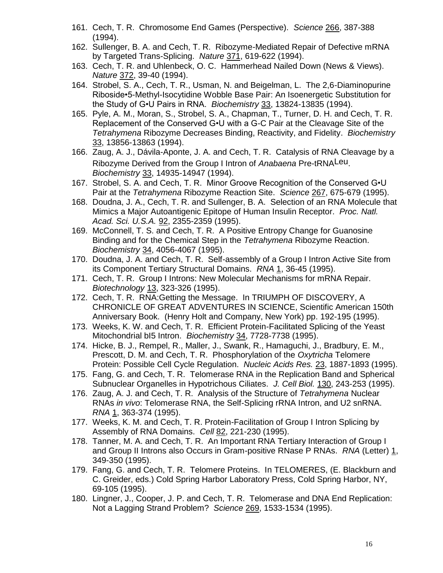- 161. Cech, T. R. Chromosome End Games (Perspective). *Science* 266, 387-388 (1994).
- 162. Sullenger, B. A. and Cech, T. R. Ribozyme-Mediated Repair of Defective mRNA by Targeted Trans-Splicing. *Nature* 371, 619-622 (1994).
- 163. Cech, T. R. and Uhlenbeck, O. C. Hammerhead Nailed Down (News & Views). *Nature* 372, 39-40 (1994).
- 164. Strobel, S. A., Cech, T. R., Usman, N. and Beigelman, L. The 2,6-Diaminopurine Riboside•5-Methyl-Isocytidine Wobble Base Pair: An Isoenergetic Substitution for the Study of G•U Pairs in RNA. *Biochemistry* 33, 13824-13835 (1994).
- 165. Pyle, A. M., Moran, S., Strobel, S. A., Chapman, T., Turner, D. H. and Cech, T. R. Replacement of the Conserved G•U with a G-C Pair at the Cleavage Site of the *Tetrahymena* Ribozyme Decreases Binding, Reactivity, and Fidelity. *Biochemistry* 33, 13856-13863 (1994).
- 166. Zaug, A. J., Dávila-Aponte, J. A. and Cech, T. R. Catalysis of RNA Cleavage by a Ribozyme Derived from the Group I Intron of *Anabaena* Pre-tRNALeu. *Biochemistry* 33, 14935-14947 (1994).
- 167. Strobel, S. A. and Cech, T. R. Minor Groove Recognition of the Conserved G•U Pair at the *Tetrahymena* Ribozyme Reaction Site. *Science* 267, 675-679 (1995).
- 168. Doudna, J. A., Cech, T. R. and Sullenger, B. A. Selection of an RNA Molecule that Mimics a Major Autoantigenic Epitope of Human Insulin Receptor. *Proc. Natl. Acad. Sci. U.S.A.* 92, 2355-2359 (1995).
- 169. McConnell, T. S. and Cech, T. R. A Positive Entropy Change for Guanosine Binding and for the Chemical Step in the *Tetrahymena* Ribozyme Reaction. *Biochemistry* 34, 4056-4067 (1995).
- 170. Doudna, J. A. and Cech, T. R. Self-assembly of a Group I Intron Active Site from its Component Tertiary Structural Domains. *RNA* 1, 36-45 (1995).
- 171. Cech, T. R. Group I Introns: New Molecular Mechanisms for mRNA Repair. *Biotechnology* 13, 323-326 (1995).
- 172. Cech, T. R. RNA:Getting the Message. In TRIUMPH OF DISCOVERY, A CHRONICLE OF GREAT ADVENTURES IN SCIENCE, Scientific American 150th Anniversary Book. (Henry Holt and Company, New York) pp. 192-195 (1995).
- 173. Weeks, K. W. and Cech, T. R. Efficient Protein-Facilitated Splicing of the Yeast Mitochondrial bI5 Intron. *Biochemistry* 34, 7728-7738 (1995).
- 174. Hicke, B. J., Rempel, R., Maller, J., Swank, R., Hamaguchi, J., Bradbury, E. M., Prescott, D. M. and Cech, T. R. Phosphorylation of the *Oxytricha* Telomere Protein: Possible Cell Cycle Regulation. *Nucleic Acids Res.* 23, 1887-1893 (1995).
- 175. Fang, G. and Cech, T. R. Telomerase RNA in the Replication Band and Spherical Subnuclear Organelles in Hypotrichous Ciliates. *J. Cell Biol.* 130, 243-253 (1995).
- 176. Zaug, A. J. and Cech, T. R. Analysis of the Structure of *Tetrahymena* Nuclear RNAs *in vivo*: Telomerase RNA, the Self-Splicing rRNA Intron, and U2 snRNA. *RNA* 1, 363-374 (1995).
- 177. Weeks, K. M. and Cech, T. R. Protein-Facilitation of Group I Intron Splicing by Assembly of RNA Domains. *Cell* 82, 221-230 (1995).
- 178. Tanner, M. A. and Cech, T. R. An Important RNA Tertiary Interaction of Group I and Group II Introns also Occurs in Gram-positive RNase P RNAs. *RNA* (Letter) 1, 349-350 (1995).
- 179. Fang, G. and Cech, T. R. Telomere Proteins. In TELOMERES, (E. Blackburn and C. Greider, eds.) Cold Spring Harbor Laboratory Press, Cold Spring Harbor, NY, 69-105 (1995).
- 180. Lingner, J., Cooper, J. P. and Cech, T. R. Telomerase and DNA End Replication: Not a Lagging Strand Problem? *Science* 269, 1533-1534 (1995).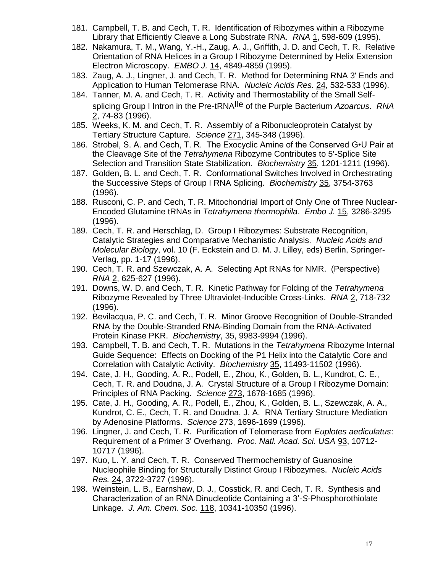- 181. Campbell, T. B. and Cech, T. R. Identification of Ribozymes within a Ribozyme Library that Efficiently Cleave a Long Substrate RNA. *RNA* 1, 598-609 (1995).
- 182. Nakamura, T. M., Wang, Y.-H., Zaug, A. J., Griffith, J. D. and Cech, T. R. Relative Orientation of RNA Helices in a Group I Ribozyme Determined by Helix Extension Electron Microscopy. *EMBO J.* 14, 4849-4859 (1995).
- 183. Zaug, A. J., Lingner, J. and Cech, T. R. Method for Determining RNA 3' Ends and Application to Human Telomerase RNA. *Nucleic Acids Res.* 24, 532-533 (1996).
- 184. Tanner, M. A. and Cech, T. R. Activity and Thermostability of the Small Selfsplicing Group I Intron in the Pre-tRNAIle of the Purple Bacterium *Azoarcus*. *RNA* 2, 74-83 (1996).
- 185. Weeks, K. M. and Cech, T. R. Assembly of a Ribonucleoprotein Catalyst by Tertiary Structure Capture. *Science* 271, 345-348 (1996).
- 186. Strobel, S. A. and Cech, T. R. The Exocyclic Amine of the Conserved G•U Pair at the Cleavage Site of the *Tetrahymena* Ribozyme Contributes to 5'-Splice Site Selection and Transition State Stabilization. *Biochemistry* 35, 1201-1211 (1996).
- 187. Golden, B. L. and Cech, T. R. Conformational Switches Involved in Orchestrating the Successive Steps of Group I RNA Splicing. *Biochemistry* 35, 3754-3763 (1996).
- 188. Rusconi, C. P. and Cech, T. R. Mitochondrial Import of Only One of Three Nuclear-Encoded Glutamine tRNAs in *Tetrahymena thermophila*. *Embo J.* 15, 3286-3295 (1996).
- 189. Cech, T. R. and Herschlag, D. Group I Ribozymes: Substrate Recognition, Catalytic Strategies and Comparative Mechanistic Analysis. *Nucleic Acids and Molecular Biology*, vol. 10 (F. Eckstein and D. M. J. Lilley, eds) Berlin, Springer-Verlag, pp. 1-17 (1996).
- 190. Cech, T. R. and Szewczak, A. A. Selecting Apt RNAs for NMR. (Perspective) *RNA* 2, 625-627 (1996).
- 191. Downs, W. D. and Cech, T. R. Kinetic Pathway for Folding of the *Tetrahymena* Ribozyme Revealed by Three Ultraviolet-Inducible Cross-Links. *RNA* 2, 718-732 (1996).
- 192. Bevilacqua, P. C. and Cech, T. R. Minor Groove Recognition of Double-Stranded RNA by the Double-Stranded RNA-Binding Domain from the RNA-Activated Protein Kinase PKR. *Biochemistry*, 35, 9983-9994 (1996).
- 193. Campbell, T. B. and Cech, T. R. Mutations in the *Tetrahymena* Ribozyme Internal Guide Sequence: Effects on Docking of the P1 Helix into the Catalytic Core and Correlation with Catalytic Activity. *Biochemistry* 35, 11493-11502 (1996).
- 194. Cate, J. H., Gooding, A. R., Podell, E., Zhou, K., Golden, B. L., Kundrot, C. E., Cech, T. R. and Doudna, J. A. Crystal Structure of a Group I Ribozyme Domain: Principles of RNA Packing. *Science* 273, 1678-1685 (1996).
- 195. Cate, J. H., Gooding, A. R., Podell, E., Zhou, K., Golden, B. L., Szewczak, A. A., Kundrot, C. E., Cech, T. R. and Doudna, J. A. RNA Tertiary Structure Mediation by Adenosine Platforms. *Science* 273, 1696-1699 (1996).
- 196. Lingner, J. and Cech, T. R. Purification of Telomerase from *Euplotes aediculatus*: Requirement of a Primer 3' Overhang. *Proc. Natl. Acad. Sci. USA* 93, 10712- 10717 (1996).
- 197. Kuo, L. Y. and Cech, T. R. Conserved Thermochemistry of Guanosine Nucleophile Binding for Structurally Distinct Group I Ribozymes. *Nucleic Acids Res.* 24, 3722-3727 (1996).
- 198. Weinstein, L. B., Earnshaw, D. J., Cosstick, R. and Cech, T. R. Synthesis and Characterization of an RNA Dinucleotide Containing a 3'-*S*-Phosphorothiolate Linkage. *J. Am. Chem. Soc.* 118, 10341-10350 (1996).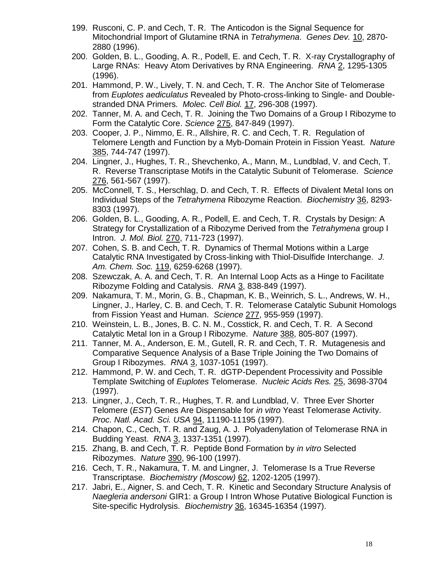- 199. Rusconi, C. P. and Cech, T. R. The Anticodon is the Signal Sequence for Mitochondrial Import of Glutamine tRNA in *Tetrahymena*. *Genes Dev.* 10, 2870- 2880 (1996).
- 200. Golden, B. L., Gooding, A. R., Podell, E. and Cech, T. R. X-ray Crystallography of Large RNAs: Heavy Atom Derivatives by RNA Engineering. *RNA* 2, 1295-1305 (1996).
- 201. Hammond, P. W., Lively, T. N. and Cech, T. R. The Anchor Site of Telomerase from *Euplotes aediculatus* Revealed by Photo-cross-linking to Single- and Doublestranded DNA Primers. *Molec. Cell Biol.* 17, 296-308 (1997).
- 202. Tanner, M. A. and Cech, T. R. Joining the Two Domains of a Group I Ribozyme to Form the Catalytic Core. *Science* 275, 847-849 (1997).
- 203. Cooper, J. P., Nimmo, E. R., Allshire, R. C. and Cech, T. R. Regulation of Telomere Length and Function by a Myb-Domain Protein in Fission Yeast. *Nature* 385, 744-747 (1997).
- 204. Lingner, J., Hughes, T. R., Shevchenko, A., Mann, M., Lundblad, V. and Cech, T. R. Reverse Transcriptase Motifs in the Catalytic Subunit of Telomerase. *Science* 276, 561-567 (1997).
- 205. McConnell, T. S., Herschlag, D. and Cech, T. R. Effects of Divalent Metal Ions on Individual Steps of the *Tetrahymena* Ribozyme Reaction. *Biochemistry* 36, 8293- 8303 (1997).
- 206. Golden, B. L., Gooding, A. R., Podell, E. and Cech, T. R. Crystals by Design: A Strategy for Crystallization of a Ribozyme Derived from the *Tetrahymena* group I Intron. *J. Mol. Biol.* 270, 711-723 (1997).
- 207. Cohen, S. B. and Cech, T. R. Dynamics of Thermal Motions within a Large Catalytic RNA Investigated by Cross-linking with Thiol-Disulfide Interchange. *J. Am. Chem. Soc.* 119, 6259-6268 (1997).
- 208. Szewczak, A. A. and Cech, T. R. An Internal Loop Acts as a Hinge to Facilitate Ribozyme Folding and Catalysis. *RNA* 3, 838-849 (1997).
- 209. Nakamura, T. M., Morin, G. B., Chapman, K. B., Weinrich, S. L., Andrews, W. H., Lingner, J., Harley, C. B. and Cech, T. R. Telomerase Catalytic Subunit Homologs from Fission Yeast and Human. *Science* 277, 955-959 (1997).
- 210. Weinstein, L. B., Jones, B. C. N. M., Cosstick, R. and Cech, T. R. A Second Catalytic Metal Ion in a Group I Ribozyme. *Nature* 388, 805-807 (1997).
- 211. Tanner, M. A., Anderson, E. M., Gutell, R. R. and Cech, T. R. Mutagenesis and Comparative Sequence Analysis of a Base Triple Joining the Two Domains of Group I Ribozymes. *RNA* 3, 1037-1051 (1997).
- 212. Hammond, P. W. and Cech, T. R. dGTP-Dependent Processivity and Possible Template Switching of *Euplotes* Telomerase. *Nucleic Acids Res.* 25, 3698-3704 (1997).
- 213. Lingner, J., Cech, T. R., Hughes, T. R. and Lundblad, V. Three Ever Shorter Telomere (*EST*) Genes Are Dispensable for *in vitro* Yeast Telomerase Activity. *Proc. Natl. Acad. Sci. USA* 94, 11190-11195 (1997).
- 214. Chapon, C., Cech, T. R. and Zaug, A. J. Polyadenylation of Telomerase RNA in Budding Yeast. *RNA* 3, 1337-1351 (1997).
- 215. Zhang, B. and Cech, T. R. Peptide Bond Formation by *in vitro* Selected Ribozymes. *Nature* 390, 96-100 (1997).
- 216. Cech, T. R., Nakamura, T. M. and Lingner, J. Telomerase Is a True Reverse Transcriptase. *Biochemistry (Moscow)* 62, 1202-1205 (1997).
- 217. Jabri, E., Aigner, S. and Cech, T. R. Kinetic and Secondary Structure Analysis of *Naegleria andersoni* GIR1: a Group I Intron Whose Putative Biological Function is Site-specific Hydrolysis. *Biochemistry* 36, 16345-16354 (1997).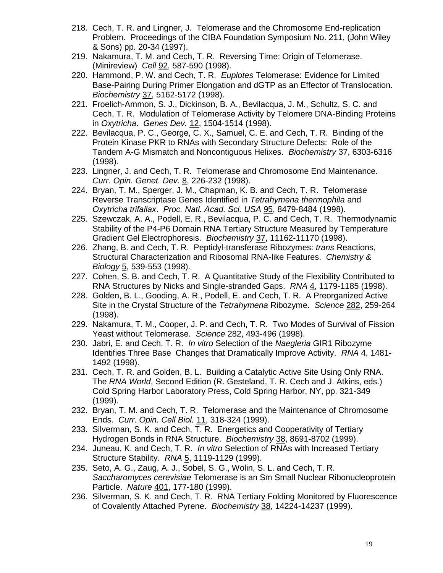- 218. Cech, T. R. and Lingner, J. Telomerase and the Chromosome End-replication Problem. Proceedings of the CIBA Foundation Symposium No. 211, (John Wiley & Sons) pp. 20-34 (1997).
- 219. Nakamura, T. M. and Cech, T. R. Reversing Time: Origin of Telomerase. (Minireview) *Cell* 92, 587-590 (1998).
- 220. Hammond, P. W. and Cech, T. R. *Euplotes* Telomerase: Evidence for Limited Base-Pairing During Primer Elongation and dGTP as an Effector of Translocation. *Biochemistry* 37, 5162-5172 (1998).
- 221. Froelich-Ammon, S. J., Dickinson, B. A., Bevilacqua, J. M., Schultz, S. C. and Cech, T. R. Modulation of Telomerase Activity by Telomere DNA-Binding Proteins in *Oxytricha*. *Genes Dev.* 12, 1504-1514 (1998).
- 222. Bevilacqua, P. C., George, C. X., Samuel, C. E. and Cech, T. R. Binding of the Protein Kinase PKR to RNAs with Secondary Structure Defects: Role of the Tandem A-G Mismatch and Noncontiguous Helixes. *Biochemistry* 37, 6303-6316 (1998).
- 223. Lingner, J. and Cech, T. R. Telomerase and Chromosome End Maintenance. *Curr. Opin. Genet. Dev.* 8, 226-232 (1998).
- 224. Bryan, T. M., Sperger, J. M., Chapman, K. B. and Cech, T. R. Telomerase Reverse Transcriptase Genes Identified in *Tetrahymena thermophila* and *Oxytricha trifallax*. *Proc. Natl. Acad. Sci. USA* 95, 8479-8484 (1998).
- 225. Szewczak, A. A., Podell, E. R., Bevilacqua, P. C. and Cech, T. R. Thermodynamic Stability of the P4-P6 Domain RNA Tertiary Structure Measured by Temperature Gradient Gel Electrophoresis. *Biochemistry* 37, 11162-11170 (1998).
- 226. Zhang, B. and Cech, T. R. Peptidyl-transferase Ribozymes: *trans* Reactions, Structural Characterization and Ribosomal RNA-like Features. *Chemistry & Biology* 5, 539-553 (1998).
- 227. Cohen, S. B. and Cech, T. R. A Quantitative Study of the Flexibility Contributed to RNA Structures by Nicks and Single-stranded Gaps. *RNA* 4, 1179-1185 (1998).
- 228. Golden, B. L., Gooding, A. R., Podell, E. and Cech, T. R. A Preorganized Active Site in the Crystal Structure of the *Tetrahymena* Ribozyme. *Science* 282, 259-264 (1998).
- 229. Nakamura, T. M., Cooper, J. P. and Cech, T. R. Two Modes of Survival of Fission Yeast without Telomerase. *Science* 282, 493-496 (1998).
- 230. Jabri, E. and Cech, T. R. *In vitro* Selection of the *Naegleria* GIR1 Ribozyme Identifies Three Base Changes that Dramatically Improve Activity. *RNA* 4, 1481- 1492 (1998).
- 231. Cech, T. R. and Golden, B. L. Building a Catalytic Active Site Using Only RNA. The *RNA World*, Second Edition (R. Gesteland, T. R. Cech and J. Atkins, eds.) Cold Spring Harbor Laboratory Press, Cold Spring Harbor, NY, pp. 321-349 (1999).
- 232. Bryan, T. M. and Cech, T. R. Telomerase and the Maintenance of Chromosome Ends. *Curr. Opin. Cell Biol.* 11, 318-324 (1999).
- 233. Silverman, S. K. and Cech, T. R. Energetics and Cooperativity of Tertiary Hydrogen Bonds in RNA Structure. *Biochemistry* 38, 8691-8702 (1999).
- 234. Juneau, K. and Cech, T. R. *In vitro* Selection of RNAs with Increased Tertiary Structure Stability. *RNA* 5, 1119-1129 (1999).
- 235. Seto, A. G., Zaug, A. J., Sobel, S. G., Wolin, S. L. and Cech, T. R. *Saccharomyces cerevisiae* Telomerase is an Sm Small Nuclear Ribonucleoprotein Particle. *Nature* 401, 177-180 (1999).
- 236. Silverman, S. K. and Cech, T. R. RNA Tertiary Folding Monitored by Fluorescence of Covalently Attached Pyrene. *Biochemistry* 38, 14224-14237 (1999).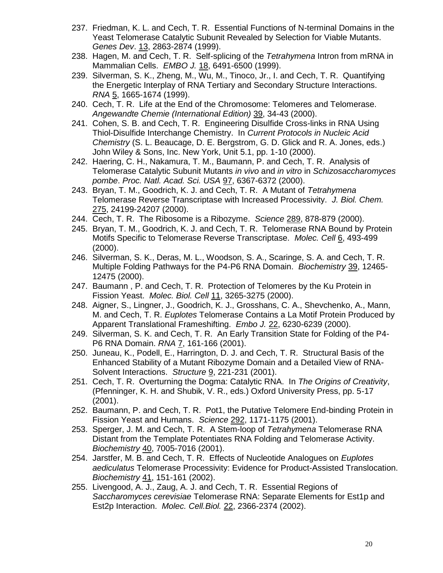- 237. Friedman, K. L. and Cech, T. R. Essential Functions of N-terminal Domains in the Yeast Telomerase Catalytic Subunit Revealed by Selection for Viable Mutants. *Genes Dev*. 13, 2863-2874 (1999).
- 238. Hagen, M. and Cech, T. R. Self-splicing of the *Tetrahymena* Intron from mRNA in Mammalian Cells. *EMBO J.* 18, 6491-6500 (1999).
- 239. Silverman, S. K., Zheng, M., Wu, M., Tinoco, Jr., I. and Cech, T. R. Quantifying the Energetic Interplay of RNA Tertiary and Secondary Structure Interactions. *RNA* 5, 1665-1674 (1999).
- 240. Cech, T. R. Life at the End of the Chromosome: Telomeres and Telomerase. *Angewandte Chemie (International Edition)* 39, 34-43 (2000).
- 241. Cohen, S. B. and Cech, T. R. Engineering Disulfide Cross-links in RNA Using Thiol-Disulfide Interchange Chemistry. In *Current Protocols in Nucleic Acid Chemistry* (S. L. Beaucage, D. E. Bergstrom, G. D. Glick and R. A. Jones, eds.) John Wiley & Sons, Inc. New York, Unit 5.1, pp. 1-10 (2000).
- 242. Haering, C. H., Nakamura, T. M., Baumann, P. and Cech, T. R. Analysis of Telomerase Catalytic Subunit Mutants *in vivo* and *in vitro* in *Schizosaccharomyces pombe*. *Proc. Natl. Acad. Sci. USA* 97, 6367-6372 (2000).
- 243. Bryan, T. M., Goodrich, K. J. and Cech, T. R. A Mutant of *Tetrahymena* Telomerase Reverse Transcriptase with Increased Processivity. *J. Biol. Chem.* 275, 24199-24207 (2000).
- 244. Cech, T. R. The Ribosome is a Ribozyme. *Science* 289, 878-879 (2000).
- 245. Bryan, T. M., Goodrich, K. J. and Cech, T. R. Telomerase RNA Bound by Protein Motifs Specific to Telomerase Reverse Transcriptase. *Molec. Cell* 6, 493-499 (2000).
- 246. Silverman, S. K., Deras, M. L., Woodson, S. A., Scaringe, S. A. and Cech, T. R. Multiple Folding Pathways for the P4-P6 RNA Domain. *Biochemistry* 39, 12465- 12475 (2000).
- 247. Baumann , P. and Cech, T. R. Protection of Telomeres by the Ku Protein in Fission Yeast. *Molec. Biol. Cell* 11, 3265-3275 (2000).
- 248. Aigner, S., Lingner, J., Goodrich, K. J., Grosshans, C. A., Shevchenko, A., Mann, M. and Cech, T. R. *Euplotes* Telomerase Contains a La Motif Protein Produced by Apparent Translational Frameshifting. *Embo J.* 22, 6230-6239 (2000).
- 249. Silverman, S. K. and Cech, T. R. An Early Transition State for Folding of the P4- P6 RNA Domain. *RNA* 7, 161-166 (2001).
- 250. Juneau, K., Podell, E., Harrington, D. J. and Cech, T. R. Structural Basis of the Enhanced Stability of a Mutant Ribozyme Domain and a Detailed View of RNA-Solvent Interactions. *Structure* 9, 221-231 (2001).
- 251. Cech, T. R. Overturning the Dogma: Catalytic RNA. In *The Origins of Creativity*, (Pfenninger, K. H. and Shubik, V. R., eds.) Oxford University Press, pp. 5-17 (2001).
- 252. Baumann, P. and Cech, T. R. Pot1, the Putative Telomere End-binding Protein in Fission Yeast and Humans. *Science* 292, 1171-1175 (2001).
- 253. Sperger, J. M. and Cech, T. R. A Stem-loop of *Tetrahymena* Telomerase RNA Distant from the Template Potentiates RNA Folding and Telomerase Activity. *Biochemistry* 40, 7005-7016 (2001).
- 254. Jarstfer, M. B. and Cech, T. R. Effects of Nucleotide Analogues on *Euplotes aediculatus* Telomerase Processivity: Evidence for Product-Assisted Translocation. *Biochemistry* 41, 151-161 (2002).
- 255. Livengood, A. J., Zaug, A. J. and Cech, T. R. Essential Regions of *Saccharomyces cerevisiae* Telomerase RNA: Separate Elements for Est1p and Est2p Interaction. *Molec. Cell.Biol.* 22, 2366-2374 (2002).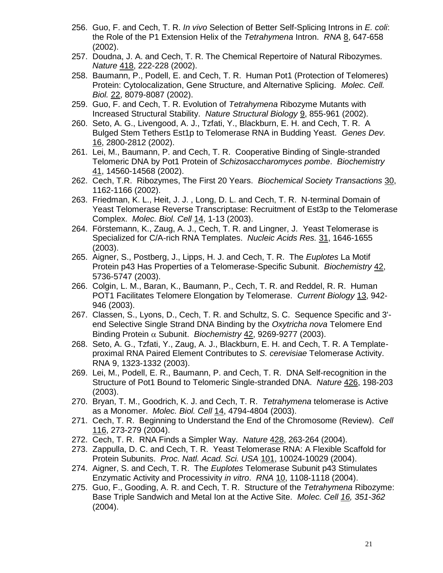- 256. Guo, F. and Cech, T. R. *In vivo* Selection of Better Self-Splicing Introns in *E. coli*: the Role of the P1 Extension Helix of the *Tetrahymena* Intron. *RNA* 8, 647-658 (2002).
- 257. Doudna, J. A. and Cech, T. R. The Chemical Repertoire of Natural Ribozymes. *Nature* 418, 222-228 (2002).
- 258. Baumann, P., Podell, E. and Cech, T. R. Human Pot1 (Protection of Telomeres) Protein: Cytolocalization, Gene Structure, and Alternative Splicing. *Molec. Cell. Biol.* 22, 8079-8087 (2002).
- 259. Guo, F. and Cech, T. R. Evolution of *Tetrahymena* Ribozyme Mutants with Increased Structural Stability. *Nature Structural Biology* 9, 855-961 (2002).
- 260. Seto, A. G., Livengood, A. J., Tzfati, Y., Blackburn, E. H. and Cech, T. R. A Bulged Stem Tethers Est1p to Telomerase RNA in Budding Yeast. *Genes Dev.* 16, 2800-2812 (2002).
- 261. Lei, M., Baumann, P. and Cech, T. R. Cooperative Binding of Single-stranded Telomeric DNA by Pot1 Protein of *Schizosaccharomyces pombe*. *Biochemistry* 41, 14560-14568 (2002).
- 262. Cech, T.R. Ribozymes, The First 20 Years. *Biochemical Society Transactions* 30, 1162-1166 (2002).
- 263. Friedman, K. L., Heit, J. J. , Long, D. L. and Cech, T. R. N-terminal Domain of Yeast Telomerase Reverse Transcriptase: Recruitment of Est3p to the Telomerase Complex. *Molec. Biol. Cell* 14, 1-13 (2003).
- 264. Förstemann, K., Zaug, A. J., Cech, T. R. and Lingner, J. Yeast Telomerase is Specialized for C/A-rich RNA Templates. *Nucleic Acids Res.* 31, 1646-1655 (2003).
- 265. Aigner, S., Postberg, J., Lipps, H. J. and Cech, T. R. The *Euplotes* La Motif Protein p43 Has Properties of a Telomerase-Specific Subunit. *Biochemistry* 42, 5736-5747 (2003).
- 266. Colgin, L. M., Baran, K., Baumann, P., Cech, T. R. and Reddel, R. R. Human POT1 Facilitates Telomere Elongation by Telomerase. *Current Biology* 13, 942- 946 (2003).
- 267. Classen, S., Lyons, D., Cech, T. R. and Schultz, S. C. Sequence Specific and 3' end Selective Single Strand DNA Binding by the *Oxytricha nova* Telomere End Binding Protein  $\alpha$  Subunit. *Biochemistry* 42, 9269-9277 (2003).
- 268. Seto, A. G., Tzfati, Y., Zaug, A. J., Blackburn, E. H. and Cech, T. R. A Templateproximal RNA Paired Element Contributes to *S. cerevisiae* Telomerase Activity. RNA 9, 1323-1332 (2003).
- 269. Lei, M., Podell, E. R., Baumann, P. and Cech, T. R. DNA Self-recognition in the Structure of Pot1 Bound to Telomeric Single-stranded DNA. *Nature* 426, 198-203 (2003).
- 270. Bryan, T. M., Goodrich, K. J. and Cech, T. R. *Tetrahymena* telomerase is Active as a Monomer. *Molec. Biol. Cell* 14, 4794-4804 (2003).
- 271. Cech, T. R. Beginning to Understand the End of the Chromosome (Review). *Cell* 116, 273-279 (2004).
- 272. Cech, T. R. RNA Finds a Simpler Way. *Nature* 428, 263-264 (2004).
- 273. Zappulla, D. C. and Cech, T. R. Yeast Telomerase RNA: A Flexible Scaffold for Protein Subunits. *Proc. Natl. Acad. Sci. USA* 101, 10024-10029 (2004).
- 274. Aigner, S. and Cech, T. R. The *Euplotes* Telomerase Subunit p43 Stimulates Enzymatic Activity and Processivity *in vitro*. *RNA* 10, 1108-1118 (2004).
- 275. Guo, F., Gooding, A. R. and Cech, T. R. Structure of the *Tetrahymena* Ribozyme: Base Triple Sandwich and Metal Ion at the Active Site. *Molec. Cell 16, 351-362*  (2004).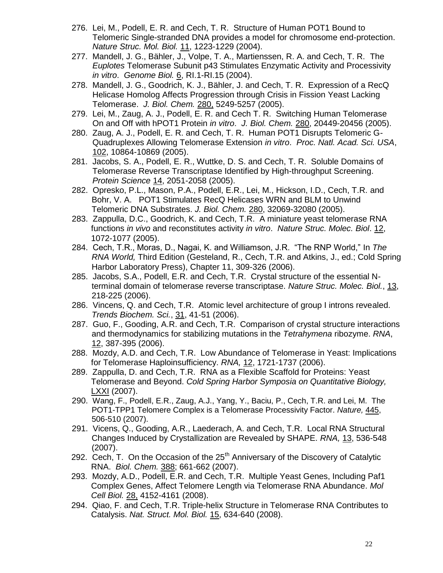- 276. Lei, M., Podell, E. R. and Cech, T. R. Structure of Human POT1 Bound to Telomeric Single-stranded DNA provides a model for chromosome end-protection. *Nature Struc. Mol. Biol.* 11, 1223-1229 (2004).
- 277. Mandell, J. G., Bähler, J., Volpe, T. A., Martienssen, R. A. and Cech, T. R. The *Euplotes* Telomerase Subunit p43 Stimulates Enzymatic Activity and Processivity *in vitro*. *Genome Biol.* 6, RI.1-RI.15 (2004).
- 278. Mandell, J. G., Goodrich, K. J., Bähler, J. and Cech, T. R. Expression of a RecQ Helicase Homolog Affects Progression through Crisis in Fission Yeast Lacking Telomerase. *J. Biol. Chem.* 280, 5249-5257 (2005).
- 279. Lei, M., Zaug, A. J., Podell, E. R. and Cech T. R. Switching Human Telomerase On and Off with hPOT1 Protein *in vitro*. *J. Biol. Chem.* 280, 20449-20456 (2005).
- 280. Zaug, A. J., Podell, E. R. and Cech, T. R. Human POT1 Disrupts Telomeric G-Quadruplexes Allowing Telomerase Extension *in vitro*. *Proc. Natl. Acad. Sci. USA*, 102, 10864-10869 (2005).
- 281. Jacobs, S. A., Podell, E. R., Wuttke, D. S. and Cech, T. R. Soluble Domains of Telomerase Reverse Transcriptase Identified by High-throughput Screening. *Protein Science* 14, 2051-2058 (2005).
- 282. Opresko, P.L., Mason, P.A., Podell, E.R., Lei, M., Hickson, I.D., Cech, T.R. and Bohr, V. A. POT1 Stimulates RecQ Helicases WRN and BLM to Unwind Telomeric DNA Substrates. *J. Biol. Chem.* 280, 32069-32080 (2005).
- 283. Zappulla, D.C., Goodrich, K. and Cech, T.R. A miniature yeast telomerase RNA functions *in vivo* and reconstitutes activity *in vitro*. *Nature Struc. Molec. Biol*. 12, 1072-1077 (2005).
- 284. Cech, T.R., Moras, D., Nagai, K. and Williamson, J.R. "The RNP World," In *The RNA World,* Third Edition (Gesteland, R., Cech, T.R. and Atkins, J., ed.; Cold Spring Harbor Laboratory Press), Chapter 11, 309-326 (2006).
- 285. Jacobs, S.A., Podell, E.R. and Cech, T.R. Crystal structure of the essential Nterminal domain of telomerase reverse transcriptase. *Nature Struc. Molec. Biol.*, 13, 218-225 (2006).
- 286. Vincens, Q. and Cech, T.R. Atomic level architecture of group I introns revealed. *Trends Biochem. Sci.*, 31, 41-51 (2006).
- 287. Guo, F., Gooding, A.R. and Cech, T.R. Comparison of crystal structure interactions and thermodynamics for stabilizing mutations in the *Tetrahymena* ribozyme. *RNA*, 12, 387-395 (2006).
- 288. Mozdy, A.D. and Cech, T.R. Low Abundance of Telomerase in Yeast: Implications for Telomerase Haploinsufficiency. *RNA,* 12, 1721-1737 (2006).
- 289. Zappulla, D. and Cech, T.R. RNA as a Flexible Scaffold for Proteins: Yeast Telomerase and Beyond. *Cold Spring Harbor Symposia on Quantitative Biology,*  LXXI (2007).
- 290. Wang, F., Podell, E.R., Zaug, A.J., Yang, Y., Baciu, P., Cech, T.R. and Lei, M. The POT1-TPP1 Telomere Complex is a Telomerase Processivity Factor. *Nature,* 445, 506-510 (2007).
- 291. Vicens, Q., Gooding, A.R., Laederach, A. and Cech, T.R. Local RNA Structural Changes Induced by Crystallization are Revealed by SHAPE. *RNA,* 13, 536-548 (2007).
- 292. Cech, T. On the Occasion of the  $25<sup>th</sup>$  Anniversary of the Discovery of Catalytic RNA. *Biol. Chem.* 388; 661-662 (2007).
- 293. Mozdy, A.D., Podell, E.R. and Cech, T.R. Multiple Yeast Genes, Including Paf1 Complex Genes, Affect Telomere Length via Telomerase RNA Abundance. *Mol Cell Biol.* 28, 4152-4161 (2008).
- 294. Qiao, F. and Cech, T.R. Triple-helix Structure in Telomerase RNA Contributes to Catalysis. *Nat. Struct. Mol. Biol.* 15, 634-640 (2008).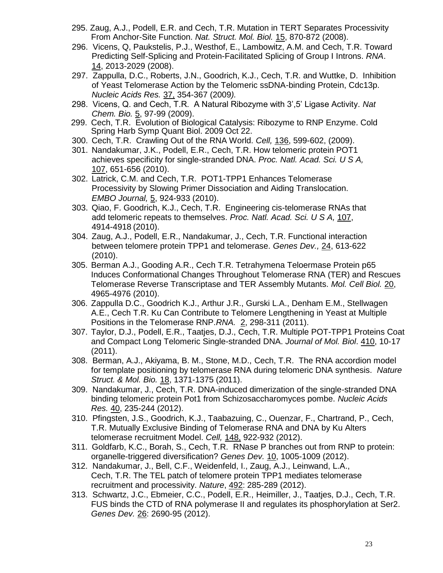- 295. Zaug, A.J., Podell, E.R. and Cech, T.R. Mutation in TERT Separates Processivity From Anchor-Site Function. *Nat. Struct. Mol. Biol.* 15, 870-872 (2008).
- 296. Vicens, Q, Paukstelis, P.J., Westhof, E., Lambowitz, A.M. and Cech, T.R. Toward Predicting Self-Splicing and Protein-Facilitated Splicing of Group I Introns. *RNA*. 14, 2013-2029 (2008).
- 297. Zappulla, D.C., Roberts, J.N., Goodrich, K.J., Cech, T.R. and Wuttke, D. Inhibition of Yeast Telomerase Action by the Telomeric ssDNA-binding Protein, Cdc13p. *Nucleic Acids Res.* 37, 354-367 (2009*).*
- 298. Vicens, Q. and Cech, T.R. A Natural Ribozyme with 3',5' Ligase Activity. *Nat Chem. Bio.* 5, 97-99 (2009).
- 299. Cech, T.R. Evolution of Biological Catalysis: Ribozyme to RNP Enzyme. Cold Spring Harb Symp Quant Biol. 2009 Oct 22.
- 300. Cech, T.R. Crawling Out of the RNA World. *Cell,* 136, 599-602, (2009).
- 301. Nandakumar, J.K., Podell, E.R., Cech, T.R. How telomeric protein POT1 achieves specificity for single-stranded DNA. *Proc. Natl. Acad. Sci. U S A,* 107, 651-656 (2010).
- 302. Latrick, C.M. and Cech, T.R. POT1-TPP1 Enhances Telomerase Processivity by Slowing Primer Dissociation and Aiding Translocation. *EMBO Journal,* 5, 924-933 (2010).
- 303. Qiao, F. Goodrich, K.J., Cech, T.R. Engineering cis-telomerase RNAs that add telomeric repeats to themselves. *Proc. Natl. Acad. Sci. U S A,* 107, 4914-4918 (2010).
- 304. Zaug, A.J., Podell, E.R., Nandakumar, J., Cech, T.R. Functional interaction between telomere protein TPP1 and telomerase. *Genes Dev.,* 24, 613-622 (2010).
- 305. Berman A.J., Gooding A.R., Cech T.R. Tetrahymena Teloermase Protein p65 Induces Conformational Changes Throughout Telomerase RNA (TER) and Rescues Telomerase Reverse Transcriptase and TER Assembly Mutants. *Mol. Cell Biol.* 20, 4965-4976 (2010).
- 306. Zappulla D.C., Goodrich K.J., Arthur J.R., Gurski L.A., Denham E.M., Stellwagen A.E., Cech T.R. Ku Can Contribute to Telomere Lengthening in Yeast at Multiple Positions in the Telomerase RNP.*RNA.* 2, 298-311 (2011).
- 307. Taylor, D.J., Podell, E.R., Taatjes, D.J., Cech, T.R. Multiple POT-TPP1 Proteins Coat and Compact Long Telomeric Single-stranded DNA. *Journal of Mol. Biol*. 410, 10-17 (2011).
- 308. Berman, A.J., Akiyama, B. M., Stone, M.D., Cech, T.R. The RNA accordion model for template positioning by telomerase RNA during telomeric DNA synthesis. *Nature Struct. & Mol. Bio.* 18, 1371-1375 (2011).
- 309. [Nandakumar, J.](http://www.ncbi.nlm.nih.gov/pubmed?term=%22Nandakumar%20J%22%5BAuthor%5D), [Cech, T.R.](http://www.ncbi.nlm.nih.gov/pubmed?term=%22Cech%20TR%22%5BAuthor%5D) DNA-induced dimerization of the single-stranded DNA binding telomeric protein Pot1 from Schizosaccharomyces pombe. *[Nucleic Acids](http://www.ncbi.nlm.nih.gov/pubmed?term=DNA-induced%20dimerization%20of%20the%20single-stranded%20DNA%20binding%20telomeric%20protein%20Pot1%20from%20Schizosaccharomyces%20pombe%20)  [Res.](http://www.ncbi.nlm.nih.gov/pubmed?term=DNA-induced%20dimerization%20of%20the%20single-stranded%20DNA%20binding%20telomeric%20protein%20Pot1%20from%20Schizosaccharomyces%20pombe%20)* 40, 235-244 (2012).
- 310. Pfingsten, J.S., Goodrich, K.J., Taabazuing, C., Ouenzar, F., Chartrand, P., Cech, T.R. Mutually Exclusive Binding of Telomerase RNA and DNA by Ku Alters telomerase recruitment Model. *Cell,* 148, 922-932 (2012).
- 311. Goldfarb, K.C., Borah, S., Cech, T.R. RNase P branches out from RNP to protein: organelle-triggered diversification? *Genes Dev.* 10, 1005-1009 (2012).
- 312. Nandakumar, J., Bell, C.F., Weidenfeld, I., Zaug, A.J., Leinwand, L.A., Cech, T.R. The TEL patch of telomere protein TPP1 mediates telomerase recruitment and processivity. *Nature*, 492: 285-289 (2012).
- 313. Schwartz, J.C., Ebmeier, C.C., Podell, E.R., Heimiller, J., Taatjes, D.J., Cech, T.R. FUS binds the CTD of RNA polymerase II and regulates its phosphorylation at Ser2. *Genes Dev.* 26: 2690-95 (2012).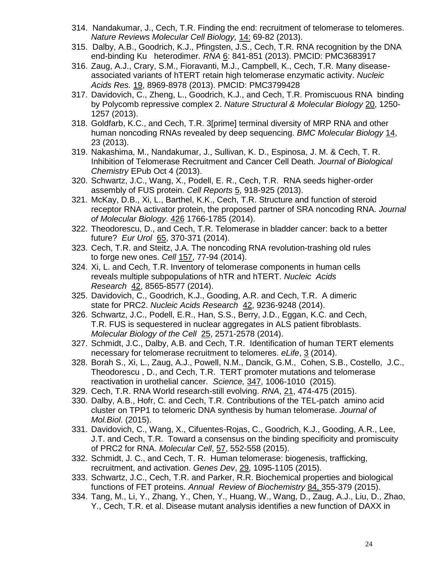- 314. Nandakumar, J., Cech, T.R. Finding the end: recruitment of telomerase to telomeres. *Nature Reviews Molecular Cell Biology,* 14: 69-82 (2013).
- 315. [Dalby, A.B.](http://www.ncbi.nlm.nih.gov/pubmed?term=Dalby%20AB%5BAuthor%5D&cauthor=true&cauthor_uid=23610127), [Goodrich, K.J.](http://www.ncbi.nlm.nih.gov/pubmed?term=Goodrich%20KJ%5BAuthor%5D&cauthor=true&cauthor_uid=23610127), [Pfingsten, J.S.](http://www.ncbi.nlm.nih.gov/pubmed?term=Pfingsten%20JS%5BAuthor%5D&cauthor=true&cauthor_uid=23610127), [Cech, T.R.](http://www.ncbi.nlm.nih.gov/pubmed?term=Cech%20TR%5BAuthor%5D&cauthor=true&cauthor_uid=23610127) RNA recognition by the DNA end-binding Ku heterodimer*. [RNA](http://www.ncbi.nlm.nih.gov/pubmed/?term=RNA+recognition+by+the+DNA+end-binding+Ku+heterodimer)* 6: 841-851 (2013). PMCID: PMC3683917
- 316. Zaug, A.J., Crary, S.M., Fioravanti, M.J., Campbell, K., Cech, T.R. Many diseaseassociated variants of hTERT retain high telomerase enzymatic activity. *Nucleic Acids Res.* 19, 8969-8978 (2013). PMCID: PMC3799428
- 317. Davidovich, C., Zheng, L., Goodrich, K.J., and Cech, T.R. Promiscuous RNA binding by Polycomb repressive complex 2. *Nature Structural & Molecular Biology* 20, 1250- 1257 (2013).
- 318. Goldfarb, K.C., and Cech, T.R. 3[prime] terminal diversity of MRP RNA and other human noncoding RNAs revealed by deep sequencing. *BMC Molecular Biology* 14, 23 (2013).
- 319. Nakashima, M., Nandakumar, J., Sullivan, K. D., Espinosa, J. M. & Cech, T. R. Inhibition of Telomerase Recruitment and Cancer Cell Death. *Journal of Biological Chemistry* EPub Oct 4 (2013).
- 320. Schwartz, J.C., Wang, X., Podell, E. R., Cech, T.R. RNA seeds higher-order assembly of FUS protein. *Cell Reports* 5, 918-925 (2013).
- 321. McKay, D.B., Xi, L., Barthel, K.K., Cech, T.R. Structure and function of steroid receptor RNA activator protein, the proposed partner of SRA noncoding RNA. *Journal of Molecular Biology*. 426 1766-1785 (2014).
- 322. Theodorescu, D., and Cech, T.R. Telomerase in bladder cancer: back to a better future? *Eur Urol* 65, 370-371 (2014).
- 323. Cech, T.R. and Steitz, J.A. The noncoding RNA revolution-trashing old rules to forge new ones. *Cell* 157, 77-94 (2014).
- 324. Xi, L. and Cech, T.R. Inventory of telomerase components in human cells reveals multiple subpopulations of hTR and hTERT. *Nucleic Acids Research* 42, 8565-8577 (2014).
- 325. Davidovich, C., Goodrich, K.J., Gooding, A.R. and Cech, T.R. A dimeric state for PRC2. *Nucleic Acids Research* 42, 9236-9248 (2014).
- 326. Schwartz, J.C., Podell, E.R., Han, S.S., Berry, J.D., Eggan, K.C. and Cech, T.R. FUS is sequestered in nuclear aggregates in ALS patient fibroblasts. *Molecular Biology of the Cell* 25, 2571-2578 (2014).
- 327. Schmidt, J.C., Dalby, A.B. and Cech, T.R. Identification of human TERT elements necessary for telomerase recruitment to telomeres. *eLife*, 3 (2014).
- 328. Borah S., Xi, L., Zaug, A.J., Powell, N.M., Dancik, G.M., Cohen, S.B., Costello, J.C., Theodorescu , D., and Cech, T.R. TERT promoter mutations and telomerase reactivation in urothelial cancer. *Science,* 347, 1006-1010 (2015).
- 329. Cech, T.R. RNA World research-still evolving. *RNA*, 21, 474-475 (2015).
- 330. Dalby, A.B., Hofr, C. and Cech, T.R. Contributions of the TEL-patch amino acid cluster on TPP1 to telomeric DNA synthesis by human telomerase. *Journal of Mol.Biol*. (2015).
- 331. Davidovich, C., Wang, X., Cifuentes-Rojas, C., Goodrich, K.J., Gooding, A.R., Lee, J.T. and Cech, T.R. Toward a consensus on the binding specificity and promiscuity of PRC2 for RNA. *Molecular Cell*, 57, 552-558 (2015).
- 332. Schmidt, J. C., and Cech, T. R. Human telomerase: biogenesis, trafficking, recruitment, and activation. *Genes Dev*, 29, 1095-1105 (2015).
- 333. Schwartz, J.C., Cech, T.R. and Parker, R.R. Biochemical properties and biological functions of FET proteins. *Annual Review of Biochemistry* 84, 355-379 (2015).
- 334. Tang, M., Li, Y., Zhang, Y., Chen, Y., Huang, W., Wang, D., Zaug, A.J., Liu, D., Zhao, Y., Cech, T.R. et al. Disease mutant analysis identifies a new function of DAXX in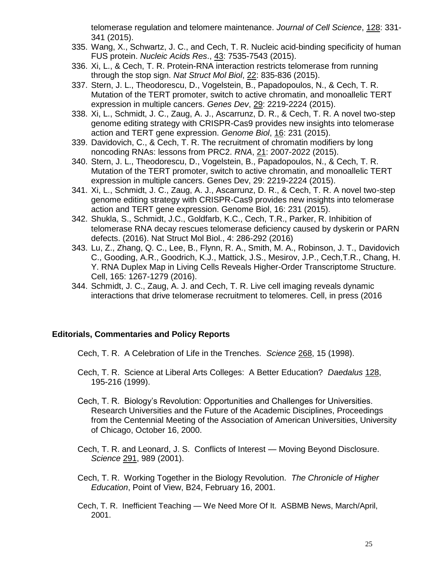telomerase regulation and telomere maintenance. *Journal of Cell Science*, 128: 331- 341 (2015).

- 335. Wang, X., Schwartz, J. C., and Cech, T. R. Nucleic acid-binding specificity of human FUS protein. *Nucleic Acids Res*., 43: 7535-7543 (2015).
- 336. Xi, L., & Cech, T. R. Protein-RNA interaction restricts telomerase from running through the stop sign. *Nat Struct Mol Biol*, 22: 835-836 (2015).
- 337. Stern, J. L., Theodorescu, D., Vogelstein, B., Papadopoulos, N., & Cech, T. R. Mutation of the TERT promoter, switch to active chromatin, and monoallelic TERT expression in multiple cancers. *Genes Dev*, 29: 2219-2224 (2015).
- 338. Xi, L., Schmidt, J. C., Zaug, A. J., Ascarrunz, D. R., & Cech, T. R. A novel two-step genome editing strategy with CRISPR-Cas9 provides new insights into telomerase action and TERT gene expression. *Genome Biol*, 16: 231 (2015).
- 339. Davidovich, C., & Cech, T. R. The recruitment of chromatin modifiers by long noncoding RNAs: lessons from PRC2. *RNA*, 21: 2007-2022 (2015).
- 340. Stern, J. L., Theodorescu, D., Vogelstein, B., Papadopoulos, N., & Cech, T. R. Mutation of the TERT promoter, switch to active chromatin, and monoallelic TERT expression in multiple cancers. Genes Dev, 29: 2219-2224 (2015).
- 341. Xi, L., Schmidt, J. C., Zaug, A. J., Ascarrunz, D. R., & Cech, T. R. A novel two-step genome editing strategy with CRISPR-Cas9 provides new insights into telomerase action and TERT gene expression. Genome Biol, 16: 231 (2015).
- 342. Shukla, S., Schmidt, J.C., Goldfarb, K.C., Cech, T.R., Parker, R. Inhibition of telomerase RNA decay rescues telomerase deficiency caused by dyskerin or PARN defects. (2016). [Nat Struct Mol Biol.,](http://www.ncbi.nlm.nih.gov/pubmed/?term=xi+and+cech+Nat+struc+mol+biol) 4: 286-292 (2016)
- 343. Lu, Z., Zhang, Q. C., Lee, B., Flynn, R. A., Smith, M. A., Robinson, J. T., [Davidovich](http://www.ncbi.nlm.nih.gov/pubmed/?term=Davidovich%20C%5BAuthor%5D&cauthor=true&cauthor_uid=27180905)  [C.](http://www.ncbi.nlm.nih.gov/pubmed/?term=Davidovich%20C%5BAuthor%5D&cauthor=true&cauthor_uid=27180905), [Gooding, A.R.](http://www.ncbi.nlm.nih.gov/pubmed/?term=Gooding%20AR%5BAuthor%5D&cauthor=true&cauthor_uid=27180905), [Goodrich, K.J.](http://www.ncbi.nlm.nih.gov/pubmed/?term=Goodrich%20KJ%5BAuthor%5D&cauthor=true&cauthor_uid=27180905), [Mattick, J.S.](http://www.ncbi.nlm.nih.gov/pubmed/?term=Mattick%20JS%5BAuthor%5D&cauthor=true&cauthor_uid=27180905), [Mesirov, J.P.](http://www.ncbi.nlm.nih.gov/pubmed/?term=Mesirov%20JP%5BAuthor%5D&cauthor=true&cauthor_uid=27180905), [Cech,T.R.](http://www.ncbi.nlm.nih.gov/pubmed/?term=Cech%20TR%5BAuthor%5D&cauthor=true&cauthor_uid=27180905), Chang, H. Y. RNA Duplex Map in Living Cells Reveals Higher-Order Transcriptome Structure. Cell, 165: 1267-1279 (2016).
- 344. Schmidt, J. C., Zaug, A. J. and Cech, T. R. Live cell imaging reveals dynamic interactions that drive telomerase recruitment to telomeres. Cell, in press (2016

### **Editorials, Commentaries and Policy Reports**

Cech, T. R. A Celebration of Life in the Trenches. *Science* 268, 15 (1998).

- Cech, T. R. Science at Liberal Arts Colleges: A Better Education? *Daedalus* 128, 195-216 (1999).
- Cech, T. R. Biology's Revolution: Opportunities and Challenges for Universities. Research Universities and the Future of the Academic Disciplines, Proceedings from the Centennial Meeting of the Association of American Universities, University of Chicago, October 16, 2000.
- Cech, T. R. and Leonard, J. S. Conflicts of Interest Moving Beyond Disclosure. *Science* 291, 989 (2001).
- Cech, T. R. Working Together in the Biology Revolution. *The Chronicle of Higher Education*, Point of View, B24, February 16, 2001.
- Cech, T. R. Inefficient Teaching We Need More Of It. ASBMB News, March/April, 2001.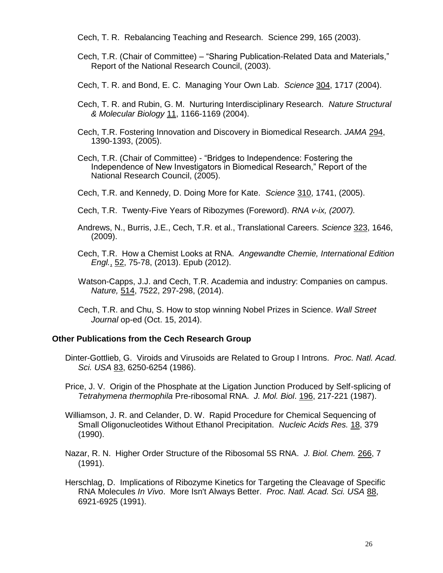Cech, T. R. Rebalancing Teaching and Research. Science 299, 165 (2003).

- Cech, T.R. (Chair of Committee) "Sharing Publication-Related Data and Materials," Report of the National Research Council, (2003).
- Cech, T. R. and Bond, E. C. Managing Your Own Lab. *Science* 304, 1717 (2004).
- Cech, T. R. and Rubin, G. M. Nurturing Interdisciplinary Research. *Nature Structural & Molecular Biology* 11, 1166-1169 (2004).
- Cech, T.R. Fostering Innovation and Discovery in Biomedical Research. *JAMA* 294, 1390-1393, (2005).
- Cech, T.R. (Chair of Committee) "Bridges to Independence: Fostering the Independence of New Investigators in Biomedical Research," Report of the National Research Council, (2005).
- Cech, T.R. and Kennedy, D. Doing More for Kate. *Science* 310, 1741, (2005).
- Cech, T.R. Twenty-Five Years of Ribozymes (Foreword). *RNA v-ix, (2007).*
- Andrews, N., Burris, J.E., Cech, T.R. et al., Translational Careers. *Science* 323, 1646, (2009).
- Cech, T.R. How a Chemist Looks at RNA. *Angewandte Chemie, International Edition Engl.*, 52, 75-78, (2013). Epub (2012).
- Watson-Capps, J.J. and Cech, T.R. Academia and industry: Companies on campus. *Nature,* 514, 7522, 297-298, (2014).
- Cech, T.R. and Chu, S. How to stop winning Nobel Prizes in Science. *Wall Street Journal* op-ed (Oct. 15, 2014).

### **Other Publications from the Cech Research Group**

Dinter-Gottlieb, G. Viroids and Virusoids are Related to Group I Introns. *Proc. Natl. Acad. Sci. USA* 83, 6250-6254 (1986).

Price, J. V. Origin of the Phosphate at the Ligation Junction Produced by Self-splicing of *Tetrahymena thermophila* Pre-ribosomal RNA. *J. Mol. Biol*. 196, 217-221 (1987).

- Williamson, J. R. and Celander, D. W. Rapid Procedure for Chemical Sequencing of Small Oligonucleotides Without Ethanol Precipitation. *Nucleic Acids Res.* 18, 379 (1990).
- Nazar, R. N. Higher Order Structure of the Ribosomal 5S RNA. *J. Biol. Chem.* 266, 7 (1991).
- Herschlag, D. Implications of Ribozyme Kinetics for Targeting the Cleavage of Specific RNA Molecules *In Vivo*. More Isn't Always Better. *Proc. Natl. Acad. Sci. USA* 88, 6921-6925 (1991).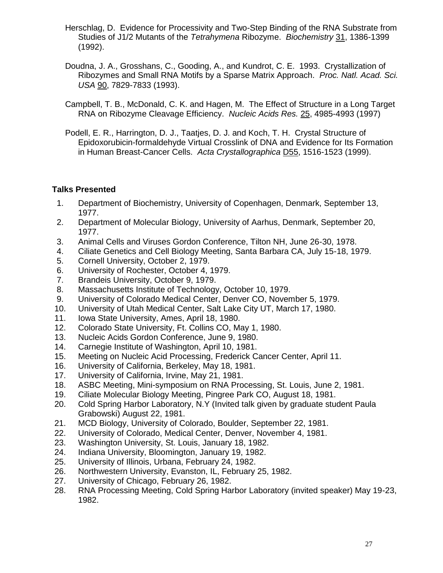- Herschlag, D. Evidence for Processivity and Two-Step Binding of the RNA Substrate from Studies of J1/2 Mutants of the *Tetrahymena* Ribozyme. *Biochemistry* 31, 1386-1399 (1992).
- Doudna, J. A., Grosshans, C., Gooding, A., and Kundrot, C. E. 1993. Crystallization of Ribozymes and Small RNA Motifs by a Sparse Matrix Approach. *Proc. Natl. Acad. Sci. USA* 90, 7829-7833 (1993).
- Campbell, T. B., McDonald, C. K. and Hagen, M. The Effect of Structure in a Long Target RNA on Ribozyme Cleavage Efficiency. *Nucleic Acids Res.* 25, 4985-4993 (1997)
- Podell, E. R., Harrington, D. J., Taatjes, D. J. and Koch, T. H. Crystal Structure of Epidoxorubicin-formaldehyde Virtual Crosslink of DNA and Evidence for Its Formation in Human Breast-Cancer Cells. *Acta Crystallographica* D55, 1516-1523 (1999).

## **Talks Presented**

- 1. Department of Biochemistry, University of Copenhagen, Denmark, September 13, 1977.
- 2. Department of Molecular Biology, University of Aarhus, Denmark, September 20, 1977.
- 3. Animal Cells and Viruses Gordon Conference, Tilton NH, June 26-30, 1978.
- 4. Ciliate Genetics and Cell Biology Meeting, Santa Barbara CA, July 15-18, 1979.
- 5. Cornell University, October 2, 1979.
- 6. University of Rochester, October 4, 1979.
- 7. Brandeis University, October 9, 1979.
- 8. Massachusetts Institute of Technology, October 10, 1979.
- 9. University of Colorado Medical Center, Denver CO, November 5, 1979.
- 10. University of Utah Medical Center, Salt Lake City UT, March 17, 1980.
- 11. Iowa State University, Ames, April 18, 1980.
- 12. Colorado State University, Ft. Collins CO, May 1, 1980.
- 13. Nucleic Acids Gordon Conference, June 9, 1980.
- 14. Carnegie Institute of Washington, April 10, 1981.
- 15. Meeting on Nucleic Acid Processing, Frederick Cancer Center, April 11.
- 16. University of California, Berkeley, May 18, 1981.
- 17. University of California, Irvine, May 21, 1981.
- 18. ASBC Meeting, Mini-symposium on RNA Processing, St. Louis, June 2, 1981.
- 19. Ciliate Molecular Biology Meeting, Pingree Park CO, August 18, 1981.
- 20. Cold Spring Harbor Laboratory, N.Y (Invited talk given by graduate student Paula Grabowski) August 22, 1981.
- 21. MCD Biology, University of Colorado, Boulder, September 22, 1981.
- 22. University of Colorado, Medical Center, Denver, November 4, 1981.
- 23. Washington University, St. Louis, January 18, 1982.
- 24. Indiana University, Bloomington, January 19, 1982.
- 25. University of Illinois, Urbana, February 24, 1982.
- 26. Northwestern University, Evanston, IL, February 25, 1982.
- 27. University of Chicago, February 26, 1982.
- 28. RNA Processing Meeting, Cold Spring Harbor Laboratory (invited speaker) May 19-23, 1982.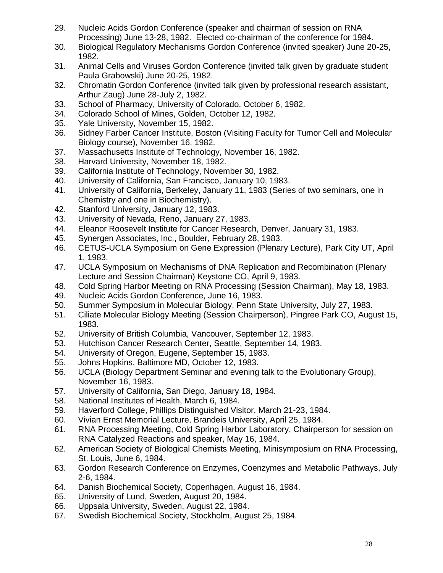- 29. Nucleic Acids Gordon Conference (speaker and chairman of session on RNA Processing) June 13-28, 1982. Elected co-chairman of the conference for 1984.
- 30. Biological Regulatory Mechanisms Gordon Conference (invited speaker) June 20-25, 1982.
- 31. Animal Cells and Viruses Gordon Conference (invited talk given by graduate student Paula Grabowski) June 20-25, 1982.
- 32. Chromatin Gordon Conference (invited talk given by professional research assistant, Arthur Zaug) June 28-July 2, 1982.
- 33. School of Pharmacy, University of Colorado, October 6, 1982.
- 34. Colorado School of Mines, Golden, October 12, 1982.
- 35. Yale University, November 15, 1982.
- 36. Sidney Farber Cancer Institute, Boston (Visiting Faculty for Tumor Cell and Molecular Biology course), November 16, 1982.
- 37. Massachusetts Institute of Technology, November 16, 1982.
- 38. Harvard University, November 18, 1982.
- 39. California Institute of Technology, November 30, 1982.
- 40. University of California, San Francisco, January 10, 1983.
- 41. University of California, Berkeley, January 11, 1983 (Series of two seminars, one in Chemistry and one in Biochemistry).
- 42. Stanford University, January 12, 1983.
- 43. University of Nevada, Reno, January 27, 1983.
- 44. Eleanor Roosevelt Institute for Cancer Research, Denver, January 31, 1983.
- 45. Synergen Associates, Inc., Boulder, February 28, 1983.
- 46. CETUS-UCLA Symposium on Gene Expression (Plenary Lecture), Park City UT, April 1, 1983.
- 47. UCLA Symposium on Mechanisms of DNA Replication and Recombination (Plenary Lecture and Session Chairman) Keystone CO, April 9, 1983.
- 48. Cold Spring Harbor Meeting on RNA Processing (Session Chairman), May 18, 1983.
- 49. Nucleic Acids Gordon Conference, June 16, 1983.
- 50. Summer Symposium in Molecular Biology, Penn State University, July 27, 1983.
- 51. Ciliate Molecular Biology Meeting (Session Chairperson), Pingree Park CO, August 15, 1983.
- 52. University of British Columbia, Vancouver, September 12, 1983.
- 53. Hutchison Cancer Research Center, Seattle, September 14, 1983.
- 54. University of Oregon, Eugene, September 15, 1983.
- 55. Johns Hopkins, Baltimore MD, October 12, 1983.
- 56. UCLA (Biology Department Seminar and evening talk to the Evolutionary Group), November 16, 1983.
- 57. University of California, San Diego, January 18, 1984.
- 58. National Institutes of Health, March 6, 1984.
- 59. Haverford College, Phillips Distinguished Visitor, March 21-23, 1984.
- 60. Vivian Ernst Memorial Lecture, Brandeis University, April 25, 1984.
- 61. RNA Processing Meeting, Cold Spring Harbor Laboratory, Chairperson for session on RNA Catalyzed Reactions and speaker, May 16, 1984.
- 62. American Society of Biological Chemists Meeting, Minisymposium on RNA Processing, St. Louis, June 6, 1984.
- 63. Gordon Research Conference on Enzymes, Coenzymes and Metabolic Pathways, July 2-6, 1984.
- 64. Danish Biochemical Society, Copenhagen, August 16, 1984.
- 65. University of Lund, Sweden, August 20, 1984.
- 66. Uppsala University, Sweden, August 22, 1984.
- 67. Swedish Biochemical Society, Stockholm, August 25, 1984.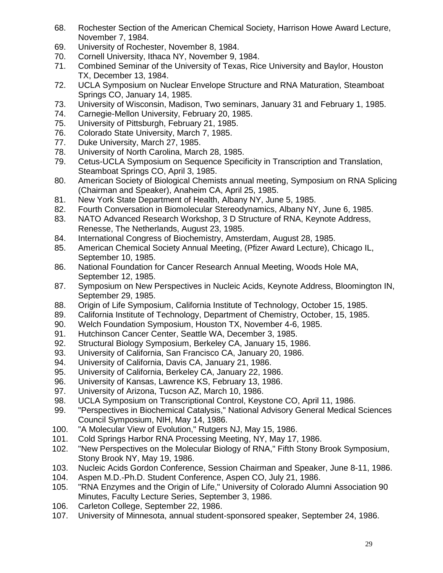- 68. Rochester Section of the American Chemical Society, Harrison Howe Award Lecture, November 7, 1984.
- 69. University of Rochester, November 8, 1984.
- 70. Cornell University, Ithaca NY, November 9, 1984.
- 71. Combined Seminar of the University of Texas, Rice University and Baylor, Houston TX, December 13, 1984.
- 72. UCLA Symposium on Nuclear Envelope Structure and RNA Maturation, Steamboat Springs CO, January 14, 1985.
- 73. University of Wisconsin, Madison, Two seminars, January 31 and February 1, 1985.
- 74. Carnegie-Mellon University, February 20, 1985.
- 75. University of Pittsburgh, February 21, 1985.
- 76. Colorado State University, March 7, 1985.
- 77. Duke University, March 27, 1985.
- 78. University of North Carolina, March 28, 1985.
- 79. Cetus-UCLA Symposium on Sequence Specificity in Transcription and Translation, Steamboat Springs CO, April 3, 1985.
- 80. American Society of Biological Chemists annual meeting, Symposium on RNA Splicing (Chairman and Speaker), Anaheim CA, April 25, 1985.
- 81. New York State Department of Health, Albany NY, June 5, 1985.
- 82. Fourth Conversation in Biomolecular Stereodynamics, Albany NY, June 6, 1985.
- 83. NATO Advanced Research Workshop, 3 D Structure of RNA, Keynote Address, Renesse, The Netherlands, August 23, 1985.
- 84. International Congress of Biochemistry, Amsterdam, August 28, 1985.
- 85. American Chemical Society Annual Meeting, (Pfizer Award Lecture), Chicago IL, September 10, 1985.
- 86. National Foundation for Cancer Research Annual Meeting, Woods Hole MA, September 12, 1985.
- 87. Symposium on New Perspectives in Nucleic Acids, Keynote Address, Bloomington IN, September 29, 1985.
- 88. Origin of Life Symposium, California Institute of Technology, October 15, 1985.
- 89. California Institute of Technology, Department of Chemistry, October, 15, 1985.
- 90. Welch Foundation Symposium, Houston TX, November 4-6, 1985.
- 91. Hutchinson Cancer Center, Seattle WA, December 3, 1985.
- 92. Structural Biology Symposium, Berkeley CA, January 15, 1986.
- 93. University of California, San Francisco CA, January 20, 1986.
- 94. University of California, Davis CA, January 21, 1986.
- 95. University of California, Berkeley CA, January 22, 1986.
- 96. University of Kansas, Lawrence KS, February 13, 1986.
- 97. University of Arizona, Tucson AZ, March 10, 1986.
- 98. UCLA Symposium on Transcriptional Control, Keystone CO, April 11, 1986.
- 99. "Perspectives in Biochemical Catalysis," National Advisory General Medical Sciences Council Symposium, NIH, May 14, 1986.
- 100. "A Molecular View of Evolution," Rutgers NJ, May 15, 1986.
- 101. Cold Springs Harbor RNA Processing Meeting, NY, May 17, 1986.
- 102. "New Perspectives on the Molecular Biology of RNA," Fifth Stony Brook Symposium, Stony Brook NY, May 19, 1986.
- 103. Nucleic Acids Gordon Conference, Session Chairman and Speaker, June 8-11, 1986.
- 104. Aspen M.D.-Ph.D. Student Conference, Aspen CO, July 21, 1986.
- 105. "RNA Enzymes and the Origin of Life," University of Colorado Alumni Association 90 Minutes, Faculty Lecture Series, September 3, 1986.
- 106. Carleton College, September 22, 1986.
- 107. University of Minnesota, annual student-sponsored speaker, September 24, 1986.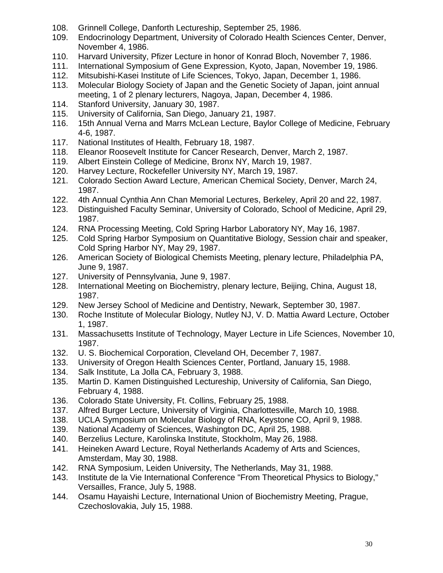- 108. Grinnell College, Danforth Lectureship, September 25, 1986.
- 109. Endocrinology Department, University of Colorado Health Sciences Center, Denver, November 4, 1986.
- 110. Harvard University, Pfizer Lecture in honor of Konrad Bloch, November 7, 1986.
- 111. International Symposium of Gene Expression, Kyoto, Japan, November 19, 1986.
- 112. Mitsubishi-Kasei Institute of Life Sciences, Tokyo, Japan, December 1, 1986.
- 113. Molecular Biology Society of Japan and the Genetic Society of Japan, joint annual meeting, 1 of 2 plenary lecturers, Nagoya, Japan, December 4, 1986.
- 114. Stanford University, January 30, 1987.
- 115. University of California, San Diego, January 21, 1987.
- 116. 15th Annual Verna and Marrs McLean Lecture, Baylor College of Medicine, February 4-6, 1987.
- 117. National Institutes of Health, February 18, 1987.
- 118. Eleanor Roosevelt Institute for Cancer Research, Denver, March 2, 1987.
- 119. Albert Einstein College of Medicine, Bronx NY, March 19, 1987.
- 120. Harvey Lecture, Rockefeller University NY, March 19, 1987.
- 121. Colorado Section Award Lecture, American Chemical Society, Denver, March 24, 1987.
- 122. 4th Annual Cynthia Ann Chan Memorial Lectures, Berkeley, April 20 and 22, 1987.
- 123. Distinguished Faculty Seminar, University of Colorado, School of Medicine, April 29, 1987.
- 124. RNA Processing Meeting, Cold Spring Harbor Laboratory NY, May 16, 1987.
- 125. Cold Spring Harbor Symposium on Quantitative Biology, Session chair and speaker, Cold Spring Harbor NY, May 29, 1987.
- 126. American Society of Biological Chemists Meeting, plenary lecture, Philadelphia PA, June 9, 1987.
- 127. University of Pennsylvania, June 9, 1987.
- 128. International Meeting on Biochemistry, plenary lecture, Beijing, China, August 18, 1987.
- 129. New Jersey School of Medicine and Dentistry, Newark, September 30, 1987.
- 130. Roche Institute of Molecular Biology, Nutley NJ, V. D. Mattia Award Lecture, October 1, 1987.
- 131. Massachusetts Institute of Technology, Mayer Lecture in Life Sciences, November 10, 1987.
- 132. U. S. Biochemical Corporation, Cleveland OH, December 7, 1987.
- 133. University of Oregon Health Sciences Center, Portland, January 15, 1988.
- 134. Salk Institute, La Jolla CA, February 3, 1988.
- 135. Martin D. Kamen Distinguished Lectureship, University of California, San Diego, February 4, 1988.
- 136. Colorado State University, Ft. Collins, February 25, 1988.
- 137. Alfred Burger Lecture, University of Virginia, Charlottesville, March 10, 1988.
- 138. UCLA Symposium on Molecular Biology of RNA, Keystone CO, April 9, 1988.
- 139. National Academy of Sciences, Washington DC, April 25, 1988.
- 140. Berzelius Lecture, Karolinska Institute, Stockholm, May 26, 1988.
- 141. Heineken Award Lecture, Royal Netherlands Academy of Arts and Sciences, Amsterdam, May 30, 1988.
- 142. RNA Symposium, Leiden University, The Netherlands, May 31, 1988.
- 143. Institute de la Vie International Conference "From Theoretical Physics to Biology," Versailles, France, July 5, 1988.
- 144. Osamu Hayaishi Lecture, International Union of Biochemistry Meeting, Prague, Czechoslovakia, July 15, 1988.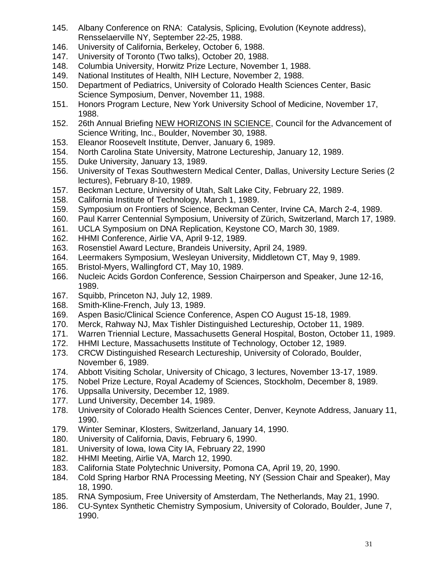- 145. Albany Conference on RNA: Catalysis, Splicing, Evolution (Keynote address), Rensselaerville NY, September 22-25, 1988.
- 146. University of California, Berkeley, October 6, 1988.
- 147. University of Toronto (Two talks), October 20, 1988.
- 148. Columbia University, Horwitz Prize Lecture, November 1, 1988.
- 149. National Institutes of Health, NIH Lecture, November 2, 1988.
- 150. Department of Pediatrics, University of Colorado Health Sciences Center, Basic Science Symposium, Denver, November 11, 1988.
- 151. Honors Program Lecture, New York University School of Medicine, November 17, 1988.
- 152. 26th Annual Briefing NEW HORIZONS IN SCIENCE, Council for the Advancement of Science Writing, Inc., Boulder, November 30, 1988.
- 153. Eleanor Roosevelt Institute, Denver, January 6, 1989.
- 154. North Carolina State University, Matrone Lectureship, January 12, 1989.
- 155. Duke University, January 13, 1989.
- 156. University of Texas Southwestern Medical Center, Dallas, University Lecture Series (2 lectures), February 8-10, 1989.
- 157. Beckman Lecture, University of Utah, Salt Lake City, February 22, 1989.
- 158. California Institute of Technology, March 1, 1989.
- 159. Symposium on Frontiers of Science, Beckman Center, Irvine CA, March 2-4, 1989.
- 160. Paul Karrer Centennial Symposium, University of Zürich, Switzerland, March 17, 1989.
- 161. UCLA Symposium on DNA Replication, Keystone CO, March 30, 1989.
- 162. HHMI Conference, Airlie VA, April 9-12, 1989.
- 163. Rosenstiel Award Lecture, Brandeis University, April 24, 1989.
- 164. Leermakers Symposium, Wesleyan University, Middletown CT, May 9, 1989.
- 165. Bristol-Myers, Wallingford CT, May 10, 1989.
- 166. Nucleic Acids Gordon Conference, Session Chairperson and Speaker, June 12-16, 1989.
- 167. Squibb, Princeton NJ, July 12, 1989.
- 168. Smith-Kline-French, July 13, 1989.
- 169. Aspen Basic/Clinical Science Conference, Aspen CO August 15-18, 1989.
- 170. Merck, Rahway NJ, Max Tishler Distinguished Lectureship, October 11, 1989.
- 171. Warren Triennial Lecture, Massachusetts General Hospital, Boston, October 11, 1989.
- 172. HHMI Lecture, Massachusetts Institute of Technology, October 12, 1989.
- 173. CRCW Distinguished Research Lectureship, University of Colorado, Boulder, November 6, 1989.
- 174. Abbott Visiting Scholar, University of Chicago, 3 lectures, November 13-17, 1989.
- 175. Nobel Prize Lecture, Royal Academy of Sciences, Stockholm, December 8, 1989.
- 176. Uppsalla University, December 12, 1989.
- 177. Lund University, December 14, 1989.
- 178. University of Colorado Health Sciences Center, Denver, Keynote Address, January 11, 1990.
- 179. Winter Seminar, Klosters, Switzerland, January 14, 1990.
- 180. University of California, Davis, February 6, 1990.
- 181. University of Iowa, Iowa City IA, February 22, 1990
- 182. HHMI Meeting, Airlie VA, March 12, 1990.
- 183. California State Polytechnic University, Pomona CA, April 19, 20, 1990.
- 184. Cold Spring Harbor RNA Processing Meeting, NY (Session Chair and Speaker), May 18, 1990.
- 185. RNA Symposium, Free University of Amsterdam, The Netherlands, May 21, 1990.
- 186. CU-Syntex Synthetic Chemistry Symposium, University of Colorado, Boulder, June 7, 1990.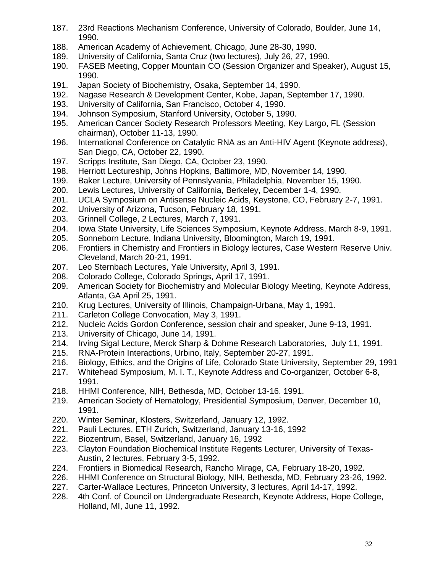- 187. 23rd Reactions Mechanism Conference, University of Colorado, Boulder, June 14, 1990.
- 188. American Academy of Achievement, Chicago, June 28-30, 1990.
- 189. University of California, Santa Cruz (two lectures), July 26, 27, 1990.
- 190. FASEB Meeting, Copper Mountain CO (Session Organizer and Speaker), August 15, 1990.
- 191. Japan Society of Biochemistry, Osaka, September 14, 1990.
- 192. Nagase Research & Development Center, Kobe, Japan, September 17, 1990.
- 193. University of California, San Francisco, October 4, 1990.
- 194. Johnson Symposium, Stanford University, October 5, 1990.
- 195. American Cancer Society Research Professors Meeting, Key Largo, FL (Session chairman), October 11-13, 1990.
- 196. International Conference on Catalytic RNA as an Anti-HIV Agent (Keynote address), San Diego, CA, October 22, 1990.
- 197. Scripps Institute, San Diego, CA, October 23, 1990.
- 198. Herriott Lectureship, Johns Hopkins, Baltimore, MD, November 14, 1990.
- 199. Baker Lecture, University of Pennslyvania, Philadelphia, November 15, 1990.
- 200. Lewis Lectures, University of California, Berkeley, December 1-4, 1990.
- 201. UCLA Symposium on Antisense Nucleic Acids, Keystone, CO, February 2-7, 1991.
- 202. University of Arizona, Tucson, February 18, 1991.
- 203. Grinnell College, 2 Lectures, March 7, 1991.
- 204. Iowa State University, Life Sciences Symposium, Keynote Address, March 8-9, 1991.
- 205. Sonneborn Lecture, Indiana University, Bloomington, March 19, 1991.
- 206. Frontiers in Chemistry and Frontiers in Biology lectures, Case Western Reserve Univ. Cleveland, March 20-21, 1991.
- 207. Leo Sternbach Lectures, Yale University, April 3, 1991.
- 208. Colorado College, Colorado Springs, April 17, 1991.
- 209. American Society for Biochemistry and Molecular Biology Meeting, Keynote Address, Atlanta, GA April 25, 1991.
- 210. Krug Lectures, University of Illinois, Champaign-Urbana, May 1, 1991.
- 211. Carleton College Convocation, May 3, 1991.
- 212. Nucleic Acids Gordon Conference, session chair and speaker, June 9-13, 1991.
- 213. University of Chicago, June 14, 1991.
- 214. Irving Sigal Lecture, Merck Sharp & Dohme Research Laboratories, July 11, 1991.
- 215. RNA-Protein Interactions, Urbino, Italy, September 20-27, 1991.
- 216. Biology, Ethics, and the Origins of Life, Colorado State University, September 29, 1991
- 217. Whitehead Symposium, M. I. T., Keynote Address and Co-organizer, October 6-8, 1991.
- 218. HHMI Conference, NIH, Bethesda, MD, October 13-16. 1991.
- 219. American Society of Hematology, Presidential Symposium, Denver, December 10, 1991.
- 220. Winter Seminar, Klosters, Switzerland, January 12, 1992.
- 221. Pauli Lectures, ETH Zurich, Switzerland, January 13-16, 1992
- 222. Biozentrum, Basel, Switzerland, January 16, 1992
- 223. Clayton Foundation Biochemical Institute Regents Lecturer, University of Texas-Austin, 2 lectures, February 3-5, 1992.
- 224. Frontiers in Biomedical Research, Rancho Mirage, CA, February 18-20, 1992.
- 226. HHMI Conference on Structural Biology, NIH, Bethesda, MD, February 23-26, 1992.
- 227. Carter-Wallace Lectures, Princeton University, 3 lectures, April 14-17, 1992.
- 228. 4th Conf. of Council on Undergraduate Research, Keynote Address, Hope College, Holland, MI, June 11, 1992.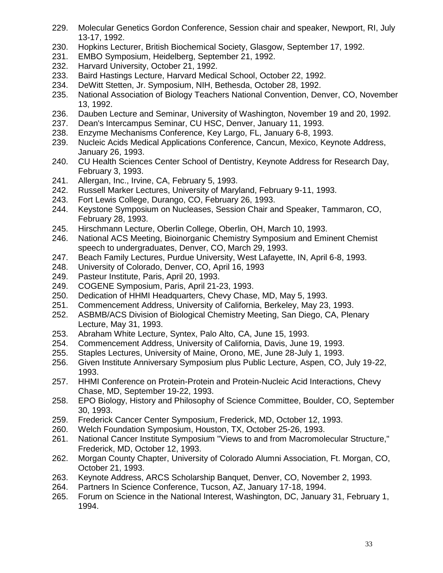- 229. Molecular Genetics Gordon Conference, Session chair and speaker, Newport, RI, July 13-17, 1992.
- 230. Hopkins Lecturer, British Biochemical Society, Glasgow, September 17, 1992.
- 231. EMBO Symposium, Heidelberg, September 21, 1992.
- 232. Harvard University, October 21, 1992.
- 233. Baird Hastings Lecture, Harvard Medical School, October 22, 1992.
- 234. DeWitt Stetten, Jr. Symposium, NIH, Bethesda, October 28, 1992.
- 235. National Association of Biology Teachers National Convention, Denver, CO, November 13, 1992.
- 236. Dauben Lecture and Seminar, University of Washington, November 19 and 20, 1992.
- 237. Dean's Intercampus Seminar, CU HSC, Denver, January 11, 1993.
- 238. Enzyme Mechanisms Conference, Key Largo, FL, January 6-8, 1993.
- 239. Nucleic Acids Medical Applications Conference, Cancun, Mexico, Keynote Address, January 26, 1993.
- 240. CU Health Sciences Center School of Dentistry, Keynote Address for Research Day, February 3, 1993.
- 241. Allergan, Inc., Irvine, CA, February 5, 1993.
- 242. Russell Marker Lectures, University of Maryland, February 9-11, 1993.
- 243. Fort Lewis College, Durango, CO, February 26, 1993.
- 244. Keystone Symposium on Nucleases, Session Chair and Speaker, Tammaron, CO, February 28, 1993.
- 245. Hirschmann Lecture, Oberlin College, Oberlin, OH, March 10, 1993.
- 246. National ACS Meeting, Bioinorganic Chemistry Symposium and Eminent Chemist speech to undergraduates, Denver, CO, March 29, 1993.
- 247. Beach Family Lectures, Purdue University, West Lafayette, IN, April 6-8, 1993.
- 248. University of Colorado, Denver, CO, April 16, 1993
- 249. Pasteur Institute, Paris, April 20, 1993.
- 249. COGENE Symposium, Paris, April 21-23, 1993.
- 250. Dedication of HHMI Headquarters, Chevy Chase, MD, May 5, 1993.
- 251. Commencement Address, University of California, Berkeley, May 23, 1993.
- 252. ASBMB/ACS Division of Biological Chemistry Meeting, San Diego, CA, Plenary Lecture, May 31, 1993.
- 253. Abraham White Lecture, Syntex, Palo Alto, CA, June 15, 1993.
- 254. Commencement Address, University of California, Davis, June 19, 1993.
- 255. Staples Lectures, University of Maine, Orono, ME, June 28-July 1, 1993.
- 256. Given Institute Anniversary Symposium plus Public Lecture, Aspen, CO, July 19-22, 1993.
- 257. HHMI Conference on Protein-Protein and Protein-Nucleic Acid Interactions, Chevy Chase, MD, September 19-22, 1993.
- 258. EPO Biology, History and Philosophy of Science Committee, Boulder, CO, September 30, 1993.
- 259. Frederick Cancer Center Symposium, Frederick, MD, October 12, 1993.
- 260. Welch Foundation Symposium, Houston, TX, October 25-26, 1993.
- 261. National Cancer Institute Symposium "Views to and from Macromolecular Structure," Frederick, MD, October 12, 1993.
- 262. Morgan County Chapter, University of Colorado Alumni Association, Ft. Morgan, CO, October 21, 1993.
- 263. Keynote Address, ARCS Scholarship Banquet, Denver, CO, November 2, 1993.
- 264. Partners In Science Conference, Tucson, AZ, January 17-18, 1994.
- 265. Forum on Science in the National Interest, Washington, DC, January 31, February 1, 1994.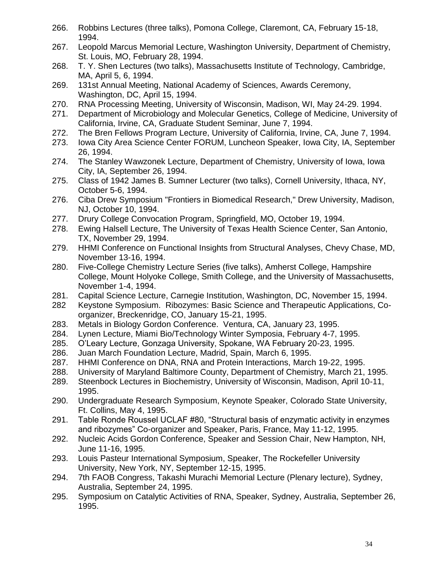- 266. Robbins Lectures (three talks), Pomona College, Claremont, CA, February 15-18, 1994.
- 267. Leopold Marcus Memorial Lecture, Washington University, Department of Chemistry, St. Louis, MO, February 28, 1994.
- 268. T. Y. Shen Lectures (two talks), Massachusetts Institute of Technology, Cambridge, MA, April 5, 6, 1994.
- 269. 131st Annual Meeting, National Academy of Sciences, Awards Ceremony, Washington, DC, April 15, 1994.
- 270. RNA Processing Meeting, University of Wisconsin, Madison, WI, May 24-29. 1994.
- 271. Department of Microbiology and Molecular Genetics, College of Medicine, University of California, Irvine, CA, Graduate Student Seminar, June 7, 1994.
- 272. The Bren Fellows Program Lecture, University of California, Irvine, CA, June 7, 1994.
- 273. Iowa City Area Science Center FORUM, Luncheon Speaker, Iowa City, IA, September 26, 1994.
- 274. The Stanley Wawzonek Lecture, Department of Chemistry, University of Iowa, Iowa City, IA, September 26, 1994.
- 275. Class of 1942 James B. Sumner Lecturer (two talks), Cornell University, Ithaca, NY, October 5-6, 1994.
- 276. Ciba Drew Symposium "Frontiers in Biomedical Research," Drew University, Madison, NJ, October 10, 1994.
- 277. Drury College Convocation Program, Springfield, MO, October 19, 1994.
- 278. Ewing Halsell Lecture, The University of Texas Health Science Center, San Antonio, TX, November 29, 1994.
- 279. HHMI Conference on Functional Insights from Structural Analyses, Chevy Chase, MD, November 13-16, 1994.
- 280. Five-College Chemistry Lecture Series (five talks), Amherst College, Hampshire College, Mount Holyoke College, Smith College, and the University of Massachusetts, November 1-4, 1994.
- 281. Capital Science Lecture, Carnegie Institution, Washington, DC, November 15, 1994.
- 282 Keystone Symposium. Ribozymes: Basic Science and Therapeutic Applications, Coorganizer, Breckenridge, CO, January 15-21, 1995.
- 283. Metals in Biology Gordon Conference. Ventura, CA, January 23, 1995.
- 284. Lynen Lecture, Miami Bio/Technology Winter Symposia, February 4-7, 1995.
- 285. O'Leary Lecture, Gonzaga University, Spokane, WA February 20-23, 1995.
- 286. Juan March Foundation Lecture, Madrid, Spain, March 6, 1995.
- 287. HHMI Conference on DNA, RNA and Protein Interactions, March 19-22, 1995.
- 288. University of Maryland Baltimore County, Department of Chemistry, March 21, 1995.
- 289. Steenbock Lectures in Biochemistry, University of Wisconsin, Madison, April 10-11, 1995.
- 290. Undergraduate Research Symposium, Keynote Speaker, Colorado State University, Ft. Collins, May 4, 1995.
- 291. Table Ronde Roussel UCLAF #80, "Structural basis of enzymatic activity in enzymes and ribozymes" Co-organizer and Speaker, Paris, France, May 11-12, 1995.
- 292. Nucleic Acids Gordon Conference, Speaker and Session Chair, New Hampton, NH, June 11-16, 1995.
- 293. Louis Pasteur International Symposium, Speaker, The Rockefeller University University, New York, NY, September 12-15, 1995.
- 294. 7th FAOB Congress, Takashi Murachi Memorial Lecture (Plenary lecture), Sydney, Australia, September 24, 1995.
- 295. Symposium on Catalytic Activities of RNA, Speaker, Sydney, Australia, September 26, 1995.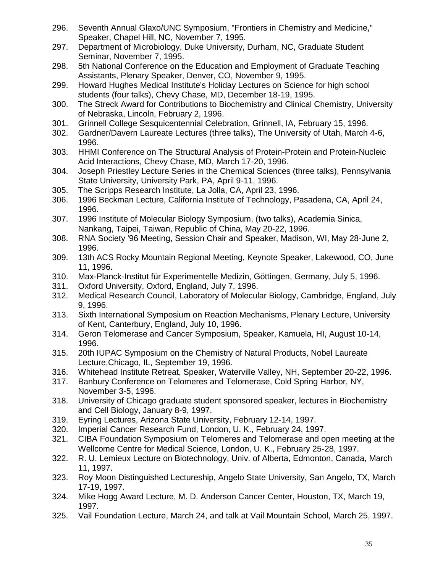- 296. Seventh Annual Glaxo/UNC Symposium, "Frontiers in Chemistry and Medicine," Speaker, Chapel Hill, NC, November 7, 1995.
- 297. Department of Microbiology, Duke University, Durham, NC, Graduate Student Seminar, November 7, 1995.
- 298. 5th National Conference on the Education and Employment of Graduate Teaching Assistants, Plenary Speaker, Denver, CO, November 9, 1995.
- 299. Howard Hughes Medical Institute's Holiday Lectures on Science for high school students (four talks), Chevy Chase, MD, December 18-19, 1995.
- 300. The Streck Award for Contributions to Biochemistry and Clinical Chemistry, University of Nebraska, Lincoln, February 2, 1996.
- 301. Grinnell College Sesquicentennial Celebration, Grinnell, IA, February 15, 1996.
- 302. Gardner/Davern Laureate Lectures (three talks), The University of Utah, March 4-6, 1996.
- 303. HHMI Conference on The Structural Analysis of Protein-Protein and Protein-Nucleic Acid Interactions, Chevy Chase, MD, March 17-20, 1996.
- 304. Joseph Priestley Lecture Series in the Chemical Sciences (three talks), Pennsylvania State University, University Park, PA, April 9-11, 1996.
- 305. The Scripps Research Institute, La Jolla, CA, April 23, 1996.
- 306. 1996 Beckman Lecture, California Institute of Technology, Pasadena, CA, April 24, 1996.
- 307. 1996 Institute of Molecular Biology Symposium, (two talks), Academia Sinica, Nankang, Taipei, Taiwan, Republic of China, May 20-22, 1996.
- 308. RNA Society '96 Meeting, Session Chair and Speaker, Madison, WI, May 28-June 2, 1996.
- 309. 13th ACS Rocky Mountain Regional Meeting, Keynote Speaker, Lakewood, CO, June 11, 1996.
- 310. Max-Planck-Institut für Experimentelle Medizin, Göttingen, Germany, July 5, 1996.
- 311. Oxford University, Oxford, England, July 7, 1996.
- 312. Medical Research Council, Laboratory of Molecular Biology, Cambridge, England, July 9, 1996.
- 313. Sixth International Symposium on Reaction Mechanisms, Plenary Lecture, University of Kent, Canterbury, England, July 10, 1996.
- 314. Geron Telomerase and Cancer Symposium, Speaker, Kamuela, HI, August 10-14, 1996.
- 315. 20th IUPAC Symposium on the Chemistry of Natural Products, Nobel Laureate Lecture,Chicago, IL, September 19, 1996.
- 316. Whitehead Institute Retreat, Speaker, Waterville Valley, NH, September 20-22, 1996.
- 317. Banbury Conference on Telomeres and Telomerase, Cold Spring Harbor, NY, November 3-5, 1996.
- 318. University of Chicago graduate student sponsored speaker, lectures in Biochemistry and Cell Biology, January 8-9, 1997.
- 319. Eyring Lectures, Arizona State University, February 12-14, 1997.
- 320. Imperial Cancer Research Fund, London, U. K., February 24, 1997.
- 321. CIBA Foundation Symposium on Telomeres and Telomerase and open meeting at the Wellcome Centre for Medical Science, London, U. K., February 25-28, 1997.
- 322. R. U. Lemieux Lecture on Biotechnology, Univ. of Alberta, Edmonton, Canada, March 11, 1997.
- 323. Roy Moon Distinguished Lectureship, Angelo State University, San Angelo, TX, March 17-19, 1997.
- 324. Mike Hogg Award Lecture, M. D. Anderson Cancer Center, Houston, TX, March 19, 1997.
- 325. Vail Foundation Lecture, March 24, and talk at Vail Mountain School, March 25, 1997.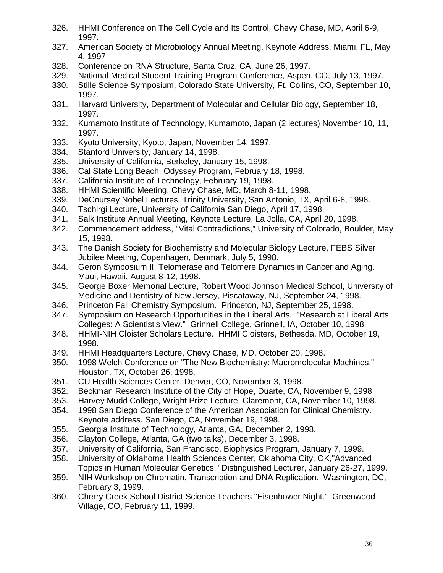- 326. HHMI Conference on The Cell Cycle and Its Control, Chevy Chase, MD, April 6-9, 1997.
- 327. American Society of Microbiology Annual Meeting, Keynote Address, Miami, FL, May 4, 1997.
- 328. Conference on RNA Structure, Santa Cruz, CA, June 26, 1997.
- 329. National Medical Student Training Program Conference, Aspen, CO, July 13, 1997.
- 330. Stille Science Symposium, Colorado State University, Ft. Collins, CO, September 10, 1997.
- 331. Harvard University, Department of Molecular and Cellular Biology, September 18, 1997.
- 332. Kumamoto Institute of Technology, Kumamoto, Japan (2 lectures) November 10, 11, 1997.
- 333. Kyoto University, Kyoto, Japan, November 14, 1997.
- 334. Stanford University, January 14, 1998.
- 335. University of California, Berkeley, January 15, 1998.
- 336. Cal State Long Beach, Odyssey Program, February 18, 1998.
- 337. California Institute of Technology, February 19, 1998.
- 338. HHMI Scientific Meeting, Chevy Chase, MD, March 8-11, 1998.
- 339. DeCoursey Nobel Lectures, Trinity University, San Antonio, TX, April 6-8, 1998.
- 340. Tschirgi Lecture, University of California San Diego, April 17, 1998.
- 341. Salk Institute Annual Meeting, Keynote Lecture, La Jolla, CA, April 20, 1998.
- 342. Commencement address, "Vital Contradictions," University of Colorado, Boulder, May 15, 1998.
- 343. The Danish Society for Biochemistry and Molecular Biology Lecture, FEBS Silver Jubilee Meeting, Copenhagen, Denmark, July 5, 1998.
- 344. Geron Symposium II: Telomerase and Telomere Dynamics in Cancer and Aging. Maui, Hawaii, August 8-12, 1998.
- 345. George Boxer Memorial Lecture, Robert Wood Johnson Medical School, University of Medicine and Dentistry of New Jersey, Piscataway, NJ, September 24, 1998.
- 346. Princeton Fall Chemistry Symposium. Princeton, NJ, September 25, 1998.
- 347. Symposium on Research Opportunities in the Liberal Arts. "Research at Liberal Arts Colleges: A Scientist's View." Grinnell College, Grinnell, IA, October 10, 1998.
- 348. HHMI-NIH Cloister Scholars Lecture. HHMI Cloisters, Bethesda, MD, October 19, 1998.
- 349. HHMI Headquarters Lecture, Chevy Chase, MD, October 20, 1998.
- 350. 1998 Welch Conference on "The New Biochemistry: Macromolecular Machines." Houston, TX, October 26, 1998.
- 351. CU Health Sciences Center, Denver, CO, November 3, 1998.
- 352. Beckman Research Institute of the City of Hope, Duarte, CA, November 9, 1998.
- 353. Harvey Mudd College, Wright Prize Lecture, Claremont, CA, November 10, 1998.
- 354. 1998 San Diego Conference of the American Association for Clinical Chemistry. Keynote address. San Diego, CA, November 19, 1998.
- 355. Georgia Institute of Technology, Atlanta, GA, December 2, 1998.
- 356. Clayton College, Atlanta, GA (two talks), December 3, 1998.
- 357. University of California, San Francisco, Biophysics Program, January 7, 1999.
- 358. University of Oklahoma Health Sciences Center, Oklahoma City, OK,"Advanced Topics in Human Molecular Genetics," Distinguished Lecturer, January 26-27, 1999.
- 359. NIH Workshop on Chromatin, Transcription and DNA Replication. Washington, DC, February 3, 1999.
- 360. Cherry Creek School District Science Teachers "Eisenhower Night." Greenwood Village, CO, February 11, 1999.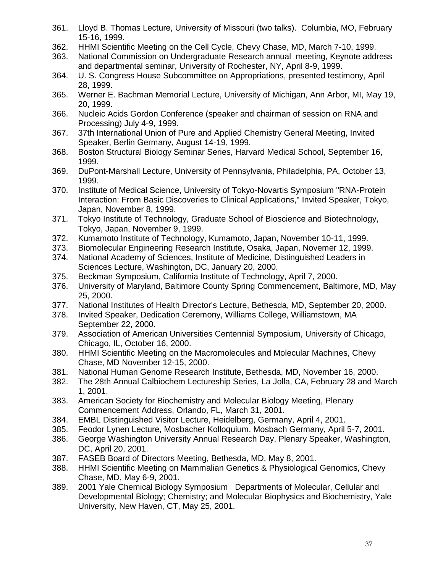- 361. Lloyd B. Thomas Lecture, University of Missouri (two talks). Columbia, MO, February 15-16, 1999.
- 362. HHMI Scientific Meeting on the Cell Cycle, Chevy Chase, MD, March 7-10, 1999.
- 363. National Commission on Undergraduate Research annual meeting, Keynote address and departmental seminar, University of Rochester, NY, April 8-9, 1999.
- 364. U. S. Congress House Subcommittee on Appropriations, presented testimony, April 28, 1999.
- 365. Werner E. Bachman Memorial Lecture, University of Michigan, Ann Arbor, MI, May 19, 20, 1999.
- 366. Nucleic Acids Gordon Conference (speaker and chairman of session on RNA and Processing) July 4-9, 1999.
- 367. 37th International Union of Pure and Applied Chemistry General Meeting, Invited Speaker, Berlin Germany, August 14-19, 1999.
- 368. Boston Structural Biology Seminar Series, Harvard Medical School, September 16, 1999.
- 369. DuPont-Marshall Lecture, University of Pennsylvania, Philadelphia, PA, October 13, 1999.
- 370. Institute of Medical Science, University of Tokyo-Novartis Symposium "RNA-Protein Interaction: From Basic Discoveries to Clinical Applications," Invited Speaker, Tokyo, Japan, November 8, 1999.
- 371. Tokyo Institute of Technology, Graduate School of Bioscience and Biotechnology, Tokyo, Japan, November 9, 1999.
- 372. Kumamoto Institute of Technology, Kumamoto, Japan, November 10-11, 1999.
- 373. Biomolecular Engineering Research Institute, Osaka, Japan, Novemer 12, 1999.
- 374. National Academy of Sciences, Institute of Medicine, Distinguished Leaders in Sciences Lecture, Washington, DC, January 20, 2000.
- 375. Beckman Symposium, California Institute of Technology, April 7, 2000.
- 376. University of Maryland, Baltimore County Spring Commencement, Baltimore, MD, May 25, 2000.
- 377. National Institutes of Health Director's Lecture, Bethesda, MD, September 20, 2000.
- 378. Invited Speaker, Dedication Ceremony, Williams College, Williamstown, MA September 22, 2000.
- 379. Association of American Universities Centennial Symposium, University of Chicago, Chicago, IL, October 16, 2000.
- 380. HHMI Scientific Meeting on the Macromolecules and Molecular Machines, Chevy Chase, MD November 12-15, 2000.
- 381. National Human Genome Research Institute, Bethesda, MD, November 16, 2000.
- 382. The 28th Annual Calbiochem Lectureship Series, La Jolla, CA, February 28 and March 1, 2001.
- 383. American Society for Biochemistry and Molecular Biology Meeting, Plenary Commencement Address, Orlando, FL, March 31, 2001.
- 384. EMBL Distinguished Visitor Lecture, Heidelberg, Germany, April 4, 2001.
- 385. Feodor Lynen Lecture, Mosbacher Kolloquium, Mosbach Germany, April 5-7, 2001.
- 386. George Washington University Annual Research Day, Plenary Speaker, Washington, DC, April 20, 2001.
- 387. FASEB Board of Directors Meeting, Bethesda, MD, May 8, 2001.
- 388. HHMI Scientific Meeting on Mammalian Genetics & Physiological Genomics, Chevy Chase, MD, May 6-9, 2001.
- 389. 2001 Yale Chemical Biology Symposium Departments of Molecular, Cellular and Developmental Biology; Chemistry; and Molecular Biophysics and Biochemistry, Yale University, New Haven, CT, May 25, 2001.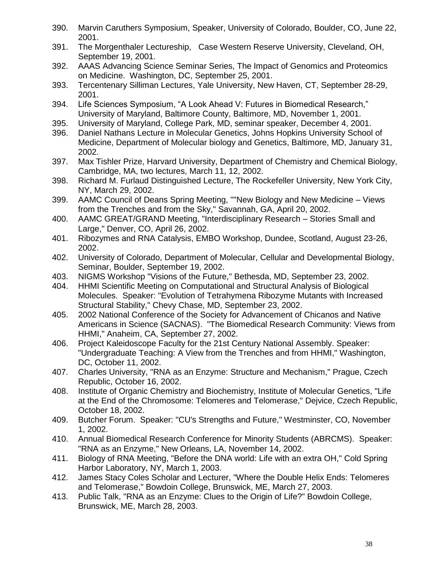- 390. Marvin Caruthers Symposium, Speaker, University of Colorado, Boulder, CO, June 22, 2001.
- 391. The Morgenthaler Lectureship, Case Western Reserve University, Cleveland, OH, September 19, 2001.
- 392. AAAS Advancing Science Seminar Series, The Impact of Genomics and Proteomics on Medicine. Washington, DC, September 25, 2001.
- 393. Tercentenary Silliman Lectures, Yale University, New Haven, CT, September 28-29, 2001.
- 394. Life Sciences Symposium, "A Look Ahead V: Futures in Biomedical Research," University of Maryland, Baltimore County, Baltimore, MD, November 1, 2001.
- 395. University of Maryland, College Park, MD, seminar speaker, December 4, 2001.
- 396. Daniel Nathans Lecture in Molecular Genetics, Johns Hopkins University School of Medicine, Department of Molecular biology and Genetics, Baltimore, MD, January 31, 2002.
- 397. Max Tishler Prize, Harvard University, Department of Chemistry and Chemical Biology, Cambridge, MA, two lectures, March 11, 12, 2002.
- 398. Richard M. Furlaud Distinguished Lecture, The Rockefeller University, New York City, NY, March 29, 2002.
- 399. AAMC Council of Deans Spring Meeting, ""New Biology and New Medicine Views from the Trenches and from the Sky," Savannah, GA, April 20, 2002.
- 400. AAMC GREAT/GRAND Meeting, "Interdisciplinary Research Stories Small and Large," Denver, CO, April 26, 2002.
- 401. Ribozymes and RNA Catalysis, EMBO Workshop, Dundee, Scotland, August 23-26, 2002.
- 402. University of Colorado, Department of Molecular, Cellular and Developmental Biology, Seminar, Boulder, September 19, 2002.
- 403. NIGMS Workshop "Visions of the Future," Bethesda, MD, September 23, 2002.
- 404. HHMI Scientific Meeting on Computational and Structural Analysis of Biological Molecules. Speaker: "Evolution of Tetrahymena Ribozyme Mutants with Increased Structural Stability," Chevy Chase, MD, September 23, 2002.
- 405. 2002 National Conference of the Society for Advancement of Chicanos and Native Americans in Science (SACNAS). "The Biomedical Research Community: Views from HHMI," Anaheim, CA, September 27, 2002.
- 406. Project Kaleidoscope Faculty for the 21st Century National Assembly. Speaker: "Undergraduate Teaching: A View from the Trenches and from HHMI," Washington, DC, October 11, 2002.
- 407. Charles University, "RNA as an Enzyme: Structure and Mechanism," Prague, Czech Republic, October 16, 2002.
- 408. Institute of Organic Chemistry and Biochemistry, Institute of Molecular Genetics, "Life at the End of the Chromosome: Telomeres and Telomerase," Dejvice, Czech Republic, October 18, 2002.
- 409. Butcher Forum. Speaker: "CU's Strengths and Future," Westminster, CO, November 1, 2002.
- 410. Annual Biomedical Research Conference for Minority Students (ABRCMS). Speaker: "RNA as an Enzyme," New Orleans, LA, November 14, 2002.
- 411. Biology of RNA Meeting, "Before the DNA world: Life with an extra OH," Cold Spring Harbor Laboratory, NY, March 1, 2003.
- 412. James Stacy Coles Scholar and Lecturer, "Where the Double Helix Ends: Telomeres and Telomerase," Bowdoin College, Brunswick, ME, March 27, 2003.
- 413. Public Talk, "RNA as an Enzyme: Clues to the Origin of Life?" Bowdoin College, Brunswick, ME, March 28, 2003.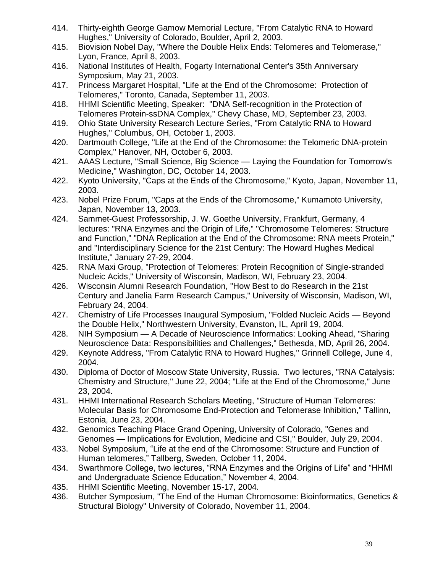- 414. Thirty-eighth George Gamow Memorial Lecture, "From Catalytic RNA to Howard Hughes," University of Colorado, Boulder, April 2, 2003.
- 415. Biovision Nobel Day, "Where the Double Helix Ends: Telomeres and Telomerase," Lyon, France, April 8, 2003.
- 416. National Institutes of Health, Fogarty International Center's 35th Anniversary Symposium, May 21, 2003.
- 417. Princess Margaret Hospital, "Life at the End of the Chromosome: Protection of Telomeres," Toronto, Canada, September 11, 2003.
- 418. HHMI Scientific Meeting, Speaker: "DNA Self-recognition in the Protection of Telomeres Protein-ssDNA Complex," Chevy Chase, MD, September 23, 2003.
- 419. Ohio State University Research Lecture Series, "From Catalytic RNA to Howard Hughes," Columbus, OH, October 1, 2003.
- 420. Dartmouth College, "Life at the End of the Chromosome: the Telomeric DNA-protein Complex," Hanover, NH, October 6, 2003.
- 421. AAAS Lecture, "Small Science, Big Science Laying the Foundation for Tomorrow's Medicine," Washington, DC, October 14, 2003.
- 422. Kyoto University, "Caps at the Ends of the Chromosome," Kyoto, Japan, November 11, 2003.
- 423. Nobel Prize Forum, "Caps at the Ends of the Chromosome," Kumamoto University, Japan, November 13, 2003.
- 424. Sammet-Guest Professorship, J. W. Goethe University, Frankfurt, Germany, 4 lectures: "RNA Enzymes and the Origin of Life," "Chromosome Telomeres: Structure and Function," "DNA Replication at the End of the Chromosome: RNA meets Protein," and "Interdisciplinary Science for the 21st Century: The Howard Hughes Medical Institute," January 27-29, 2004.
- 425. RNA Maxi Group, "Protection of Telomeres: Protein Recognition of Single-stranded Nucleic Acids," University of Wisconsin, Madison, WI, February 23, 2004.
- 426. Wisconsin Alumni Research Foundation, "How Best to do Research in the 21st Century and Janelia Farm Research Campus," University of Wisconsin, Madison, WI, February 24, 2004.
- 427. Chemistry of Life Processes Inaugural Symposium, "Folded Nucleic Acids Beyond the Double Helix," Northwestern University, Evanston, IL, April 19, 2004.
- 428. NIH Symposium A Decade of Neuroscience Informatics: Looking Ahead, "Sharing Neuroscience Data: Responsibilities and Challenges," Bethesda, MD, April 26, 2004.
- 429. Keynote Address, "From Catalytic RNA to Howard Hughes," Grinnell College, June 4, 2004.
- 430. Diploma of Doctor of Moscow State University, Russia. Two lectures, "RNA Catalysis: Chemistry and Structure," June 22, 2004; "Life at the End of the Chromosome," June 23, 2004.
- 431. HHMI International Research Scholars Meeting, "Structure of Human Telomeres: Molecular Basis for Chromosome End-Protection and Telomerase Inhibition," Tallinn, Estonia, June 23, 2004.
- 432. Genomics Teaching Place Grand Opening, University of Colorado, "Genes and Genomes — Implications for Evolution, Medicine and CSI," Boulder, July 29, 2004.
- 433. Nobel Symposium, "Life at the end of the Chromosome: Structure and Function of Human telomeres," Tallberg, Sweden, October 11, 2004.
- 434. Swarthmore College, two lectures, "RNA Enzymes and the Origins of Life" and "HHMI and Undergraduate Science Education," November 4, 2004.
- 435. HHMI Scientific Meeting, November 15-17, 2004.
- 436. Butcher Symposium, "The End of the Human Chromosome: Bioinformatics, Genetics & Structural Biology" University of Colorado, November 11, 2004.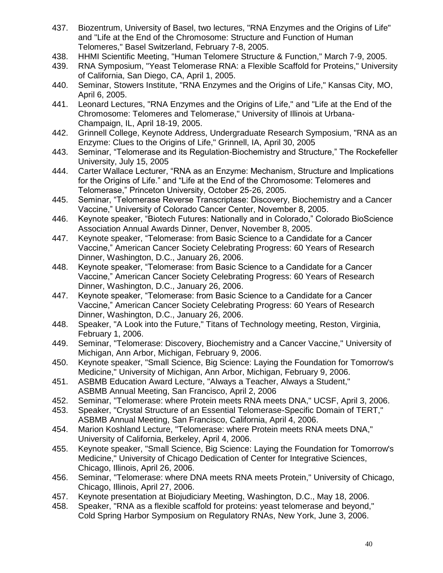- 437. Biozentrum, University of Basel, two lectures, "RNA Enzymes and the Origins of Life" and "Life at the End of the Chromosome: Structure and Function of Human Telomeres," Basel Switzerland, February 7-8, 2005.
- 438. HHMI Scientific Meeting, "Human Telomere Structure & Function," March 7-9, 2005.
- 439. RNA Symposium, "Yeast Telomerase RNA: a Flexible Scaffold for Proteins," University of California, San Diego, CA, April 1, 2005.
- 440. Seminar, Stowers Institute, "RNA Enzymes and the Origins of Life," Kansas City, MO, April 6, 2005.
- 441. Leonard Lectures, "RNA Enzymes and the Origins of Life," and "Life at the End of the Chromosome: Telomeres and Telomerase," University of Illinois at Urbana-Champaign, IL, April 18-19, 2005.
- 442. Grinnell College, Keynote Address, Undergraduate Research Symposium, "RNA as an Enzyme: Clues to the Origins of Life," Grinnell, IA, April 30, 2005
- 443. Seminar, "Telomerase and its Regulation-Biochemistry and Structure," The Rockefeller University, July 15, 2005
- 444. Carter Wallace Lecturer, "RNA as an Enzyme: Mechanism, Structure and Implications for the Origins of Life." and "Life at the End of the Chromosome: Telomeres and Telomerase," Princeton University, October 25-26, 2005.
- 445. Seminar, "Telomerase Reverse Transcriptase: Discovery, Biochemistry and a Cancer Vaccine," University of Colorado Cancer Center, November 8, 2005.
- 446. Keynote speaker, "Biotech Futures: Nationally and in Colorado," Colorado BioScience Association Annual Awards Dinner, Denver, November 8, 2005.
- 447. Keynote speaker, "Telomerase: from Basic Science to a Candidate for a Cancer Vaccine," American Cancer Society Celebrating Progress: 60 Years of Research Dinner, Washington, D.C., January 26, 2006.
- 448. Keynote speaker, "Telomerase: from Basic Science to a Candidate for a Cancer Vaccine," American Cancer Society Celebrating Progress: 60 Years of Research Dinner, Washington, D.C., January 26, 2006.
- 447. Keynote speaker, "Telomerase: from Basic Science to a Candidate for a Cancer Vaccine," American Cancer Society Celebrating Progress: 60 Years of Research Dinner, Washington, D.C., January 26, 2006.
- 448. Speaker, "A Look into the Future," Titans of Technology meeting, Reston, Virginia, February 1, 2006.
- 449. Seminar, "Telomerase: Discovery, Biochemistry and a Cancer Vaccine," University of Michigan, Ann Arbor, Michigan, February 9, 2006.
- 450. Keynote speaker, "Small Science, Big Science: Laying the Foundation for Tomorrow's Medicine," University of Michigan, Ann Arbor, Michigan, February 9, 2006.
- 451. ASBMB Education Award Lecture, "Always a Teacher, Always a Student," ASBMB Annual Meeting, San Francisco, April 2, 2006
- 452. Seminar, "Telomerase: where Protein meets RNA meets DNA," UCSF, April 3, 2006.
- 453. Speaker, "Crystal Structure of an Essential Telomerase-Specific Domain of TERT," ASBMB Annual Meeting, San Francisco, California, April 4, 2006.
- 454. Marion Koshland Lecture, "Telomerase: where Protein meets RNA meets DNA," University of California, Berkeley, April 4, 2006.
- 455. Keynote speaker, "Small Science, Big Science: Laying the Foundation for Tomorrow's Medicine," University of Chicago Dedication of Center for Integrative Sciences, Chicago, Illinois, April 26, 2006.
- 456. Seminar, "Telomerase: where DNA meets RNA meets Protein," University of Chicago, Chicago, Illinois, April 27, 2006.
- 457. Keynote presentation at Biojudiciary Meeting, Washington, D.C., May 18, 2006.
- 458. Speaker, "RNA as a flexible scaffold for proteins: yeast telomerase and beyond," Cold Spring Harbor Symposium on Regulatory RNAs, New York, June 3, 2006.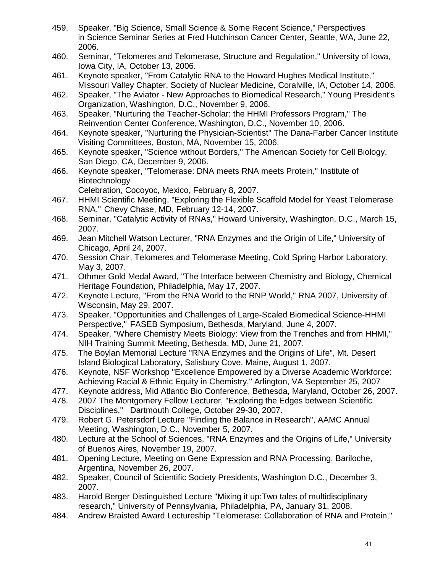- 459. Speaker, "Big Science, Small Science & Some Recent Science," Perspectives in Science Seminar Series at Fred Hutchinson Cancer Center, Seattle, WA, June 22, 2006.
- 460. Seminar, "Telomeres and Telomerase, Structure and Regulation," University of Iowa, Iowa City, IA, October 13, 2006.
- 461. Keynote speaker, "From Catalytic RNA to the Howard Hughes Medical Institute," Missouri Valley Chapter, Society of Nuclear Medicine, Coralville, IA, October 14, 2006.
- 462. Speaker, "The Aviator New Approaches to Biomedical Research," Young President's Organization, Washington, D.C., November 9, 2006.
- 463. Speaker, "Nurturing the Teacher-Scholar: the HHMI Professors Program," The Reinvention Center Conference, Washington, D.C., November 10, 2006.
- 464. Keynote speaker, "Nurturing the Physician-Scientist" The Dana-Farber Cancer Institute Visiting Committees, Boston, MA, November 15, 2006.
- 465. Keynote speaker, "Science without Borders," The American Society for Cell Biology, San Diego, CA, December 9, 2006.
- 466. Keynote speaker, "Telomerase: DNA meets RNA meets Protein," Institute of Biotechnology
	- Celebration, Cocoyoc, Mexico, February 8, 2007.
- 467. HHMI Scientific Meeting, "Exploring the Flexible Scaffold Model for Yeast Telomerase RNA," Chevy Chase, MD, February 12-14, 2007.
- 468. Seminar, "Catalytic Activity of RNAs," Howard University, Washington, D.C., March 15, 2007.
- 469. Jean Mitchell Watson Lecturer, "RNA Enzymes and the Origin of Life," University of Chicago, April 24, 2007.
- 470. Session Chair, Telomeres and Telomerase Meeting, Cold Spring Harbor Laboratory, May 3, 2007.
- 471. Othmer Gold Medal Award, "The Interface between Chemistry and Biology, Chemical Heritage Foundation, Philadelphia, May 17, 2007.
- 472. Keynote Lecture, "From the RNA World to the RNP World," RNA 2007, University of Wisconsin, May 29, 2007.
- 473. Speaker, "Opportunities and Challenges of Large-Scaled Biomedical Science-HHMI Perspective," FASEB Symposium, Bethesda, Maryland, June 4, 2007.
- 474. Speaker, "Where Chemistry Meets Biology: View from the Trenches and from HHMI," NIH Training Summit Meeting, Bethesda, MD, June 21, 2007.
- 475. The Boylan Memorial Lecture "RNA Enzymes and the Origins of Life", Mt. Desert Island Biological Laboratory, Salisbury Cove, Maine, August 1, 2007.
- 476. Keynote, NSF Workshop "Excellence Empowered by a Diverse Academic Workforce: Achieving Racial & Ethnic Equity in Chemistry," Arlington, VA September 25, 2007
- 477. Keynote address, Mid Atlantic Bio Conference, Bethesda, Maryland, October 26, 2007.
- 478. 2007 The Montgomery Fellow Lecturer, "Exploring the Edges between Scientific Disciplines," Dartmouth College, October 29-30, 2007.
- 479. Robert G. Petersdorf Lecture "Finding the Balance in Research", AAMC Annual Meeting, Washington, D.C., November 5, 2007.
- 480. Lecture at the School of Sciences, "RNA Enzymes and the Origins of Life," University of Buenos Aires, November 19, 2007.
- 481. Opening Lecture, Meeting on Gene Expression and RNA Processing, Bariloche, Argentina, November 26, 2007.
- 482. Speaker, Council of Scientific Society Presidents, Washington D.C., December 3, 2007.
- 483. Harold Berger Distinguished Lecture "Mixing it up:Two tales of multidisciplinary research," University of Pennsylvania, Philadelphia, PA, January 31, 2008.
- 484. Andrew Braisted Award Lectureship "Telomerase: Collaboration of RNA and Protein,"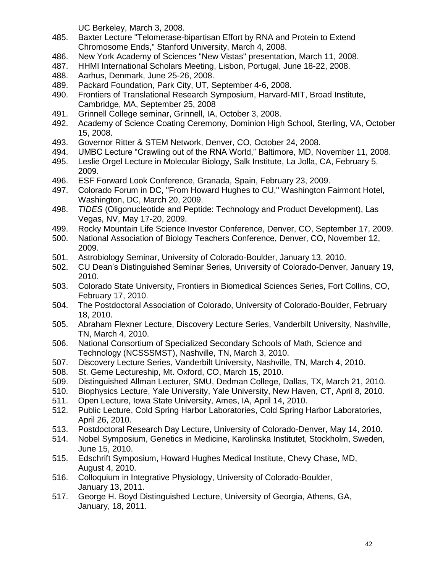UC Berkeley, March 3, 2008.

- 485. Baxter Lecture "Telomerase-bipartisan Effort by RNA and Protein to Extend Chromosome Ends," Stanford University, March 4, 2008.
- 486. New York Academy of Sciences "New Vistas" presentation, March 11, 2008.
- 487. HHMI International Scholars Meeting, Lisbon, Portugal, June 18-22, 2008.
- 488. Aarhus, Denmark, June 25-26, 2008.
- 489. Packard Foundation, Park City, UT, September 4-6, 2008.
- 490. Frontiers of Translational Research Symposium, Harvard-MIT, Broad Institute, Cambridge, MA, September 25, 2008
- 491. Grinnell College seminar, Grinnell, IA, October 3, 2008.
- 492. Academy of Science Coating Ceremony, Dominion High School, Sterling, VA, October 15, 2008.
- 493. Governor Ritter & STEM Network, Denver, CO, October 24, 2008.
- 494. UMBC Lecture "Crawling out of the RNA World," Baltimore, MD, November 11, 2008.
- 495. Leslie Orgel Lecture in Molecular Biology, Salk Institute, La Jolla, CA, February 5, 2009.
- 496. ESF Forward Look Conference, Granada, Spain, February 23, 2009.
- 497. Colorado Forum in DC, "From Howard Hughes to CU," Washington Fairmont Hotel, Washington, DC, March 20, 2009.
- 498. *TIDES* (Oligonucleotide and Peptide: Technology and Product Development), Las Vegas, NV, May 17-20, 2009.
- 499. Rocky Mountain Life Science Investor Conference, Denver, CO, September 17, 2009.
- 500. National Association of Biology Teachers Conference, Denver, CO, November 12, 2009.
- 501. Astrobiology Seminar, University of Colorado-Boulder, January 13, 2010.
- 502. CU Dean's Distinguished Seminar Series, University of Colorado-Denver, January 19, 2010.
- 503. Colorado State University, Frontiers in Biomedical Sciences Series, Fort Collins, CO, February 17, 2010.
- 504. The Postdoctoral Association of Colorado, University of Colorado-Boulder, February 18, 2010.
- 505. Abraham Flexner Lecture, Discovery Lecture Series, Vanderbilt University, Nashville, TN, March 4, 2010.
- 506. National Consortium of Specialized Secondary Schools of Math, Science and Technology (NCSSSMST), Nashville, TN, March 3, 2010.
- 507. Discovery Lecture Series, Vanderbilt University, Nashville, TN, March 4, 2010.
- 508. St. Geme Lectureship, Mt. Oxford, CO, March 15, 2010.
- 509. Distinguished Allman Lecturer, SMU, Dedman College, Dallas, TX, March 21, 2010.
- 510. Biophysics Lecture, Yale University, Yale University, New Haven, CT, April 8, 2010.
- 511. Open Lecture, Iowa State University, Ames, IA, April 14, 2010.
- 512. Public Lecture, Cold Spring Harbor Laboratories, Cold Spring Harbor Laboratories, April 26, 2010.
- 513. Postdoctoral Research Day Lecture, University of Colorado-Denver, May 14, 2010.
- 514. Nobel Symposium, Genetics in Medicine, Karolinska Institutet, Stockholm, Sweden, June 15, 2010.
- 515. Edschrift Symposium, Howard Hughes Medical Institute, Chevy Chase, MD, August 4, 2010.
- 516. Colloquium in Integrative Physiology, University of Colorado-Boulder, January 13, 2011.
- 517. George H. Boyd Distinguished Lecture, University of Georgia, Athens, GA, January, 18, 2011.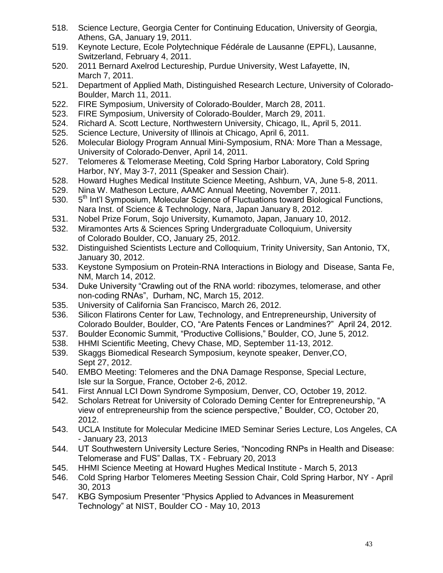- 518. Science Lecture, Georgia Center for Continuing Education, University of Georgia, Athens, GA, January 19, 2011.
- 519. Keynote Lecture, Ecole Polytechnique Fédérale de Lausanne (EPFL), Lausanne, Switzerland, February 4, 2011.
- 520. 2011 Bernard Axelrod Lectureship, Purdue University, West Lafayette, IN, March 7, 2011.
- 521. Department of Applied Math, Distinguished Research Lecture, University of Colorado-Boulder, March 11, 2011.
- 522. FIRE Symposium, University of Colorado-Boulder, March 28, 2011.
- 523. FIRE Symposium, University of Colorado-Boulder, March 29, 2011.
- 524. Richard A. Scott Lecture, Northwestern University, Chicago, IL, April 5, 2011.
- 525. Science Lecture, University of Illinois at Chicago, April 6, 2011.
- 526. Molecular Biology Program Annual Mini-Symposium, RNA: More Than a Message, University of Colorado-Denver, April 14, 2011.
- 527. Telomeres & Telomerase Meeting, Cold Spring Harbor Laboratory, Cold Spring Harbor, NY, May 3-7, 2011 (Speaker and Session Chair).
- 528. Howard Hughes Medical Institute Science Meeting, Ashburn, VA, June 5-8, 2011.
- 529. Nina W. Matheson Lecture, AAMC Annual Meeting, November 7, 2011.
- 530. 5<sup>th</sup> Int'l Symposium, Molecular Science of Fluctuations toward Biological Functions, Nara Inst. of Science & Technology, Nara, Japan January 8, 2012.
- 531. Nobel Prize Forum, Sojo University, Kumamoto, Japan, January 10, 2012.
- 532. Miramontes Arts & Sciences Spring Undergraduate Colloquium, University of Colorado Boulder, CO, January 25, 2012.
- 532. Distinguished Scientists Lecture and Colloquium, Trinity University, San Antonio, TX, January 30, 2012.
- 533. Keystone Symposium on Protein-RNA Interactions in Biology and Disease, Santa Fe, NM, March 14, 2012.
- 534. Duke University "Crawling out of the RNA world: ribozymes, telomerase, and other non-coding RNAs", Durham, NC, March 15, 2012.
- 535. University of California San Francisco, March 26, 2012.
- 536. Silicon Flatirons Center for Law, Technology, and Entrepreneurship, University of Colorado Boulder, Boulder, CO, "Are Patents Fences or Landmines?" April 24, 2012.
- 537. Boulder Economic Summit, "Productive Collisions," Boulder, CO, June 5, 2012.
- 538. HHMI Scientific Meeting, Chevy Chase, MD, September 11-13, 2012.
- 539. Skaggs Biomedical Research Symposium, keynote speaker, Denver,CO, Sept 27, 2012.
- 540. EMBO Meeting: Telomeres and the DNA Damage Response, Special Lecture, Isle sur la Sorgue, France, October 2-6, 2012.
- 541. First Annual LCI Down Syndrome Symposium, Denver, CO, October 19, 2012.
- 542. Scholars Retreat for University of Colorado Deming Center for Entrepreneurship, "A view of entrepreneurship from the science perspective," Boulder, CO, October 20, 2012.
- 543. UCLA Institute for Molecular Medicine IMED Seminar Series Lecture, Los Angeles, CA - January 23, 2013
- 544. UT Southwestern University Lecture Series, "Noncoding RNPs in Health and Disease: Telomerase and FUS" Dallas, TX - February 20, 2013
- 545. HHMI Science Meeting at Howard Hughes Medical Institute March 5, 2013
- 546. Cold Spring Harbor Telomeres Meeting Session Chair, Cold Spring Harbor, NY April 30, 2013
- 547. KBG Symposium Presenter "Physics Applied to Advances in Measurement Technology" at NIST, Boulder CO - May 10, 2013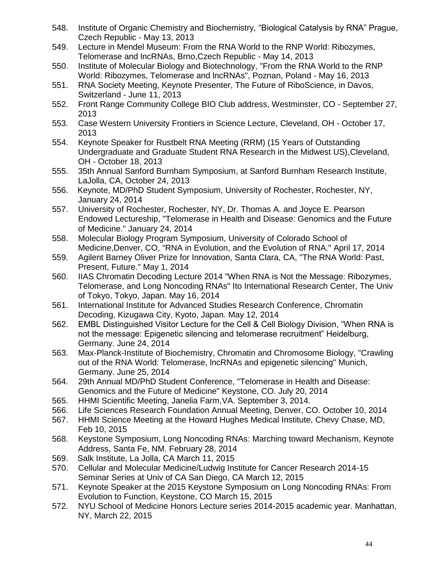- 548. Institute of Organic Chemistry and Biochemistry, "Biological Catalysis by RNA" Prague, Czech Republic - May 13, 2013
- 549. Lecture in Mendel Museum: From the RNA World to the RNP World: Ribozymes, Telomerase and lncRNAs, Brno,Czech Republic - May 14, 2013
- 550. Institute of Molecular Biology and Biotechnology, "From the RNA World to the RNP World: Ribozymes, Telomerase and lncRNAs", Poznan, Poland - May 16, 2013
- 551. RNA Society Meeting, Keynote Presenter, The Future of RiboScience, in Davos, Switzerland - June 11, 2013
- 552. Front Range Community College BIO Club address, Westminster, CO September 27, 2013
- 553. Case Western University Frontiers in Science Lecture, Cleveland, OH October 17, 2013
- 554. Keynote Speaker for Rustbelt RNA Meeting (RRM) (15 Years of Outstanding Undergraduate and Graduate Student RNA Research in the Midwest US),Cleveland, OH - October 18, 2013
- 555. 35th Annual Sanford Burnham Symposium, at Sanford Burnham Research Institute, LaJolla, CA, October 24, 2013
- 556. Keynote, MD/PhD Student Symposium, University of Rochester, Rochester, NY, January 24, 2014
- 557. University of Rochester, Rochester, NY, Dr. Thomas A. and Joyce E. Pearson Endowed Lectureship, "Telomerase in Health and Disease: Genomics and the Future of Medicine." January 24, 2014
- 558. Molecular Biology Program Symposium, University of Colorado School of Medicine,Denver, CO, "RNA in Evolution, and the Evolution of RNA." April 17, 2014
- 559. Agilent Barney Oliver Prize for Innovation, Santa Clara, CA, "The RNA World: Past, Present, Future." May 1, 2014
- 560. IIAS Chromatin Decoding Lecture 2014 "When RNA is Not the Message: Ribozymes, Telomerase, and Long Noncoding RNAs" Ito International Research Center, The Univ of Tokyo, Tokyo, Japan. May 16, 2014
- 561. International Institute for Advanced Studies Research Conference, Chromatin Decoding, Kizugawa City, Kyoto, Japan. May 12, 2014
- 562. EMBL Distinguished Visitor Lecture for the Cell & Cell Biology Division, "When RNA is not the message: Epigenetic silencing and telomerase recruitment" Heidelburg, Germany. June 24, 2014
- 563. Max-Planck-Institute of Biochemistry, Chromatin and Chromosome Biology, "Crawling out of the RNA World: Telomerase, lncRNAs and epigenetic silencing" Munich, Germany. June 25, 2014
- 564. 29th Annual MD/PhD Student Conference, "Telomerase in Health and Disease: Genomics and the Future of Medicine" Keystone, CO. July 20, 2014
- 565. HHMI Scientific Meeting, Janelia Farm,VA. September 3, 2014.
- 566. Life Sciences Research Foundation Annual Meeting, Denver, CO. October 10, 2014
- 567. HHMI Science Meeting at the Howard Hughes Medical Institute, Chevy Chase, MD, Feb 10, 2015
- 568. Keystone Symposium, Long Noncoding RNAs: Marching toward Mechanism, Keynote Address, Santa Fe, NM. February 28, 2014
- 569. Salk Institute, La Jolla, CA March 11, 2015
- 570. Cellular and Molecular Medicine/Ludwig Institute for Cancer Research 2014-15 Seminar Series at Univ of CA San Diego, CA March 12, 2015
- 571. Keynote Speaker at the 2015 Keystone Symposium on Long Noncoding RNAs: From Evolution to Function, Keystone, CO March 15, 2015
- 572. NYU School of Medicine Honors Lecture series 2014-2015 academic year. Manhattan, NY, March 22, 2015